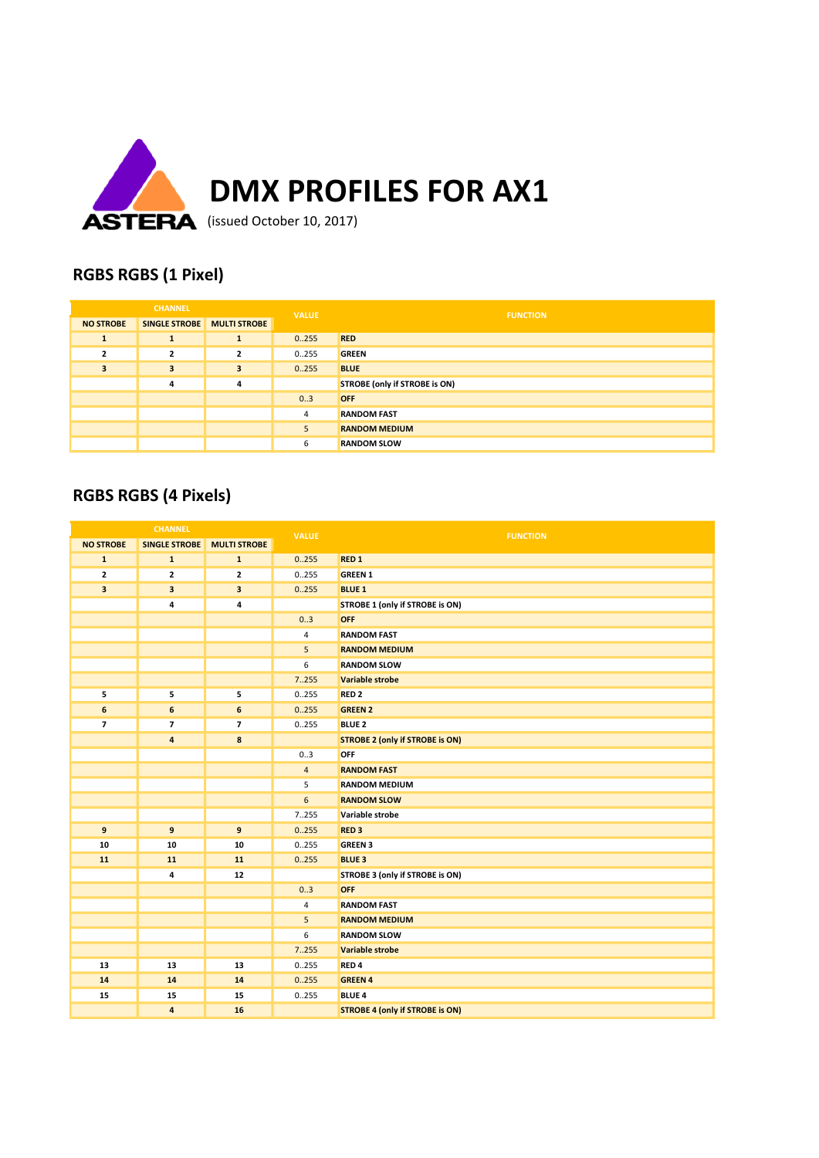

### RGBS RGBS (1 Pixel)

|                  | <b>CHANNEL</b> |                         | <b>VALUE</b> | <b>FUNCTION</b>                      |
|------------------|----------------|-------------------------|--------------|--------------------------------------|
| <b>NO STROBE</b> | SINGLE STROBE  | <b>MULTI STROBE</b>     |              |                                      |
| л.               | $\mathbf{1}$   | 1                       | 0.255        | <b>RED</b>                           |
| $\overline{2}$   | $\overline{2}$ | $\overline{\mathbf{2}}$ | 0.255        | <b>GREEN</b>                         |
| 3                | 3              | $\overline{\mathbf{3}}$ | 0.255        | <b>BLUE</b>                          |
|                  | 4              | 4                       |              | <b>STROBE (only if STROBE is ON)</b> |
|                  |                |                         | 03           | <b>OFF</b>                           |
|                  |                |                         | 4            | <b>RANDOM FAST</b>                   |
|                  |                |                         | 5            | <b>RANDOM MEDIUM</b>                 |
|                  |                |                         | 6            | <b>RANDOM SLOW</b>                   |

## RGBS RGBS (4 Pixels)

|                         | <b>CHANNEL</b>          |                     | <b>VALUE</b>     | <b>FUNCTION</b>                        |
|-------------------------|-------------------------|---------------------|------------------|----------------------------------------|
| <b>NO STROBE</b>        | <b>SINGLE STROBE</b>    | <b>MULTI STROBE</b> |                  |                                        |
| $\mathbf{1}$            | $\mathbf{1}$            | ${\bf 1}$           | 0.255            | <b>RED 1</b>                           |
| $\overline{\mathbf{2}}$ | $\overline{\mathbf{2}}$ | $\mathbf{z}$        | 0.255            | <b>GREEN 1</b>                         |
| $\overline{\mathbf{3}}$ | 3                       | 3                   | 0.255            | <b>BLUE 1</b>                          |
|                         | 4                       | 4                   |                  | STROBE 1 (only if STROBE is ON)        |
|                         |                         |                     | 0.3              | OFF                                    |
|                         |                         |                     | $\overline{4}$   | <b>RANDOM FAST</b>                     |
|                         |                         |                     | 5                | <b>RANDOM MEDIUM</b>                   |
|                         |                         |                     | 6                | <b>RANDOM SLOW</b>                     |
|                         |                         |                     | 7.255            | <b>Variable strobe</b>                 |
| 5                       | 5                       | 5                   | 0.255            | RED <sub>2</sub>                       |
| 6                       | 6                       | 6                   | 0.255            | <b>GREEN 2</b>                         |
| $\overline{7}$          | $\overline{7}$          | $\overline{ }$      | 0.255            | <b>BLUE 2</b>                          |
|                         | 4                       | 8                   |                  | <b>STROBE 2 (only if STROBE is ON)</b> |
|                         |                         |                     | 0.3              | <b>OFF</b>                             |
|                         |                         |                     | $\overline{4}$   | <b>RANDOM FAST</b>                     |
|                         |                         |                     | 5                | <b>RANDOM MEDIUM</b>                   |
|                         |                         |                     | $\boldsymbol{6}$ | <b>RANDOM SLOW</b>                     |
|                         |                         |                     | 7.255            | Variable strobe                        |
| 9                       | 9                       | 9                   | 0.255            | <b>RED3</b>                            |
| 10                      | 10                      | 10                  | 0.255            | <b>GREEN 3</b>                         |
| 11                      | 11                      | 11                  | 0.255            | <b>BLUE 3</b>                          |
|                         | 4                       | 12                  |                  | STROBE 3 (only if STROBE is ON)        |
|                         |                         |                     | 0.3              | <b>OFF</b>                             |
|                         |                         |                     | $\overline{4}$   | <b>RANDOM FAST</b>                     |
|                         |                         |                     | 5                | <b>RANDOM MEDIUM</b>                   |
|                         |                         |                     | 6                | <b>RANDOM SLOW</b>                     |
|                         |                         |                     | 7.255            | Variable strobe                        |
| 13                      | 13                      | 13                  | 0.255            | RED <sub>4</sub>                       |
| 14                      | 14                      | 14                  | 0.255            | <b>GREEN 4</b>                         |
| 15                      | 15                      | 15                  | 0.255            | <b>BLUE 4</b>                          |
|                         | 4                       | 16                  |                  | <b>STROBE 4 (only if STROBE is ON)</b> |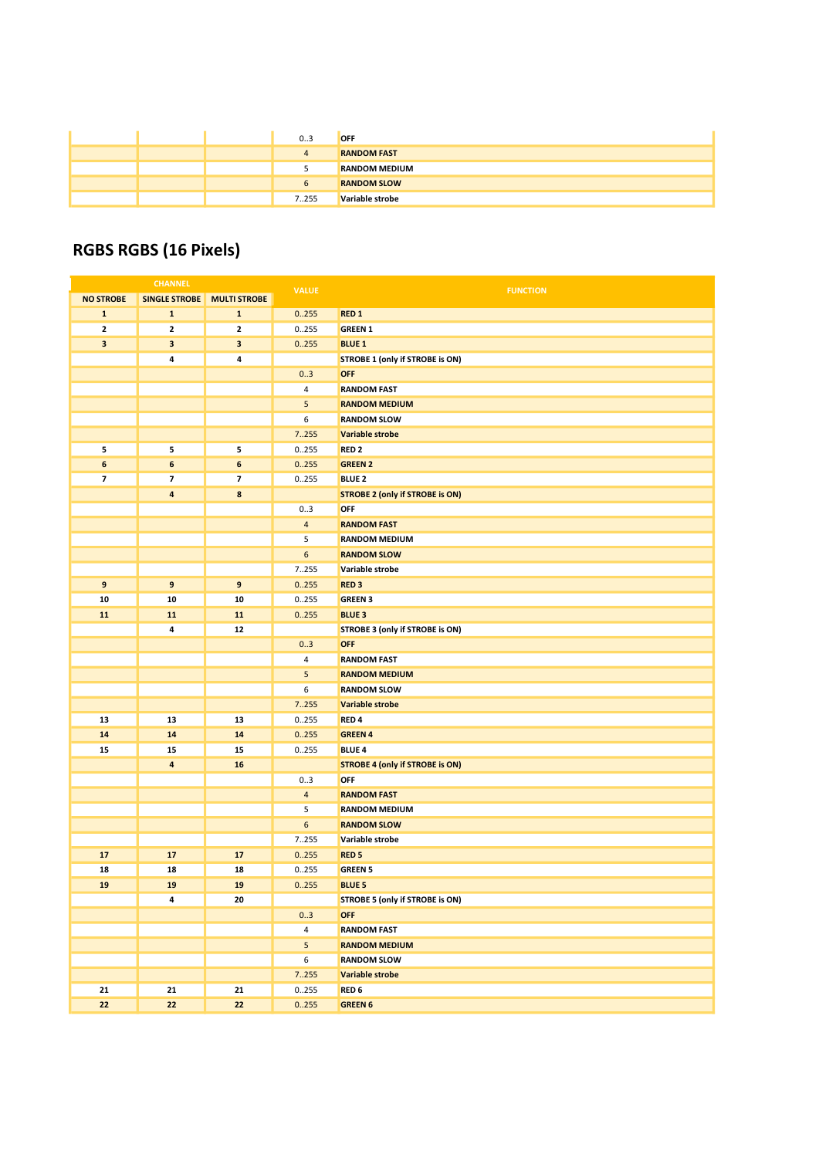|  | 03    | <b>OFF</b>           |
|--|-------|----------------------|
|  |       | <b>RANDOM FAST</b>   |
|  |       | <b>RANDOM MEDIUM</b> |
|  | b     | <b>RANDOM SLOW</b>   |
|  | 7.255 | Variable strobe      |

## RGBS RGBS (16 Pixels)

| <b>CHANNEL</b>           |                         | <b>VALUE</b>              | <b>FUNCTION</b> |                                        |
|--------------------------|-------------------------|---------------------------|-----------------|----------------------------------------|
| <b>NO STROBE</b>         | <b>SINGLE STROBE</b>    | <b>MULTI STROBE</b>       |                 |                                        |
| $\mathbf{1}$             | $\mathbf{1}$            | $\mathbf 1$               | 0.255           | RED <sub>1</sub>                       |
| $\overline{\mathbf{2}}$  | $\mathbf{2}$            | $\mathbf 2$               | 0255            | <b>GREEN 1</b>                         |
| 3                        | $\mathbf{3}$            | $\ensuremath{\mathsf{3}}$ | 0.255           | <b>BLUE 1</b>                          |
|                          | 4                       | 4                         |                 | STROBE 1 (only if STROBE is ON)        |
|                          |                         |                           | 03              | <b>OFF</b>                             |
|                          |                         |                           | 4               | <b>RANDOM FAST</b>                     |
|                          |                         |                           | 5               | <b>RANDOM MEDIUM</b>                   |
|                          |                         |                           | 6               | <b>RANDOM SLOW</b>                     |
|                          |                         |                           | 7255            | Variable strobe                        |
| 5                        | 5                       | 5                         | 0255            | RED <sub>2</sub>                       |
| 6                        | $\boldsymbol{6}$        | $\boldsymbol{6}$          | 0.255           | <b>GREEN 2</b>                         |
| $\overline{\phantom{a}}$ | $\overline{\mathbf{z}}$ | $\overline{\mathbf{z}}$   | 0255            | <b>BLUE 2</b>                          |
|                          | $\overline{a}$          | 8                         |                 | <b>STROBE 2 (only if STROBE is ON)</b> |
|                          |                         |                           | 03              | OFF                                    |
|                          |                         |                           | $\overline{4}$  | <b>RANDOM FAST</b>                     |
|                          |                         |                           | 5               | <b>RANDOM MEDIUM</b>                   |
|                          |                         |                           | 6               | <b>RANDOM SLOW</b>                     |
|                          |                         |                           | 7.255           | Variable strobe                        |
| $9$                      | 9                       | $\boldsymbol{9}$          | 0.255           | RED <sub>3</sub>                       |
| 10                       | 10                      | 10                        | 0255            | <b>GREEN 3</b>                         |
| 11                       | 11                      | 11                        | 0.255           | <b>BLUE 3</b>                          |
|                          | 4                       | 12                        |                 | STROBE 3 (only if STROBE is ON)        |
|                          |                         |                           | 03              | <b>OFF</b>                             |
|                          |                         |                           | 4               | <b>RANDOM FAST</b>                     |
|                          |                         |                           | 5               | <b>RANDOM MEDIUM</b>                   |
|                          |                         |                           | 6               | <b>RANDOM SLOW</b>                     |
|                          |                         |                           | 7255            | Variable strobe                        |
| 13                       | 13                      | 13                        | 0.255           | RED <sub>4</sub>                       |
| 14                       | 14                      | 14                        | 0.255           | <b>GREEN 4</b>                         |
| 15                       | 15                      | 15                        | 0.255           | <b>BLUE 4</b>                          |
|                          | $\overline{\mathbf{a}}$ | 16                        |                 | <b>STROBE 4 (only if STROBE is ON)</b> |
|                          |                         |                           | 03              | OFF                                    |
|                          |                         |                           | $\overline{4}$  | <b>RANDOM FAST</b>                     |
|                          |                         |                           | 5               | <b>RANDOM MEDIUM</b>                   |
|                          |                         |                           | 6               | <b>RANDOM SLOW</b>                     |
|                          |                         |                           | 7255            | Variable strobe                        |
| 17                       | 17                      | 17                        | 0.255           | RED <sub>5</sub>                       |
| 18                       | 18                      | 18                        | 0255            | <b>GREEN 5</b>                         |
| 19                       | 19                      | 19                        | 0.255           | <b>BLUE 5</b>                          |
|                          | 4                       | 20                        |                 | STROBE 5 (only if STROBE is ON)        |
|                          |                         |                           | 03              | <b>OFF</b>                             |
|                          |                         |                           | $\overline{4}$  | <b>RANDOM FAST</b>                     |
|                          |                         |                           | $5\phantom{.0}$ | <b>RANDOM MEDIUM</b>                   |
|                          |                         |                           | 6               | <b>RANDOM SLOW</b>                     |
|                          |                         |                           | 7.255           | Variable strobe                        |
| 21                       | 21                      | 21                        | 0.255           | RED <sub>6</sub>                       |
| 22                       | 22                      | 22                        | 0.255           | <b>GREEN 6</b>                         |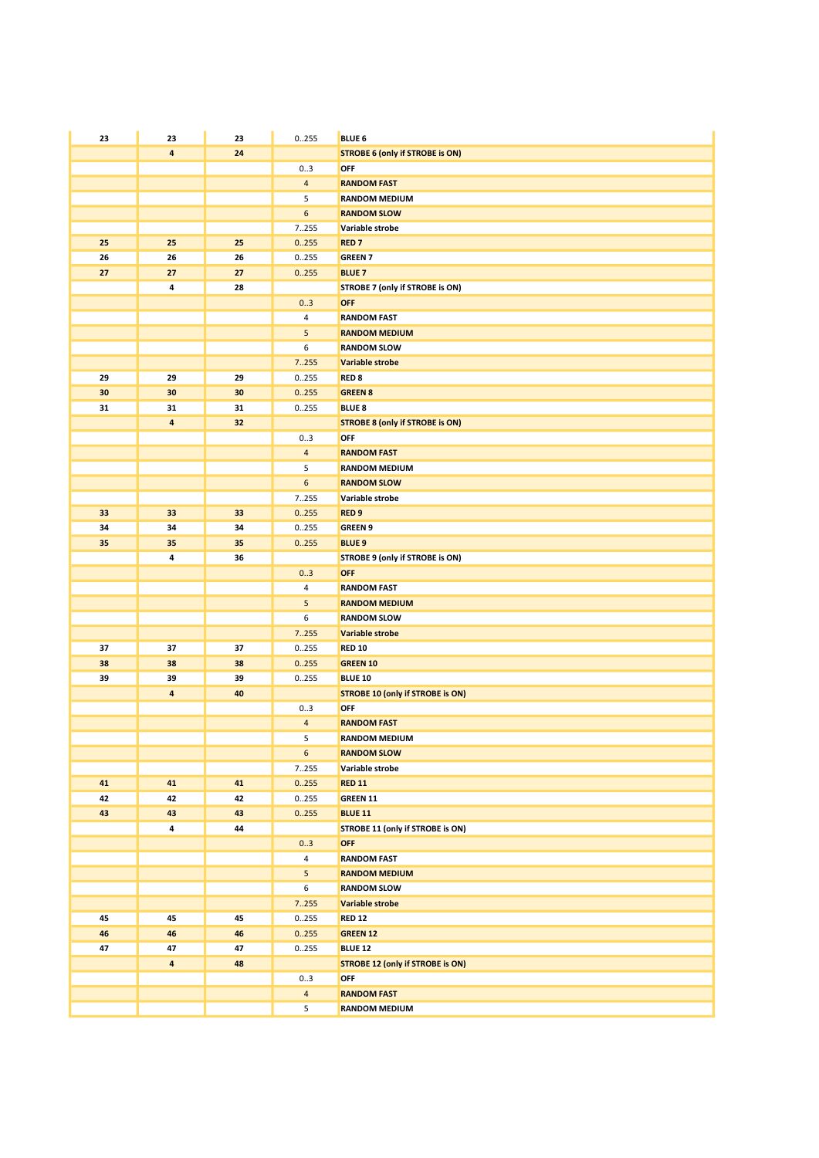| 23 | 23                      | 23 | 0255           | <b>BLUE 6</b>                           |
|----|-------------------------|----|----------------|-----------------------------------------|
|    | $\overline{\mathbf{4}}$ | 24 |                | <b>STROBE 6 (only if STROBE is ON)</b>  |
|    |                         |    | 03             | OFF                                     |
|    |                         |    | $\overline{4}$ | <b>RANDOM FAST</b>                      |
|    |                         |    | 5              | <b>RANDOM MEDIUM</b>                    |
|    |                         |    | 6              | <b>RANDOM SLOW</b>                      |
|    |                         |    | 7255           | Variable strobe                         |
| 25 | 25                      | 25 | 0.255          | <b>RED7</b>                             |
| 26 | 26                      | 26 | 0.255          | <b>GREEN 7</b>                          |
| 27 | 27                      | 27 | 0.255          | <b>BLUE 7</b>                           |
|    | 4                       | 28 |                | STROBE 7 (only if STROBE is ON)         |
|    |                         |    | 0.3            | <b>OFF</b>                              |
|    |                         |    | 4              | <b>RANDOM FAST</b>                      |
|    |                         |    | 5              | <b>RANDOM MEDIUM</b>                    |
|    |                         |    | 6              | <b>RANDOM SLOW</b>                      |
|    |                         |    | 7255           | Variable strobe                         |
| 29 | 29                      | 29 | 0.255          | RED <sub>8</sub>                        |
| 30 | 30                      | 30 | 0.255          | <b>GREEN 8</b>                          |
| 31 | 31                      | 31 | 0255           | <b>BLUE 8</b>                           |
|    | 4                       | 32 |                | <b>STROBE 8 (only if STROBE is ON)</b>  |
|    |                         |    | 03             | OFF                                     |
|    |                         |    | $\overline{4}$ | <b>RANDOM FAST</b>                      |
|    |                         |    | 5              | <b>RANDOM MEDIUM</b>                    |
|    |                         |    | 6              | <b>RANDOM SLOW</b>                      |
|    |                         |    | 7255           | Variable strobe                         |
| 33 | 33                      | 33 | 0.255          | RED <sub>9</sub>                        |
| 34 | 34                      | 34 | 0255           | <b>GREEN 9</b>                          |
| 35 | 35                      | 35 | 0.255          | <b>BLUE 9</b>                           |
|    | 4                       | 36 |                | STROBE 9 (only if STROBE is ON)         |
|    |                         |    | 03<br>4        | <b>OFF</b><br><b>RANDOM FAST</b>        |
|    |                         |    | 5              | <b>RANDOM MEDIUM</b>                    |
|    |                         |    | 6              | <b>RANDOM SLOW</b>                      |
|    |                         |    | 7255           | Variable strobe                         |
| 37 | 37                      | 37 | 0255           | <b>RED 10</b>                           |
| 38 | 38                      | 38 | 0.255          | <b>GREEN 10</b>                         |
| 39 | 39                      | 39 | 0.255          | <b>BLUE 10</b>                          |
|    | $\overline{\mathbf{4}}$ | 40 |                | <b>STROBE 10 (only if STROBE is ON)</b> |
|    |                         |    | 03             | OFF                                     |
|    |                         |    | 4              | <b>RANDOM FAST</b>                      |
|    |                         |    | 5              | <b>RANDOM MEDIUM</b>                    |
|    |                         |    | $6\phantom{.}$ | <b>RANDOM SLOW</b>                      |
|    |                         |    | 7255           | Variable strobe                         |
| 41 | 41                      | 41 | 0.255          | <b>RED 11</b>                           |
| 42 | 42                      | 42 | 0.255          | GREEN 11                                |
| 43 | 43                      | 43 | 0255           | <b>BLUE 11</b>                          |
|    | 4                       | 44 |                | STROBE 11 (only if STROBE is ON)        |
|    |                         |    | 03             | <b>OFF</b>                              |
|    |                         |    | 4              | <b>RANDOM FAST</b>                      |
|    |                         |    | 5              | <b>RANDOM MEDIUM</b>                    |
|    |                         |    | 6              | <b>RANDOM SLOW</b>                      |
|    |                         |    | 7.255          | Variable strobe                         |
| 45 | 45                      | 45 | 0255           | <b>RED 12</b>                           |
| 46 | 46                      | 46 | 0.255          | <b>GREEN 12</b>                         |
| 47 | 47                      | 47 | 0.255          | <b>BLUE 12</b>                          |
|    | $\overline{\mathbf{a}}$ | 48 |                | <b>STROBE 12 (only if STROBE is ON)</b> |
|    |                         |    | 03             | OFF                                     |
|    |                         |    | $\overline{4}$ | <b>RANDOM FAST</b>                      |
|    |                         |    | 5              | <b>RANDOM MEDIUM</b>                    |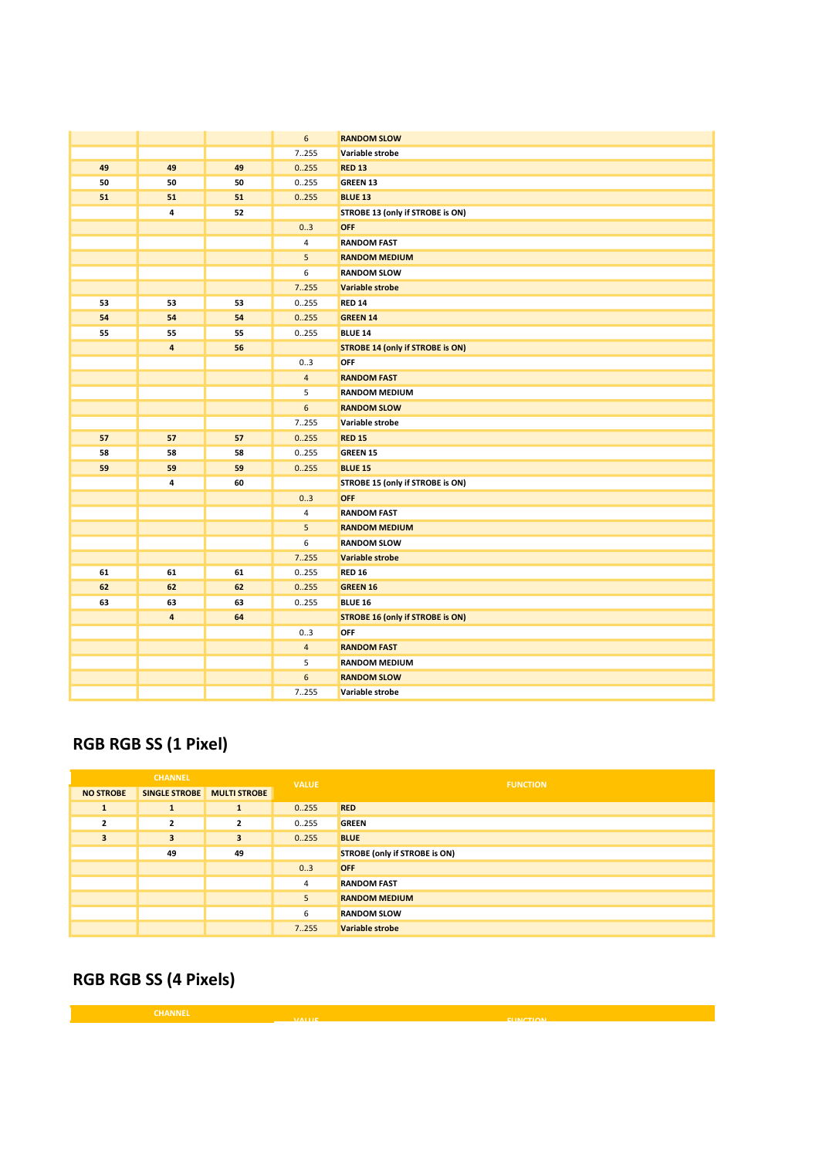|    |                         |    | $\boldsymbol{6}$ | <b>RANDOM SLOW</b>                      |
|----|-------------------------|----|------------------|-----------------------------------------|
|    |                         |    | 7255             | Variable strobe                         |
| 49 | 49                      | 49 | 0.255            | <b>RED 13</b>                           |
| 50 | 50                      | 50 | 0255             | <b>GREEN 13</b>                         |
| 51 | 51                      | 51 | 0.255            | <b>BLUE 13</b>                          |
|    | 4                       | 52 |                  | STROBE 13 (only if STROBE is ON)        |
|    |                         |    | 0.3              | <b>OFF</b>                              |
|    |                         |    | $\overline{4}$   | <b>RANDOM FAST</b>                      |
|    |                         |    | $\overline{5}$   | <b>RANDOM MEDIUM</b>                    |
|    |                         |    | 6                | <b>RANDOM SLOW</b>                      |
|    |                         |    | 7.255            | <b>Variable strobe</b>                  |
| 53 | 53                      | 53 | 0.255            | <b>RED 14</b>                           |
| 54 | 54                      | 54 | 0.255            | <b>GREEN 14</b>                         |
| 55 | 55                      | 55 | 0.255            | <b>BLUE 14</b>                          |
|    | $\overline{\mathbf{4}}$ | 56 |                  | <b>STROBE 14 (only if STROBE is ON)</b> |
|    |                         |    | 0.3              | OFF                                     |
|    |                         |    | $\overline{4}$   | <b>RANDOM FAST</b>                      |
|    |                         |    | 5                | <b>RANDOM MEDIUM</b>                    |
|    |                         |    | 6                | <b>RANDOM SLOW</b>                      |
|    |                         |    | 7.255            | Variable strobe                         |
| 57 | 57                      | 57 | 0.255            | <b>RED 15</b>                           |
| 58 | 58                      | 58 | 0.255            | GREEN 15                                |
| 59 | 59                      | 59 | 0.255            | <b>BLUE 15</b>                          |
|    | 4                       | 60 |                  | STROBE 15 (only if STROBE is ON)        |
|    |                         |    | 0.3              | <b>OFF</b>                              |
|    |                         |    | 4                | <b>RANDOM FAST</b>                      |
|    |                         |    | 5                | <b>RANDOM MEDIUM</b>                    |
|    |                         |    | 6                | <b>RANDOM SLOW</b>                      |
|    |                         |    | 7.255            | Variable strobe                         |
| 61 | 61                      | 61 | 0.255            | <b>RED 16</b>                           |
| 62 | 62                      | 62 | 0.255            | <b>GREEN 16</b>                         |
| 63 | 63                      | 63 | 0255             | <b>BLUE 16</b>                          |
|    | $\overline{4}$          | 64 |                  | <b>STROBE 16 (only if STROBE is ON)</b> |
|    |                         |    | 03               | OFF                                     |
|    |                         |    | $\overline{4}$   | <b>RANDOM FAST</b>                      |
|    |                         |    | 5                | <b>RANDOM MEDIUM</b>                    |
|    |                         |    | 6                | <b>RANDOM SLOW</b>                      |
|    |                         |    | 7.255            | Variable strobe                         |

## RGB RGB SS (1 Pixel)

|                  | <b>CHANNEL</b>             |                | <b>VALUE</b> | <b>FUNCTION</b>               |
|------------------|----------------------------|----------------|--------------|-------------------------------|
| <b>NO STROBE</b> | SINGLE STROBE MULTI STROBE |                |              |                               |
| 1                | $\mathbf{1}$               | $\mathbf{1}$   | 0.255        | <b>RED</b>                    |
| $\overline{2}$   | $\overline{2}$             | $\overline{2}$ | 0255         | <b>GREEN</b>                  |
| 3                | 3                          | 3              | 0.255        | <b>BLUE</b>                   |
|                  | 49                         | 49             |              | STROBE (only if STROBE is ON) |
|                  |                            |                | 0.3          | <b>OFF</b>                    |
|                  |                            |                | 4            | <b>RANDOM FAST</b>            |
|                  |                            |                | 5            | <b>RANDOM MEDIUM</b>          |
|                  |                            |                | 6            | <b>RANDOM SLOW</b>            |
|                  |                            |                | 7.255        | <b>Variable strobe</b>        |

VALUE FUNCTION

## RGB RGB SS (4 Pixels)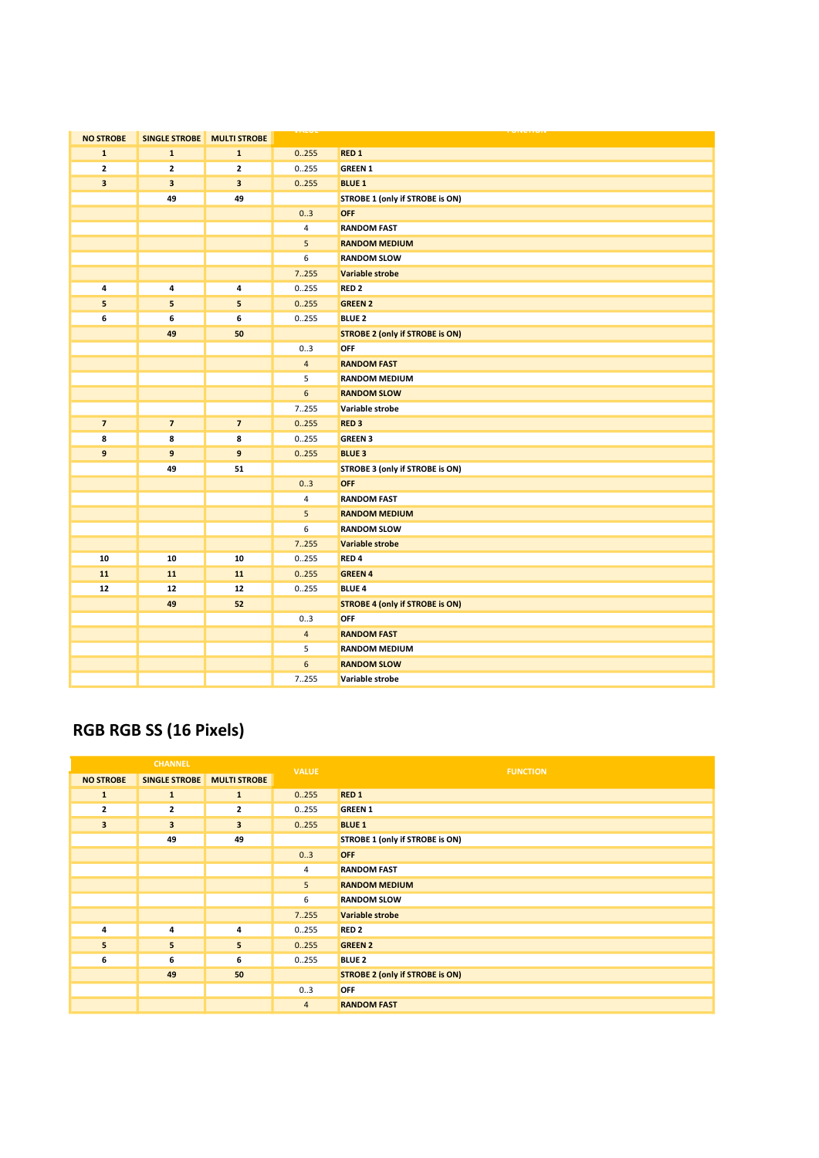| <b>NO STROBE</b> | <b>SINGLE STROBE</b> | <b>MULTI STROBE</b>     |                         |                                        |
|------------------|----------------------|-------------------------|-------------------------|----------------------------------------|
| $\mathbf{1}$     | $\mathbf{1}$         | $\mathbf{1}$            | 0.255                   | RED <sub>1</sub>                       |
| $\mathbf{z}$     | $\mathbf{z}$         | $\mathbf{2}$            | 0.255                   | <b>GREEN 1</b>                         |
| 3                | 3                    | $\overline{\mathbf{3}}$ | 0.255                   | <b>BLUE 1</b>                          |
|                  | 49                   | 49                      |                         | STROBE 1 (only if STROBE is ON)        |
|                  |                      |                         | 03                      | <b>OFF</b>                             |
|                  |                      |                         | $\overline{4}$          | <b>RANDOM FAST</b>                     |
|                  |                      |                         | 5                       | <b>RANDOM MEDIUM</b>                   |
|                  |                      |                         | 6                       | <b>RANDOM SLOW</b>                     |
|                  |                      |                         | 7255                    | Variable strobe                        |
| 4                | 4                    | $\pmb{4}$               | 0.255                   | RED <sub>2</sub>                       |
| 5                | 5                    | 5                       | 0.255                   | <b>GREEN 2</b>                         |
| 6                | 6                    | 6                       | 0.255                   | <b>BLUE 2</b>                          |
|                  | 49                   | 50                      |                         | <b>STROBE 2 (only if STROBE is ON)</b> |
|                  |                      |                         | 03                      | OFF                                    |
|                  |                      |                         | $\overline{4}$          | <b>RANDOM FAST</b>                     |
|                  |                      |                         | 5                       | <b>RANDOM MEDIUM</b>                   |
|                  |                      |                         | 6                       | <b>RANDOM SLOW</b>                     |
|                  |                      |                         | 7255                    | Variable strobe                        |
| $\overline{7}$   | $\overline{7}$       | $\overline{7}$          | 0.255                   | RED <sub>3</sub>                       |
| 8                | 8                    | 8                       | 0.255                   | <b>GREEN 3</b>                         |
| 9                | 9                    | $\boldsymbol{9}$        | 0.255                   | <b>BLUE 3</b>                          |
|                  | 49                   | 51                      |                         | STROBE 3 (only if STROBE is ON)        |
|                  |                      |                         | 03                      | OFF                                    |
|                  |                      |                         | $\overline{\mathbf{4}}$ | <b>RANDOM FAST</b>                     |
|                  |                      |                         | $\overline{5}$          | <b>RANDOM MEDIUM</b>                   |
|                  |                      |                         | 6                       | <b>RANDOM SLOW</b>                     |
|                  |                      |                         | 7255                    | Variable strobe                        |
| 10               | 10                   | 10                      | 0255                    | RED <sub>4</sub>                       |
| 11               | 11                   | 11                      | 0.255                   | <b>GREEN 4</b>                         |
| 12               | 12                   | 12                      | 0.255                   | <b>BLUE 4</b>                          |
|                  | 49                   | 52                      |                         | <b>STROBE 4 (only if STROBE is ON)</b> |
|                  |                      |                         | 03                      | <b>OFF</b>                             |
|                  |                      |                         | $\overline{4}$          | <b>RANDOM FAST</b>                     |
|                  |                      |                         | 5                       | <b>RANDOM MEDIUM</b>                   |
|                  |                      |                         | 6                       | <b>RANDOM SLOW</b>                     |
|                  |                      |                         | 7.255                   | Variable strobe                        |

# RGB RGB SS (16 Pixels)

|                  | <b>CHANNEL</b>       |                     | <b>VALUE</b>   | <b>FUNCTION</b>                        |
|------------------|----------------------|---------------------|----------------|----------------------------------------|
| <b>NO STROBE</b> | <b>SINGLE STROBE</b> | <b>MULTI STROBE</b> |                |                                        |
| $\mathbf{1}$     | $\mathbf{1}$         | $\mathbf{1}$        | 0.255          | RED <sub>1</sub>                       |
| $\overline{2}$   | $\overline{2}$       | $\overline{2}$      | 0.255          | <b>GREEN 1</b>                         |
| $\mathbf{3}$     | 3                    | 3                   | 0.255          | <b>BLUE 1</b>                          |
|                  | 49                   | 49                  |                | STROBE 1 (only if STROBE is ON)        |
|                  |                      |                     | 03             | <b>OFF</b>                             |
|                  |                      |                     | 4              | <b>RANDOM FAST</b>                     |
|                  |                      |                     | 5              | <b>RANDOM MEDIUM</b>                   |
|                  |                      |                     | 6              | <b>RANDOM SLOW</b>                     |
|                  |                      |                     | 7.255          | <b>Variable strobe</b>                 |
| 4                | 4                    | 4                   | 0255           | RED <sub>2</sub>                       |
| 5                | 5                    | 5                   | 0.255          | <b>GREEN 2</b>                         |
| 6                | 6                    | 6                   | 0.255          | <b>BLUE 2</b>                          |
|                  | 49                   | 50                  |                | <b>STROBE 2 (only if STROBE is ON)</b> |
|                  |                      |                     | 03             | <b>OFF</b>                             |
|                  |                      |                     | $\overline{4}$ | <b>RANDOM FAST</b>                     |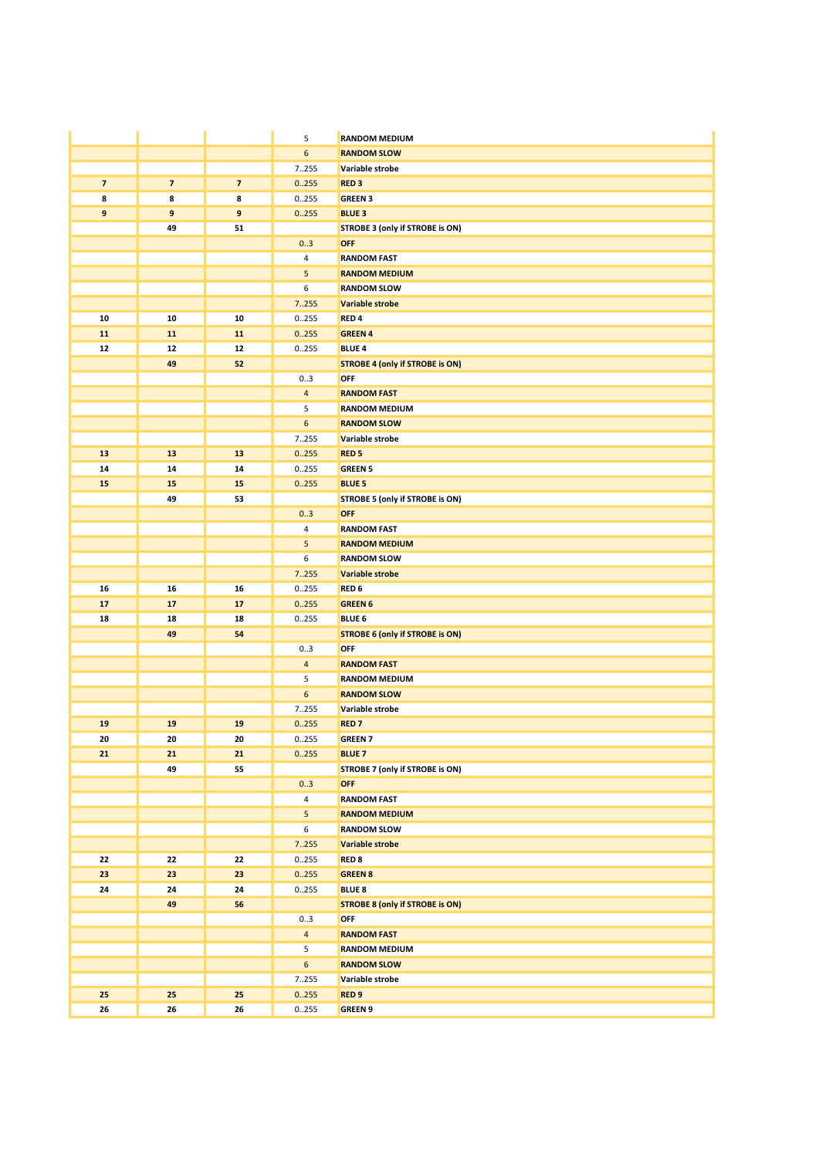|                |                         |                         | 5                | <b>RANDOM MEDIUM</b>                          |
|----------------|-------------------------|-------------------------|------------------|-----------------------------------------------|
|                |                         |                         | $\boldsymbol{6}$ | <b>RANDOM SLOW</b>                            |
|                |                         |                         | 7.255            | Variable strobe                               |
| $\overline{7}$ | $\overline{\mathbf{z}}$ | $\overline{\mathbf{z}}$ | 0.255            | RED <sub>3</sub>                              |
| 8              | 8                       | 8                       | 0255             | <b>GREEN 3</b>                                |
| 9              | 9                       | 9                       | 0.255            | <b>BLUE 3</b>                                 |
|                | 49                      | 51                      |                  | STROBE 3 (only if STROBE is ON)               |
|                |                         |                         | 0.3              | <b>OFF</b>                                    |
|                |                         |                         | 4                | <b>RANDOM FAST</b>                            |
|                |                         |                         | 5                | <b>RANDOM MEDIUM</b>                          |
|                |                         |                         | 6                | <b>RANDOM SLOW</b>                            |
|                |                         |                         | 7255             | Variable strobe                               |
| 10             | 10                      | 10                      | 0255             | RED <sub>4</sub>                              |
| 11             | 11                      | 11                      | 0.255            | <b>GREEN 4</b>                                |
| 12             | 12                      | 12                      | 0255             | <b>BLUE 4</b>                                 |
|                | 49                      | 52                      |                  | <b>STROBE 4 (only if STROBE is ON)</b>        |
|                |                         |                         | 0.3              | OFF                                           |
|                |                         |                         | $\overline{4}$   | <b>RANDOM FAST</b>                            |
|                |                         |                         | 5                | <b>RANDOM MEDIUM</b>                          |
|                |                         |                         | 6                | <b>RANDOM SLOW</b>                            |
|                |                         |                         | 7255             | Variable strobe                               |
| 13             | 13                      | 13                      | 0.255            | <b>RED<sub>5</sub></b>                        |
| 14             | 14                      | 14                      | 0.255            | <b>GREEN 5</b>                                |
| 15             | 15                      | 15                      | 0.255            | <b>BLUE 5</b>                                 |
|                | 49                      | 53                      |                  | STROBE 5 (only if STROBE is ON)               |
|                |                         |                         | 0.3              | <b>OFF</b>                                    |
|                |                         |                         | 4                | <b>RANDOM FAST</b>                            |
|                |                         |                         | 5                | <b>RANDOM MEDIUM</b>                          |
|                |                         |                         | 6                | <b>RANDOM SLOW</b>                            |
|                |                         |                         | 7255             | Variable strobe                               |
| 16             | 16                      | 16                      | 0255             | RED <sub>6</sub>                              |
| 17             | 17                      | 17                      | 0.255            | <b>GREEN 6</b>                                |
| 18             | 18<br>49                | 18<br>54                | 0.255            | <b>BLUE 6</b>                                 |
|                |                         |                         | 03               | <b>STROBE 6 (only if STROBE is ON)</b><br>OFF |
|                |                         |                         | $\overline{4}$   | <b>RANDOM FAST</b>                            |
|                |                         |                         | 5                | <b>RANDOM MEDIUM</b>                          |
|                |                         |                         | 6                | <b>RANDOM SLOW</b>                            |
|                |                         |                         | 7.255            | Variable strobe                               |
| 19             | 19                      | 19                      | 0.255            | <b>RED7</b>                                   |
| 20             | 20                      | 20                      | 0.255            | <b>GREEN 7</b>                                |
| 21             | 21                      | 21                      | 0.255            | <b>BLUE 7</b>                                 |
|                | 49                      | 55                      |                  | STROBE 7 (only if STROBE is ON)               |
|                |                         |                         | 03               | <b>OFF</b>                                    |
|                |                         |                         | 4                | <b>RANDOM FAST</b>                            |
|                |                         |                         | 5                | <b>RANDOM MEDIUM</b>                          |
|                |                         |                         | $\boldsymbol{6}$ | <b>RANDOM SLOW</b>                            |
|                |                         |                         | 7.255            | Variable strobe                               |
| 22             | 22                      | 22                      | 0255             | <b>RED 8</b>                                  |
| 23             | 23                      | 23                      | 0.255            | <b>GREEN 8</b>                                |
| 24             | 24                      | 24                      | 0255             | <b>BLUE 8</b>                                 |
|                | 49                      | 56                      |                  | <b>STROBE 8 (only if STROBE is ON)</b>        |
|                |                         |                         | 03               | OFF                                           |
|                |                         |                         | $\overline{4}$   | <b>RANDOM FAST</b>                            |
|                |                         |                         | 5                | <b>RANDOM MEDIUM</b>                          |
|                |                         |                         | 6                | <b>RANDOM SLOW</b>                            |
|                |                         |                         | 7255             | Variable strobe                               |
| 25             | 25                      | 25                      | 0.255            | RED <sub>9</sub>                              |
| 26             | 26                      | 26                      | 0.255            | <b>GREEN 9</b>                                |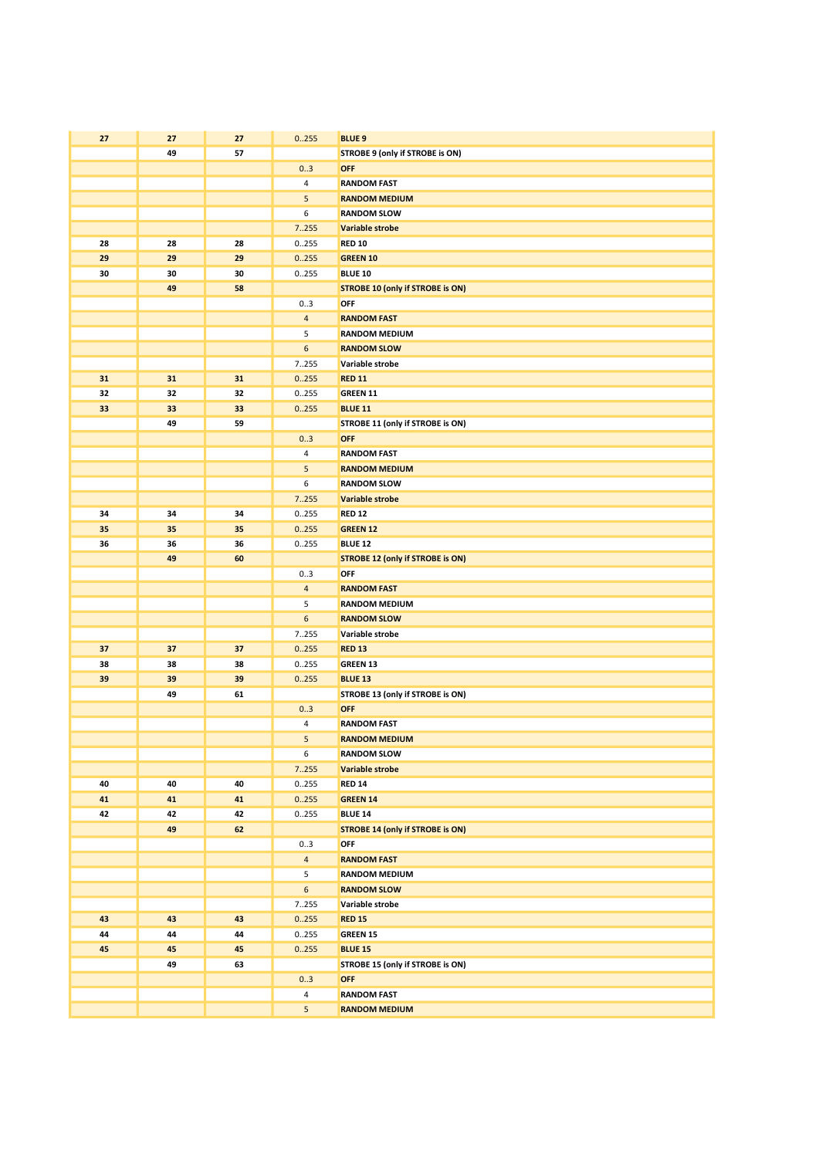| 27       | 27       | 27       | 0.255            | <b>BLUE 9</b>                                  |
|----------|----------|----------|------------------|------------------------------------------------|
|          | 49       | 57       |                  | STROBE 9 (only if STROBE is ON)                |
|          |          |          | 03               | <b>OFF</b>                                     |
|          |          |          | 4                | <b>RANDOM FAST</b>                             |
|          |          |          | 5                | <b>RANDOM MEDIUM</b>                           |
|          |          |          | 6                | <b>RANDOM SLOW</b>                             |
|          |          |          | 7255             | <b>Variable strobe</b>                         |
| 28       | 28       | 28       | 0255             | <b>RED 10</b>                                  |
| 29       | 29       | 29       | 0.255            | <b>GREEN 10</b>                                |
| 30       | 30       | 30       | 0255             | <b>BLUE 10</b>                                 |
|          | 49       | 58       |                  | <b>STROBE 10 (only if STROBE is ON)</b>        |
|          |          |          | 03               | OFF                                            |
|          |          |          | $\overline{4}$   | <b>RANDOM FAST</b>                             |
|          |          |          | 5                | <b>RANDOM MEDIUM</b>                           |
|          |          |          | $\boldsymbol{6}$ | <b>RANDOM SLOW</b>                             |
|          |          |          | 7.255            | Variable strobe                                |
| 31       | 31       | 31       | 0.255            | <b>RED 11</b>                                  |
|          |          |          |                  |                                                |
| 32<br>33 | 32<br>33 | 32<br>33 | 0255             | GREEN 11                                       |
|          | 49       | 59       | 0.255            | <b>BLUE 11</b>                                 |
|          |          |          | 0.3              | STROBE 11 (only if STROBE is ON)<br><b>OFF</b> |
|          |          |          | 4                | <b>RANDOM FAST</b>                             |
|          |          |          | 5                | <b>RANDOM MEDIUM</b>                           |
|          |          |          | 6                | <b>RANDOM SLOW</b>                             |
|          |          |          |                  |                                                |
|          |          |          | 7255             | Variable strobe                                |
| 34<br>35 | 34<br>35 | 34<br>35 | 0.255            | <b>RED 12</b>                                  |
| 36       |          | 36       | 0.255            | <b>GREEN 12</b>                                |
|          | 36<br>49 | 60       | 0255             | <b>BLUE 12</b>                                 |
|          |          |          | 03               | <b>STROBE 12 (only if STROBE is ON)</b><br>OFF |
|          |          |          | $\overline{4}$   | <b>RANDOM FAST</b>                             |
|          |          |          | 5                | <b>RANDOM MEDIUM</b>                           |
|          |          |          | 6                | <b>RANDOM SLOW</b>                             |
|          |          |          | 7.255            | Variable strobe                                |
| 37       | 37       | 37       | 0.255            | <b>RED 13</b>                                  |
| 38       | 38       | 38       | 0255             | <b>GREEN 13</b>                                |
| 39       | 39       | 39       | 0.255            | <b>BLUE 13</b>                                 |
|          | 49       | 61       |                  | STROBE 13 (only if STROBE is ON)               |
|          |          |          | 03               | OFF                                            |
|          |          |          | 4                | <b>RANDOM FAST</b>                             |
|          |          |          | 5                | <b>RANDOM MEDIUM</b>                           |
|          |          |          | 6                | <b>RANDOM SLOW</b>                             |
|          |          |          | 7.255            | Variable strobe                                |
| 40       | 40       | 40       | 0.255            | <b>RED 14</b>                                  |
| 41       | 41       | 41       | 0.255            | <b>GREEN 14</b>                                |
| 42       | 42       | 42       | 0.255            | <b>BLUE 14</b>                                 |
|          | 49       | 62       |                  | <b>STROBE 14 (only if STROBE is ON)</b>        |
|          |          |          | 03               | OFF                                            |
|          |          |          | $\overline{4}$   | <b>RANDOM FAST</b>                             |
|          |          |          | 5                | <b>RANDOM MEDIUM</b>                           |
|          |          |          | 6                | <b>RANDOM SLOW</b>                             |
|          |          |          | 7.255            | Variable strobe                                |
| 43       | 43       | 43       | 0.255            | <b>RED 15</b>                                  |
| 44       | 44       | 44       | 0255             | GREEN 15                                       |
| 45       | 45       | 45       | 0.255            | <b>BLUE 15</b>                                 |
|          | 49       | 63       |                  | STROBE 15 (only if STROBE is ON)               |
|          |          |          | 03               | <b>OFF</b>                                     |
|          |          |          | 4                | <b>RANDOM FAST</b>                             |
|          |          |          | 5                | <b>RANDOM MEDIUM</b>                           |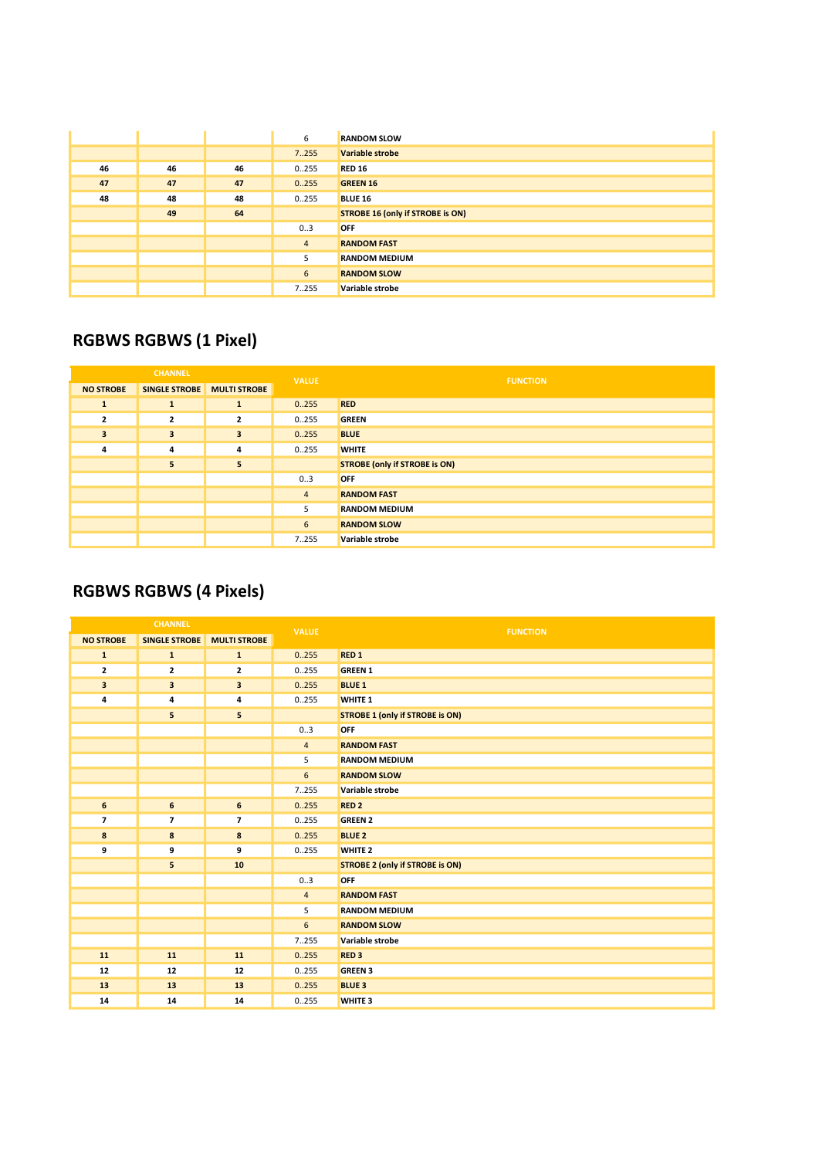|    |    |    | 6              | <b>RANDOM SLOW</b>                      |
|----|----|----|----------------|-----------------------------------------|
|    |    |    | 7.255          | Variable strobe                         |
| 46 | 46 | 46 | 0255           | <b>RED 16</b>                           |
| 47 | 47 | 47 | 0.255          | <b>GREEN 16</b>                         |
| 48 | 48 | 48 | 0255           | <b>BLUE 16</b>                          |
|    | 49 | 64 |                | <b>STROBE 16 (only if STROBE is ON)</b> |
|    |    |    | 03             | <b>OFF</b>                              |
|    |    |    | $\overline{4}$ | <b>RANDOM FAST</b>                      |
|    |    |    | 5              | <b>RANDOM MEDIUM</b>                    |
|    |    |    | 6              | <b>RANDOM SLOW</b>                      |
|    |    |    | 7255           | Variable strobe                         |

### RGBWS RGBWS (1 Pixel)

|                         | <b>CHANNEL</b>             |                         | <b>VALUE</b>   | <b>FUNCTION</b>                      |
|-------------------------|----------------------------|-------------------------|----------------|--------------------------------------|
| <b>NO STROBE</b>        | SINGLE STROBE MULTI STROBE |                         |                |                                      |
| $\mathbf{1}$            | $\mathbf{1}$               | 1                       | 0.255          | <b>RED</b>                           |
| $\overline{2}$          | $\mathbf{2}$               | $\overline{\mathbf{2}}$ | 0255           | <b>GREEN</b>                         |
| $\overline{\mathbf{3}}$ | $\overline{\mathbf{3}}$    | 3                       | 0.255          | <b>BLUE</b>                          |
| 4                       | 4                          | 4                       | 0255           | <b>WHITE</b>                         |
|                         | 5                          | 5                       |                | <b>STROBE (only if STROBE is ON)</b> |
|                         |                            |                         | 03             | <b>OFF</b>                           |
|                         |                            |                         | $\overline{4}$ | <b>RANDOM FAST</b>                   |
|                         |                            |                         | 5              | <b>RANDOM MEDIUM</b>                 |
|                         |                            |                         | 6              | <b>RANDOM SLOW</b>                   |
|                         |                            |                         | 7255           | Variable strobe                      |

## RGBWS RGBWS (4 Pixels)

| <b>CHANNEL</b>   |                      | <b>VALUE</b>             | <b>FUNCTION</b> |                                        |
|------------------|----------------------|--------------------------|-----------------|----------------------------------------|
| <b>NO STROBE</b> | <b>SINGLE STROBE</b> | <b>MULTI STROBE</b>      |                 |                                        |
| $\mathbf{1}$     | $\mathbf{1}$         | ${\bf 1}$                | 0.255           | RED <sub>1</sub>                       |
| $\mathbf{z}$     | $\mathbf{z}$         | 2                        | 0.255           | <b>GREEN 1</b>                         |
| 3                | 3                    | 3                        | 0.255           | <b>BLUE 1</b>                          |
| 4                | 4                    | 4                        | 0.255           | <b>WHITE 1</b>                         |
|                  | 5                    | 5                        |                 | <b>STROBE 1 (only if STROBE is ON)</b> |
|                  |                      |                          | 0.3             | <b>OFF</b>                             |
|                  |                      |                          | $\overline{4}$  | <b>RANDOM FAST</b>                     |
|                  |                      |                          | 5               | <b>RANDOM MEDIUM</b>                   |
|                  |                      |                          | $\sqrt{6}$      | <b>RANDOM SLOW</b>                     |
|                  |                      |                          | 7255            | Variable strobe                        |
| 6                | 6                    | 6                        | 0.255           | RED <sub>2</sub>                       |
| $\overline{ }$   | $\overline{ }$       | $\overline{\phantom{a}}$ | 0.255           | <b>GREEN 2</b>                         |
| 8                | 8                    | $\bf8$                   | 0.255           | <b>BLUE 2</b>                          |
| 9                | 9                    | 9                        | 0.255           | <b>WHITE 2</b>                         |
|                  | 5                    | 10                       |                 | <b>STROBE 2 (only if STROBE is ON)</b> |
|                  |                      |                          | 0.3             | <b>OFF</b>                             |
|                  |                      |                          | $\overline{4}$  | <b>RANDOM FAST</b>                     |
|                  |                      |                          | 5               | <b>RANDOM MEDIUM</b>                   |
|                  |                      |                          | $6\phantom{a}$  | <b>RANDOM SLOW</b>                     |
|                  |                      |                          | 7255            | Variable strobe                        |
| ${\bf 11}$       | 11                   | 11                       | 0.255           | RED <sub>3</sub>                       |
| 12               | 12                   | 12                       | 0.255           | <b>GREEN 3</b>                         |
| 13               | 13                   | 13                       | 0.255           | <b>BLUE 3</b>                          |
| 14               | 14                   | 14                       | 0.255           | <b>WHITE 3</b>                         |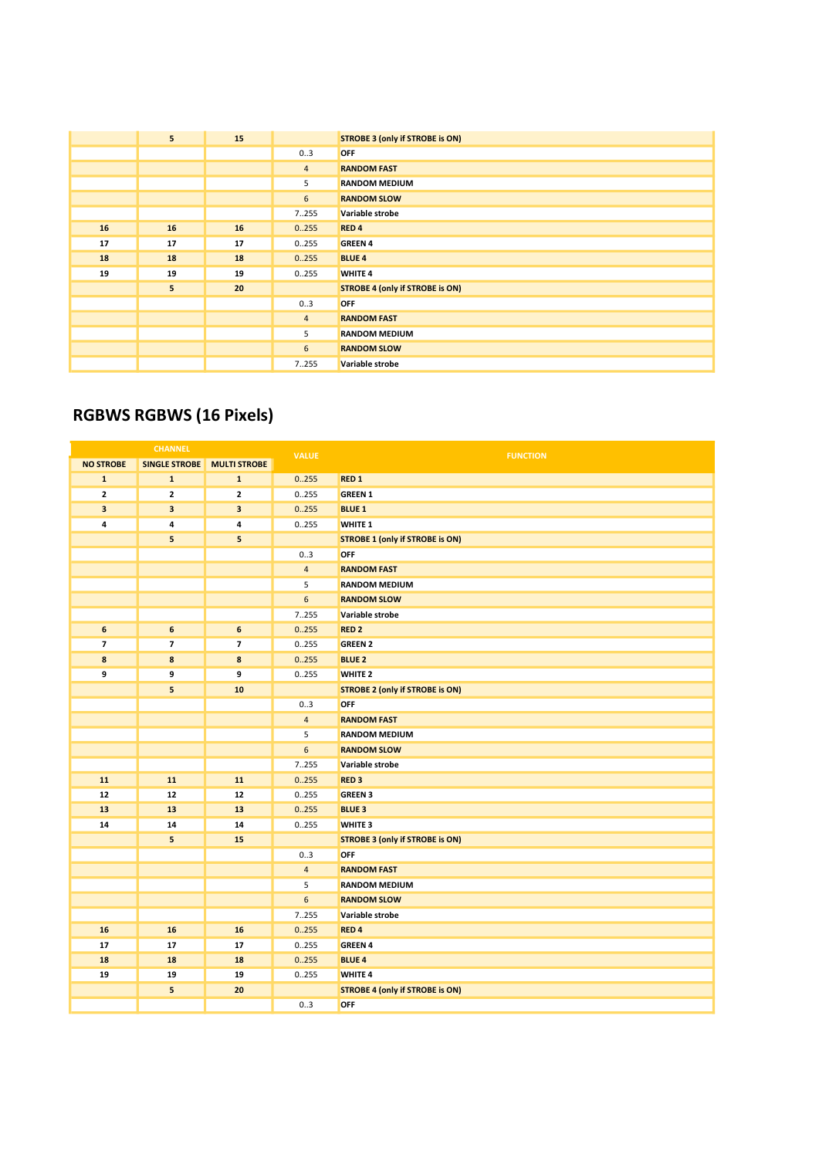|    | 5 <sup>1</sup> | 15 |                | <b>STROBE 3 (only if STROBE is ON)</b> |
|----|----------------|----|----------------|----------------------------------------|
|    |                |    | 03             | <b>OFF</b>                             |
|    |                |    | $\overline{4}$ | <b>RANDOM FAST</b>                     |
|    |                |    | 5              | <b>RANDOM MEDIUM</b>                   |
|    |                |    | 6              | <b>RANDOM SLOW</b>                     |
|    |                |    | 7255           | Variable strobe                        |
| 16 | 16             | 16 | 0.255          | RED <sub>4</sub>                       |
| 17 | 17             | 17 | 0255           | <b>GREEN 4</b>                         |
| 18 | 18             | 18 | 0.255          | <b>BLUE 4</b>                          |
| 19 | 19             | 19 | 0255           | <b>WHITE 4</b>                         |
|    | 5 <sub>1</sub> | 20 |                | <b>STROBE 4 (only if STROBE is ON)</b> |
|    |                |    | 03             | <b>OFF</b>                             |
|    |                |    | $\overline{4}$ | <b>RANDOM FAST</b>                     |
|    |                |    | 5              | <b>RANDOM MEDIUM</b>                   |
|    |                |    | 6              | <b>RANDOM SLOW</b>                     |
|    |                |    | 7255           | Variable strobe                        |

### RGBWS RGBWS (16 Pixels)

|                          | <b>CHANNEL</b>           |                         | <b>VALUE</b>     | <b>FUNCTION</b>                        |
|--------------------------|--------------------------|-------------------------|------------------|----------------------------------------|
| <b>NO STROBE</b>         | <b>SINGLE STROBE</b>     | <b>MULTI STROBE</b>     |                  |                                        |
| $\mathbf{1}$             | $\mathbf 1$              | $\mathbf 1$             | 0.255            | RED <sub>1</sub>                       |
| $\mathbf{2}$             | $\mathbf{2}$             | $\mathbf{2}$            | 0.255            | <b>GREEN 1</b>                         |
| 3                        | $\overline{\mathbf{3}}$  | $\overline{\mathbf{3}}$ | 0.255            | <b>BLUE 1</b>                          |
| 4                        | 4                        | 4                       | 0.255            | <b>WHITE 1</b>                         |
|                          | 5                        | 5                       |                  | <b>STROBE 1 (only if STROBE is ON)</b> |
|                          |                          |                         | 0.3              | <b>OFF</b>                             |
|                          |                          |                         | $\overline{4}$   | <b>RANDOM FAST</b>                     |
|                          |                          |                         | 5                | <b>RANDOM MEDIUM</b>                   |
|                          |                          |                         | $\boldsymbol{6}$ | <b>RANDOM SLOW</b>                     |
|                          |                          |                         | 7255             | Variable strobe                        |
| $\boldsymbol{6}$         | 6                        | 6                       | 0.255            | RED <sub>2</sub>                       |
| $\overline{\phantom{a}}$ | $\overline{\phantom{a}}$ | $\overline{\mathbf{z}}$ | 0.255            | <b>GREEN 2</b>                         |
| 8                        | 8                        | 8                       | 0.255            | <b>BLUE 2</b>                          |
| 9                        | 9                        | 9                       | 0.255            | WHITE <sub>2</sub>                     |
|                          | 5                        | 10                      |                  | <b>STROBE 2 (only if STROBE is ON)</b> |
|                          |                          |                         | 03               | <b>OFF</b>                             |
|                          |                          |                         | $\overline{4}$   | <b>RANDOM FAST</b>                     |
|                          |                          |                         | 5                | <b>RANDOM MEDIUM</b>                   |
|                          |                          |                         | $\boldsymbol{6}$ | <b>RANDOM SLOW</b>                     |
|                          |                          |                         | 7.255            | Variable strobe                        |
| 11                       | 11                       | 11                      | 0.255            | RED <sub>3</sub>                       |
| 12                       | 12                       | 12                      | 0.255            | <b>GREEN 3</b>                         |
| 13                       | 13                       | 13                      | 0.255            | <b>BLUE 3</b>                          |
| 14                       | 14                       | 14                      | 0.255            | WHITE 3                                |
|                          | 5                        | 15                      |                  | <b>STROBE 3 (only if STROBE is ON)</b> |
|                          |                          |                         | 0.3              | <b>OFF</b>                             |
|                          |                          |                         | $\overline{4}$   | <b>RANDOM FAST</b>                     |
|                          |                          |                         | 5                | <b>RANDOM MEDIUM</b>                   |
|                          |                          |                         | $6\phantom{a}$   | <b>RANDOM SLOW</b>                     |
|                          |                          |                         | 7.255            | Variable strobe                        |
| 16                       | 16                       | 16                      | 0.255            | RED <sub>4</sub>                       |
| 17                       | 17                       | 17                      | 0.255            | <b>GREEN 4</b>                         |
| 18                       | 18                       | 18                      | 0.255            | <b>BLUE 4</b>                          |
| 19                       | 19                       | 19                      | 0.255            | <b>WHITE 4</b>                         |
|                          | 5                        | 20                      |                  | <b>STROBE 4 (only if STROBE is ON)</b> |
|                          |                          |                         | 0.3              | OFF                                    |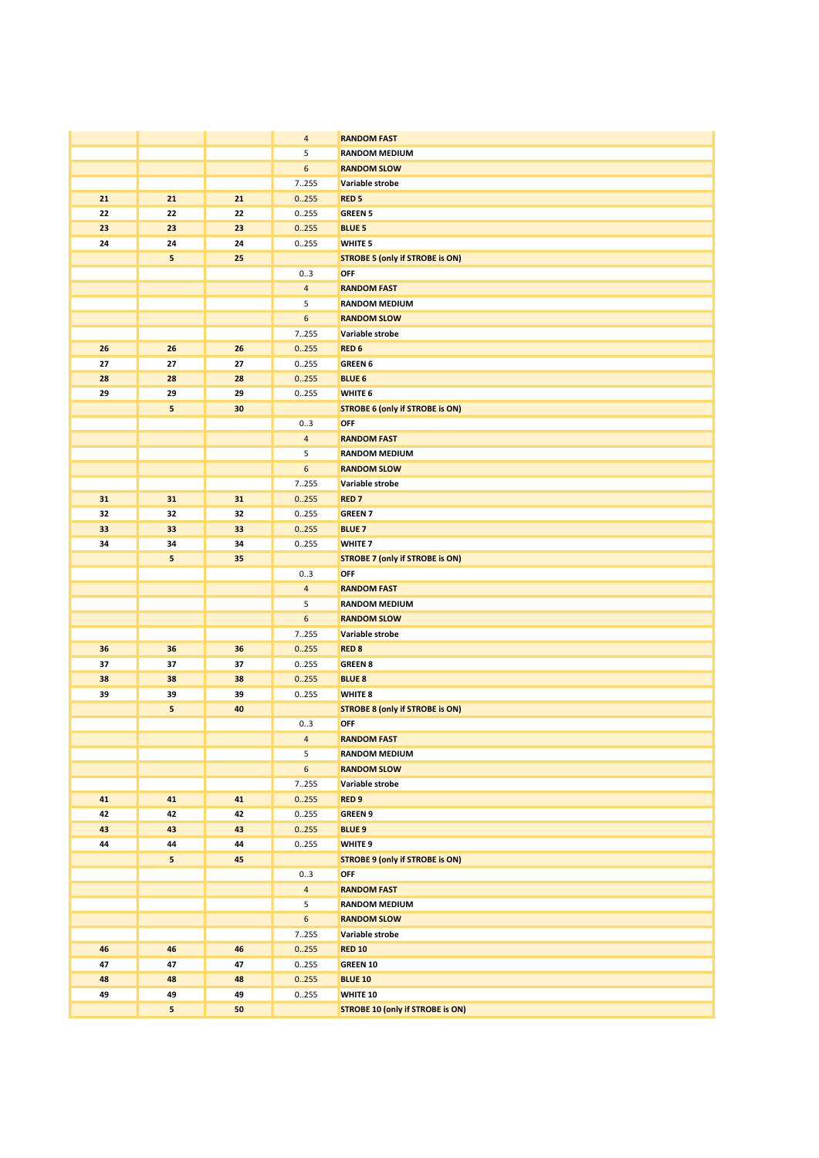|    |    |    | $\overline{4}$        | <b>RANDOM FAST</b>                      |
|----|----|----|-----------------------|-----------------------------------------|
|    |    |    | 5                     | <b>RANDOM MEDIUM</b>                    |
|    |    |    | 6                     | <b>RANDOM SLOW</b>                      |
|    |    |    | 7.255                 | Variable strobe                         |
| 21 | 21 | 21 | 0.255                 | <b>RED<sub>5</sub></b>                  |
| 22 | 22 | 22 | 0255                  | <b>GREEN 5</b>                          |
| 23 | 23 | 23 | 0.255                 | <b>BLUE 5</b>                           |
| 24 | 24 | 24 | 0.255                 | WHITE <sub>5</sub>                      |
|    | 5  | 25 |                       | <b>STROBE 5 (only if STROBE is ON)</b>  |
|    |    |    | 03                    | OFF                                     |
|    |    |    | $\overline{4}$        | <b>RANDOM FAST</b>                      |
|    |    |    | 5                     | <b>RANDOM MEDIUM</b>                    |
|    |    |    | 6                     | <b>RANDOM SLOW</b>                      |
|    |    |    | 7255                  | Variable strobe                         |
| 26 | 26 | 26 | 0.255                 | RED <sub>6</sub>                        |
| 27 | 27 | 27 | 0255                  | <b>GREEN 6</b>                          |
| 28 | 28 | 28 | 0.255                 | <b>BLUE 6</b>                           |
| 29 | 29 | 29 | 0255                  | WHITE 6                                 |
|    | 5  | 30 |                       |                                         |
|    |    |    |                       | <b>STROBE 6 (only if STROBE is ON)</b>  |
|    |    |    | 03<br>$\overline{4}$  | OFF<br><b>RANDOM FAST</b>               |
|    |    |    | 5                     | <b>RANDOM MEDIUM</b>                    |
|    |    |    | 6                     |                                         |
|    |    |    |                       | <b>RANDOM SLOW</b>                      |
|    |    |    | 7255                  | Variable strobe                         |
| 31 | 31 | 31 | 0.255                 | <b>RED7</b>                             |
| 32 | 32 | 32 | 0255                  | <b>GREEN 7</b>                          |
| 33 | 33 | 33 | 0.255                 | <b>BLUE 7</b>                           |
| 34 | 34 | 34 | 0255                  | WHITE <sub>7</sub>                      |
|    | 5  | 35 |                       | <b>STROBE 7 (only if STROBE is ON)</b>  |
|    |    |    | 03                    | OFF                                     |
|    |    |    | $\overline{4}$        | <b>RANDOM FAST</b>                      |
|    |    |    | 5<br>$\boldsymbol{6}$ | <b>RANDOM MEDIUM</b>                    |
|    |    |    |                       | <b>RANDOM SLOW</b><br>Variable strobe   |
| 36 | 36 | 36 | 7255<br>0.255         | <b>RED 8</b>                            |
| 37 | 37 | 37 | 0255                  | <b>GREEN 8</b>                          |
| 38 | 38 | 38 | 0.255                 | <b>BLUE 8</b>                           |
| 39 | 39 | 39 | 0.255                 | WHITE 8                                 |
|    | 5  | 40 |                       | <b>STROBE 8 (only if STROBE is ON)</b>  |
|    |    |    | 03                    | OFF                                     |
|    |    |    | $\overline{4}$        | <b>RANDOM FAST</b>                      |
|    |    |    | 5                     | <b>RANDOM MEDIUM</b>                    |
|    |    |    | $\boldsymbol{6}$      | <b>RANDOM SLOW</b>                      |
|    |    |    | 7255                  | Variable strobe                         |
| 41 | 41 | 41 | 0.255                 | RED <sub>9</sub>                        |
| 42 | 42 | 42 | 0.255                 | <b>GREEN 9</b>                          |
| 43 | 43 | 43 | 0.255                 | <b>BLUE 9</b>                           |
| 44 | 44 | 44 | 0255                  | WHITE <sub>9</sub>                      |
|    | 5  | 45 |                       | <b>STROBE 9 (only if STROBE is ON)</b>  |
|    |    |    | 03                    | OFF                                     |
|    |    |    | $\overline{4}$        | <b>RANDOM FAST</b>                      |
|    |    |    | 5                     | <b>RANDOM MEDIUM</b>                    |
|    |    |    | 6                     | <b>RANDOM SLOW</b>                      |
|    |    |    | 7255                  | Variable strobe                         |
| 46 | 46 | 46 | 0.255                 | <b>RED 10</b>                           |
| 47 | 47 | 47 | 0.255                 | GREEN 10                                |
| 48 | 48 | 48 | 0.255                 | <b>BLUE 10</b>                          |
| 49 | 49 | 49 | 0255                  | WHITE 10                                |
|    | 5  | 50 |                       | <b>STROBE 10 (only if STROBE is ON)</b> |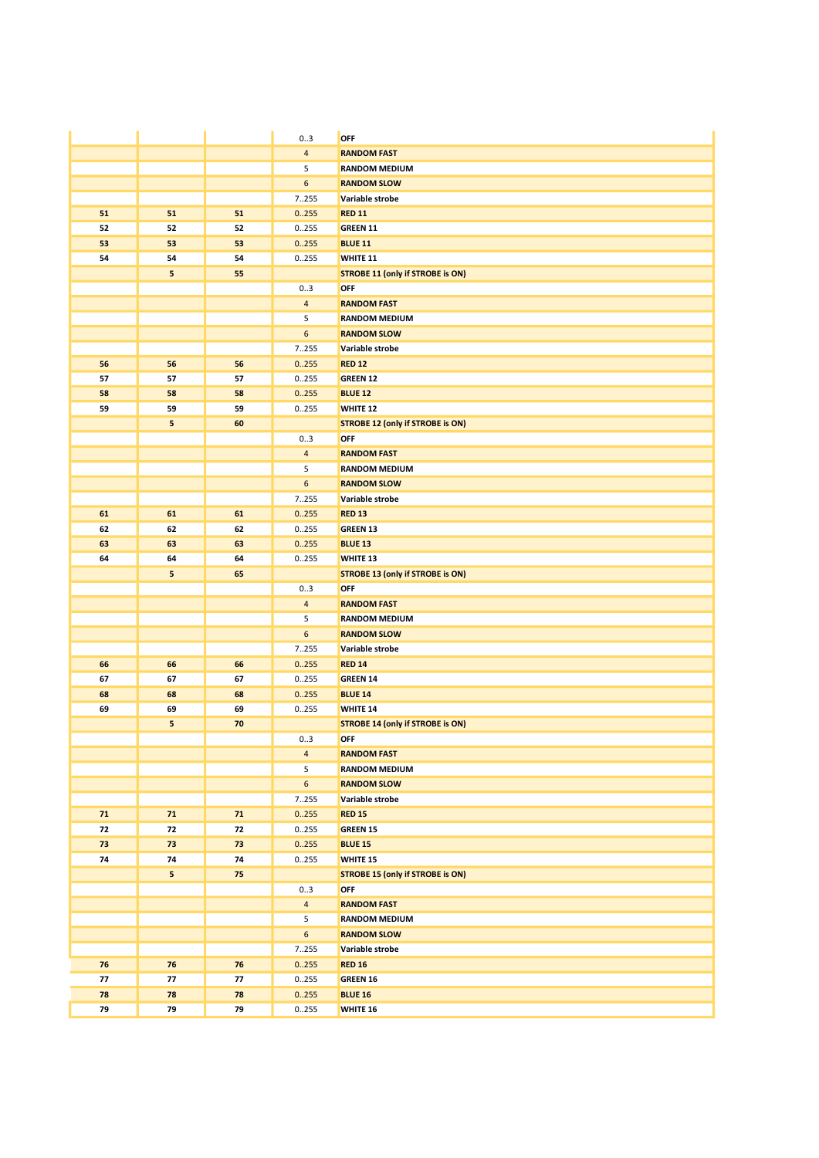|            |    |          | 03               | OFF                                     |
|------------|----|----------|------------------|-----------------------------------------|
|            |    |          | $\overline{4}$   | <b>RANDOM FAST</b>                      |
|            |    |          | 5                | <b>RANDOM MEDIUM</b>                    |
|            |    |          | $\boldsymbol{6}$ | <b>RANDOM SLOW</b>                      |
|            |    |          | 7.255            | Variable strobe                         |
| 51         | 51 | 51       | 0.255            | <b>RED 11</b>                           |
| 52         | 52 | 52       | 0255             | <b>GREEN 11</b>                         |
| 53         | 53 | 53       | 0.255            | <b>BLUE 11</b>                          |
| 54         | 54 | 54       | 0255             | WHITE 11                                |
|            | 5  | 55       |                  | <b>STROBE 11 (only if STROBE is ON)</b> |
|            |    |          | 03               | OFF                                     |
|            |    |          | $\overline{4}$   | <b>RANDOM FAST</b>                      |
|            |    |          | 5                | <b>RANDOM MEDIUM</b>                    |
|            |    |          | $\boldsymbol{6}$ | <b>RANDOM SLOW</b>                      |
|            |    |          | 7255             | Variable strobe                         |
| 56         | 56 | 56       | 0.255            | <b>RED 12</b>                           |
| 57         | 57 | 57       | 0255             | <b>GREEN 12</b>                         |
| 58         | 58 | 58       | 0.255            | <b>BLUE 12</b>                          |
| 59         | 59 | 59       | 0255             | WHITE 12                                |
|            | 5  | 60       |                  | <b>STROBE 12 (only if STROBE is ON)</b> |
|            |    |          | 03               | OFF                                     |
|            |    |          | $\overline{4}$   | <b>RANDOM FAST</b>                      |
|            |    |          | 5                | <b>RANDOM MEDIUM</b>                    |
|            |    |          | 6                | <b>RANDOM SLOW</b>                      |
|            |    |          |                  | Variable strobe                         |
|            |    |          | 7255             |                                         |
| 61         | 61 | 61       | 0.255            | <b>RED 13</b>                           |
| 62         | 62 | 62       | 0255             | <b>GREEN 13</b>                         |
| 63         | 63 | 63       | 0.255            | <b>BLUE 13</b>                          |
| 64         | 64 | 64       | 0.255            | WHITE 13                                |
|            | 5  | 65       |                  | <b>STROBE 13 (only if STROBE is ON)</b> |
|            |    |          | 03               | OFF                                     |
|            |    |          | $\overline{4}$   | <b>RANDOM FAST</b>                      |
|            |    |          | 5                | <b>RANDOM MEDIUM</b>                    |
|            |    |          | $\boldsymbol{6}$ | <b>RANDOM SLOW</b>                      |
|            |    |          | 7.255            | Variable strobe                         |
| 66<br>67   | 66 | 66<br>67 | 0.255            | <b>RED 14</b>                           |
|            | 67 |          | 0.255            | <b>GREEN 14</b>                         |
| 68         | 68 | 68       | 0.255            | <b>BLUE 14</b>                          |
| 69         | 69 | 69       | 0255             | WHITE 14                                |
|            | 5  | 70       |                  | <b>STROBE 14 (only if STROBE is ON)</b> |
|            |    |          | 03               | OFF                                     |
|            |    |          | $\overline{4}$   | <b>RANDOM FAST</b>                      |
|            |    |          | 5                | <b>RANDOM MEDIUM</b>                    |
|            |    |          | $\boldsymbol{6}$ | <b>RANDOM SLOW</b>                      |
|            |    |          | 7255             | Variable strobe                         |
| 71         | 71 | 71       | 0.255            | <b>RED 15</b>                           |
| 72         | 72 | 72       | 0255             | <b>GREEN 15</b>                         |
| 73         | 73 | 73       | 0.255            | <b>BLUE 15</b>                          |
| 74         | 74 | 74       | 0.255            | <b>WHITE 15</b>                         |
|            | 5  | 75       |                  | <b>STROBE 15 (only if STROBE is ON)</b> |
|            |    |          | 03               | OFF                                     |
|            |    |          | $\overline{4}$   | <b>RANDOM FAST</b>                      |
|            |    |          | 5                | <b>RANDOM MEDIUM</b>                    |
|            |    |          | $6\phantom{a}$   | <b>RANDOM SLOW</b>                      |
|            |    |          | 7255             | Variable strobe                         |
| 76         | 76 | 76       | 0.255            | <b>RED 16</b>                           |
| ${\bf 77}$ | 77 | 77       | 0255             | <b>GREEN 16</b>                         |
| 78         | 78 | 78       | 0.255            | <b>BLUE 16</b>                          |
|            | 79 | 79       | 0255             | WHITE 16                                |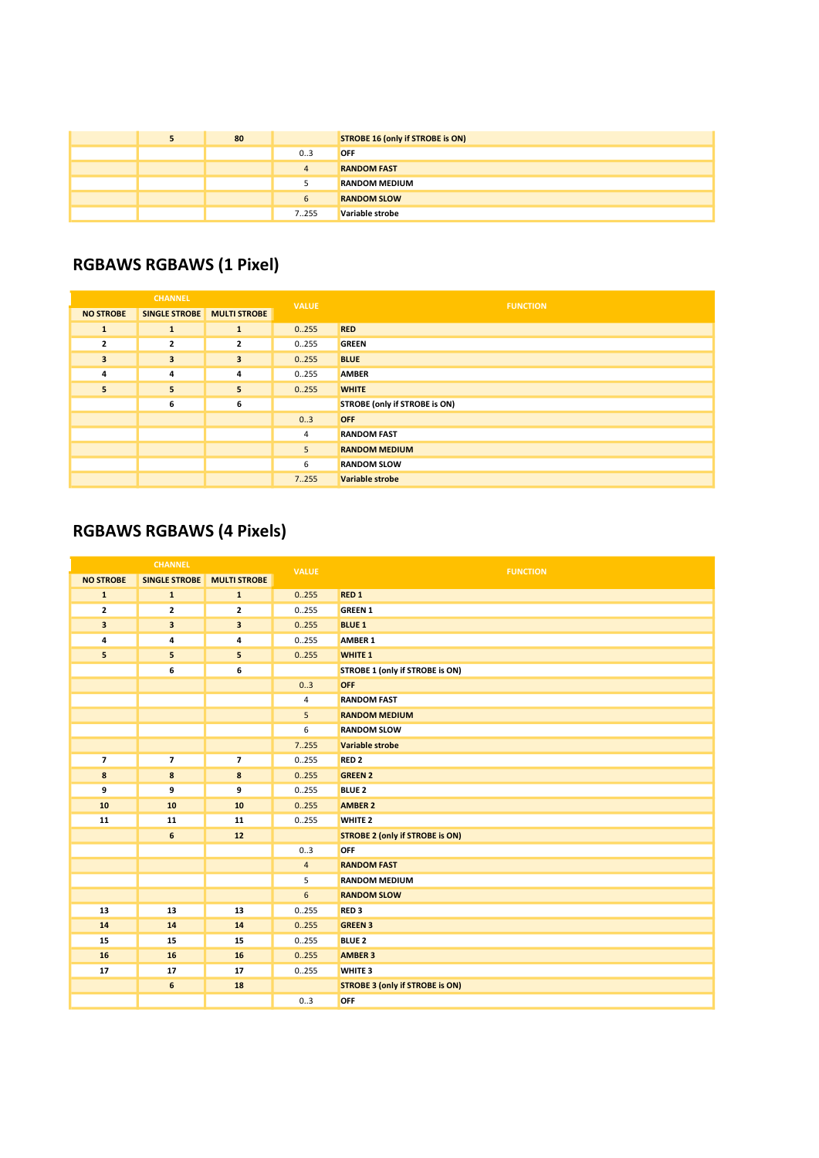|  | 80 |       | STROBE 16 (only if STROBE is ON) |
|--|----|-------|----------------------------------|
|  |    | 03    | <b>OFF</b>                       |
|  |    | 4     | <b>RANDOM FAST</b>               |
|  |    |       | <b>RANDOM MEDIUM</b>             |
|  |    | b     | <b>RANDOM SLOW</b>               |
|  |    | 7.255 | Variable strobe                  |

### RGBAWS RGBAWS (1 Pixel)

| <b>CHANNEL</b>   |                            | <b>VALUE</b>            | <b>FUNCTION</b> |                               |
|------------------|----------------------------|-------------------------|-----------------|-------------------------------|
| <b>NO STROBE</b> | SINGLE STROBE MULTI STROBE |                         |                 |                               |
| $\mathbf{1}$     | $\mathbf{1}$               | 1                       | 0.255           | <b>RED</b>                    |
| $\overline{2}$   | $\overline{2}$             | $\mathbf{z}$            | 0255            | <b>GREEN</b>                  |
| 3                | $\overline{\mathbf{3}}$    | $\overline{\mathbf{3}}$ | 0.255           | <b>BLUE</b>                   |
| 4                | 4                          | 4                       | 0255            | <b>AMBER</b>                  |
| 5                | 5                          | 5                       | 0.255           | <b>WHITE</b>                  |
|                  | 6                          | 6                       |                 | STROBE (only if STROBE is ON) |
|                  |                            |                         | 0.3             | <b>OFF</b>                    |
|                  |                            |                         | 4               | <b>RANDOM FAST</b>            |
|                  |                            |                         | 5               | <b>RANDOM MEDIUM</b>          |
|                  |                            |                         | 6               | <b>RANDOM SLOW</b>            |
|                  |                            |                         | 7.255           | <b>Variable strobe</b>        |

### RGBAWS RGBAWS (4 Pixels)

| <b>CHANNEL</b>   |                          | <b>VALUE</b>             | <b>FUNCTION</b> |                                        |
|------------------|--------------------------|--------------------------|-----------------|----------------------------------------|
| <b>NO STROBE</b> | <b>SINGLE STROBE</b>     | <b>MULTI STROBE</b>      |                 |                                        |
| $\mathbf{1}$     | $\mathbf{1}$             | $\mathbf{1}$             | 0.255           | RED <sub>1</sub>                       |
| $\mathbf{z}$     | $\mathbf{2}$             | $\mathbf{2}$             | 0.255           | <b>GREEN 1</b>                         |
| 3                | $\overline{\mathbf{3}}$  | $\overline{\mathbf{3}}$  | 0.255           | <b>BLUE 1</b>                          |
| 4                | 4                        | 4                        | 0.255           | AMBER 1                                |
| 5                | 5                        | 5                        | 0.255           | <b>WHITE 1</b>                         |
|                  | 6                        | 6                        |                 | STROBE 1 (only if STROBE is ON)        |
|                  |                          |                          | 0.3             | <b>OFF</b>                             |
|                  |                          |                          | $\overline{4}$  | <b>RANDOM FAST</b>                     |
|                  |                          |                          | 5               | <b>RANDOM MEDIUM</b>                   |
|                  |                          |                          | 6               | <b>RANDOM SLOW</b>                     |
|                  |                          |                          | 7.255           | Variable strobe                        |
| 7                | $\overline{\phantom{a}}$ | $\overline{\phantom{a}}$ | 0.255           | RED <sub>2</sub>                       |
| 8                | 8                        | 8                        | 0.255           | <b>GREEN 2</b>                         |
| 9                | 9                        | 9                        | 0.255           | <b>BLUE 2</b>                          |
| 10               | 10                       | 10                       | 0.255           | <b>AMBER 2</b>                         |
| 11               | 11                       | 11                       | 0.255           | WHITE <sub>2</sub>                     |
|                  | 6                        | 12                       |                 | <b>STROBE 2 (only if STROBE is ON)</b> |
|                  |                          |                          | 03              | OFF                                    |
|                  |                          |                          | $\overline{4}$  | <b>RANDOM FAST</b>                     |
|                  |                          |                          | 5               | <b>RANDOM MEDIUM</b>                   |
|                  |                          |                          | 6               | <b>RANDOM SLOW</b>                     |
| 13               | 13                       | 13                       | 0.255           | RED <sub>3</sub>                       |
| 14               | 14                       | 14                       | 0.255           | <b>GREEN 3</b>                         |
| 15               | 15                       | 15                       | 0.255           | <b>BLUE 2</b>                          |
| 16               | 16                       | 16                       | 0.255           | <b>AMBER 3</b>                         |
| 17               | 17                       | 17                       | 0.255           | WHITE <sub>3</sub>                     |
|                  | $\boldsymbol{6}$         | 18                       |                 | <b>STROBE 3 (only if STROBE is ON)</b> |
|                  |                          |                          | 0.3             | OFF                                    |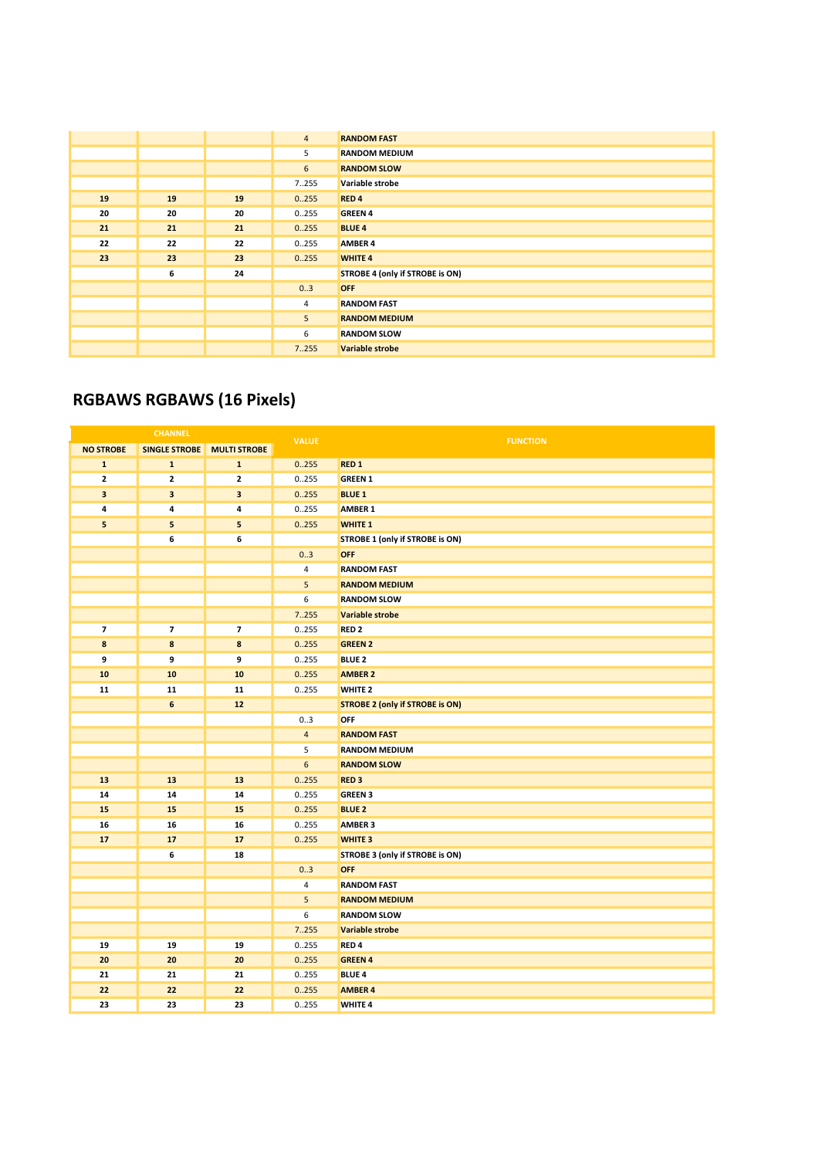|    |    |    | $\overline{4}$  | <b>RANDOM FAST</b>              |
|----|----|----|-----------------|---------------------------------|
|    |    |    | 5               | <b>RANDOM MEDIUM</b>            |
|    |    |    | $6\overline{6}$ | <b>RANDOM SLOW</b>              |
|    |    |    | 7255            | Variable strobe                 |
| 19 | 19 | 19 | 0.255           | RED <sub>4</sub>                |
| 20 | 20 | 20 | 0255            | <b>GREEN 4</b>                  |
| 21 | 21 | 21 | 0.255           | <b>BLUE 4</b>                   |
| 22 | 22 | 22 | 0255            | <b>AMBER 4</b>                  |
| 23 | 23 | 23 | 0.255           | <b>WHITE 4</b>                  |
|    | 6  | 24 |                 | STROBE 4 (only if STROBE is ON) |
|    |    |    | 03              | <b>OFF</b>                      |
|    |    |    | $\overline{4}$  | <b>RANDOM FAST</b>              |
|    |    |    | 5               | <b>RANDOM MEDIUM</b>            |
|    |    |    | 6               | <b>RANDOM SLOW</b>              |
|    |    |    | 7.255           | <b>Variable strobe</b>          |

### RGBAWS RGBAWS (16 Pixels)

|                  | <b>CHANNEL</b>          |                         | <b>VALUE</b>            | <b>FUNCTION</b>                        |
|------------------|-------------------------|-------------------------|-------------------------|----------------------------------------|
| <b>NO STROBE</b> | <b>SINGLE STROBE</b>    | <b>MULTI STROBE</b>     |                         |                                        |
| $\mathbf{1}$     | $\mathbf 1$             | $\mathbf{1}$            | 0.255                   | RED <sub>1</sub>                       |
| $\mathbf{z}$     | $\mathbf{z}$            | $\mathbf 2$             | 0255                    | <b>GREEN 1</b>                         |
| 3                | $\overline{\mathbf{3}}$ | $\overline{\mathbf{3}}$ | 0.255                   | <b>BLUE 1</b>                          |
| 4                | 4                       | $\pmb{4}$               | 0.255                   | <b>AMBER 1</b>                         |
| 5                | 5                       | 5                       | 0.255                   | <b>WHITE 1</b>                         |
|                  | 6                       | 6                       |                         | STROBE 1 (only if STROBE is ON)        |
|                  |                         |                         | 03                      | <b>OFF</b>                             |
|                  |                         |                         | $\overline{4}$          | <b>RANDOM FAST</b>                     |
|                  |                         |                         | 5                       | <b>RANDOM MEDIUM</b>                   |
|                  |                         |                         | 6                       | <b>RANDOM SLOW</b>                     |
|                  |                         |                         | 7.255                   | Variable strobe                        |
| $\overline{7}$   | $\overline{7}$          | $\overline{7}$          | 0.255                   | RED <sub>2</sub>                       |
| 8                | 8                       | $\bf8$                  | 0.255                   | <b>GREEN 2</b>                         |
| 9                | 9                       | 9                       | 0255                    | <b>BLUE 2</b>                          |
| 10               | 10                      | 10                      | 0.255                   | <b>AMBER 2</b>                         |
| 11               | 11                      | 11                      | 0.255                   | <b>WHITE 2</b>                         |
|                  | 6                       | 12                      |                         | <b>STROBE 2 (only if STROBE is ON)</b> |
|                  |                         |                         | 0.3                     | OFF                                    |
|                  |                         |                         | $\overline{4}$          | <b>RANDOM FAST</b>                     |
|                  |                         |                         | 5                       | <b>RANDOM MEDIUM</b>                   |
|                  |                         |                         | 6                       | <b>RANDOM SLOW</b>                     |
| 13               | 13                      | 13                      | 0.255                   | RED <sub>3</sub>                       |
| 14               | 14                      | 14                      | 0.255                   | <b>GREEN 3</b>                         |
| 15               | 15                      | 15                      | 0.255                   | <b>BLUE 2</b>                          |
| 16               | 16                      | 16                      | 0.255                   | <b>AMBER 3</b>                         |
| 17               | 17                      | 17                      | 0.255                   | <b>WHITE 3</b>                         |
|                  | 6                       | 18                      |                         | STROBE 3 (only if STROBE is ON)        |
|                  |                         |                         | 03                      | <b>OFF</b>                             |
|                  |                         |                         | $\overline{\mathbf{4}}$ | <b>RANDOM FAST</b>                     |
|                  |                         |                         | 5                       | <b>RANDOM MEDIUM</b>                   |
|                  |                         |                         | 6                       | <b>RANDOM SLOW</b>                     |
|                  |                         |                         | 7.255                   | Variable strobe                        |
| 19               | 19                      | 19                      | 0255                    | RED <sub>4</sub>                       |
| 20               | 20                      | 20                      | 0.255                   | <b>GREEN 4</b>                         |
| 21               | 21                      | 21                      | 0.255                   | <b>BLUE 4</b>                          |
| 22               | 22                      | 22                      | 0.255                   | <b>AMBER 4</b>                         |
| 23               | 23                      | 23                      | 0.255                   | <b>WHITE 4</b>                         |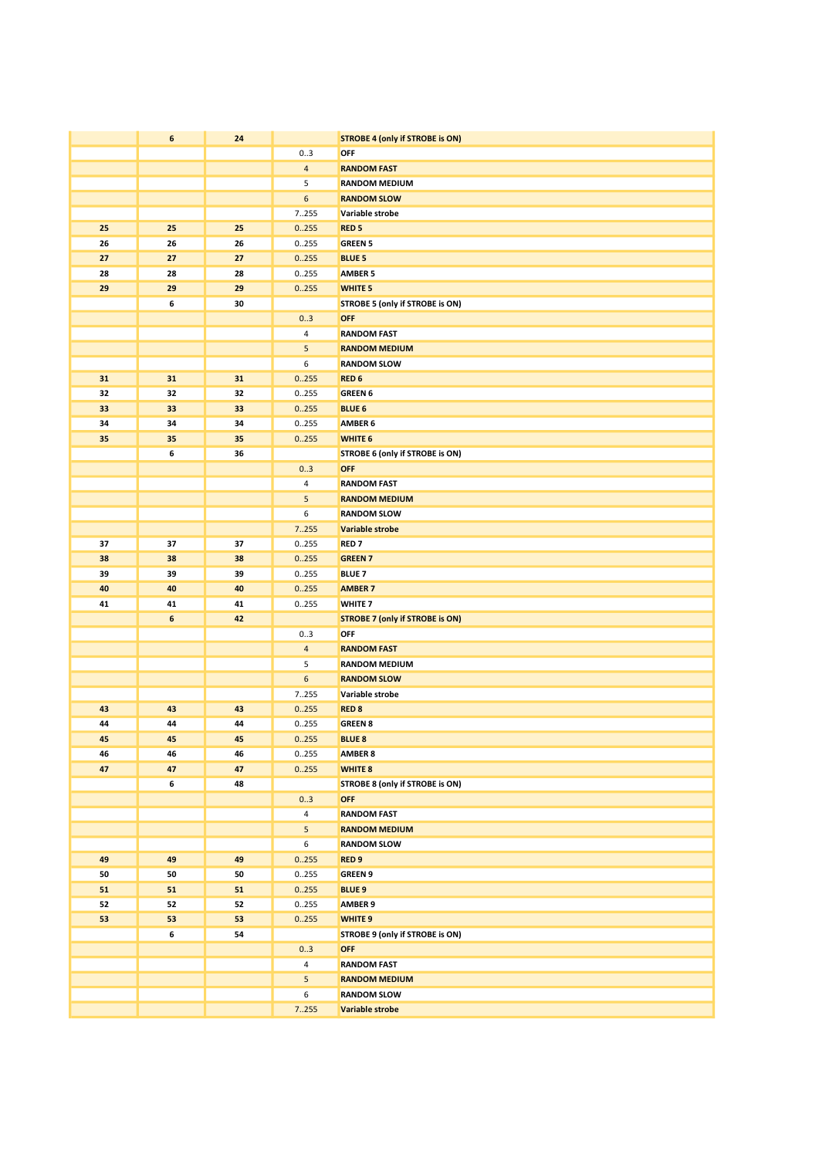|          | $\boldsymbol{6}$ | 24       |                       | <b>STROBE 4 (only if STROBE is ON)</b> |
|----------|------------------|----------|-----------------------|----------------------------------------|
|          |                  |          | 03                    | OFF                                    |
|          |                  |          | $\overline{4}$        | <b>RANDOM FAST</b>                     |
|          |                  |          | 5                     | <b>RANDOM MEDIUM</b>                   |
|          |                  |          | 6                     | <b>RANDOM SLOW</b>                     |
|          |                  |          | 7255                  | Variable strobe                        |
| 25       | 25               | 25       | 0.255                 | <b>RED<sub>5</sub></b>                 |
| 26       | 26               | 26       | 0255                  | <b>GREEN 5</b>                         |
| 27       | 27               | 27       | 0.255                 | <b>BLUE 5</b>                          |
| 28       | 28               | 28       | 0255                  | <b>AMBER 5</b>                         |
| 29       | 29               | 29       | 0.255                 | <b>WHITE 5</b>                         |
|          | 6                | 30       |                       | STROBE 5 (only if STROBE is ON)        |
|          |                  |          | 0.3                   | <b>OFF</b>                             |
|          |                  |          | 4                     | <b>RANDOM FAST</b>                     |
|          |                  |          | 5                     | <b>RANDOM MEDIUM</b>                   |
|          |                  |          | 6                     | <b>RANDOM SLOW</b>                     |
| 31       | 31               | 31       | 0.255                 | RED <sub>6</sub>                       |
| 32       | 32               | 32       | 0.255                 | <b>GREEN 6</b>                         |
| 33<br>34 | 33<br>34         | 33<br>34 | 0.255<br>0255         | <b>BLUE 6</b><br>AMBER 6               |
| 35       | 35               | 35       | 0.255                 | WHITE 6                                |
|          | 6                | 36       |                       | STROBE 6 (only if STROBE is ON)        |
|          |                  |          | 03                    | <b>OFF</b>                             |
|          |                  |          | 4                     | <b>RANDOM FAST</b>                     |
|          |                  |          | 5                     | <b>RANDOM MEDIUM</b>                   |
|          |                  |          | 6                     | <b>RANDOM SLOW</b>                     |
|          |                  |          | 7255                  | Variable strobe                        |
| 37       | 37               | 37       | 0255                  | <b>RED7</b>                            |
| 38       | 38               | 38       | 0.255                 | <b>GREEN 7</b>                         |
| 39       | 39               | 39       | 0255                  | <b>BLUE 7</b>                          |
| 40       | 40               | 40       | 0.255                 | <b>AMBER 7</b>                         |
| 41       | 41               | 41       | 0255                  | WHITE <sub>7</sub>                     |
|          | $\boldsymbol{6}$ | 42       |                       | <b>STROBE 7 (only if STROBE is ON)</b> |
|          |                  |          | 03                    | OFF                                    |
|          |                  |          | $\overline{4}$        | <b>RANDOM FAST</b>                     |
|          |                  |          | 5<br>$\boldsymbol{6}$ | <b>RANDOM MEDIUM</b>                   |
|          |                  |          | 7255                  | <b>RANDOM SLOW</b><br>Variable strobe  |
| 43       | 43               | 43       | 0.255                 | <b>RED 8</b>                           |
| 44       | 44               | 44       | 0255                  | <b>GREEN 8</b>                         |
| 45       | 45               | 45       | 0.255                 | <b>BLUE 8</b>                          |
| 46       | 46               | 46       | 0255                  | <b>AMBER 8</b>                         |
| 47       | 47               | 47       | 0.255                 | WHITE 8                                |
|          | 6                | 48       |                       | STROBE 8 (only if STROBE is ON)        |
|          |                  |          | 03                    | <b>OFF</b>                             |
|          |                  |          | 4                     | <b>RANDOM FAST</b>                     |
|          |                  |          | 5                     | <b>RANDOM MEDIUM</b>                   |
|          |                  |          | 6                     | <b>RANDOM SLOW</b>                     |
| 49       | 49               | 49       | 0.255                 | RED <sub>9</sub>                       |
| 50       | 50               | 50       | 0.255                 | <b>GREEN 9</b>                         |
| 51       | 51               | 51       | 0.255                 | <b>BLUE 9</b>                          |
| 52<br>53 | 52<br>53         | 52<br>53 | 0255                  | <b>AMBER 9</b><br>WHITE <sub>9</sub>   |
|          | 6                | 54       | 0.255                 | STROBE 9 (only if STROBE is ON)        |
|          |                  |          | 03                    | <b>OFF</b>                             |
|          |                  |          | 4                     | <b>RANDOM FAST</b>                     |
|          |                  |          | 5                     | <b>RANDOM MEDIUM</b>                   |
|          |                  |          | 6                     | <b>RANDOM SLOW</b>                     |
|          |                  |          | 7.255                 | <b>Variable strobe</b>                 |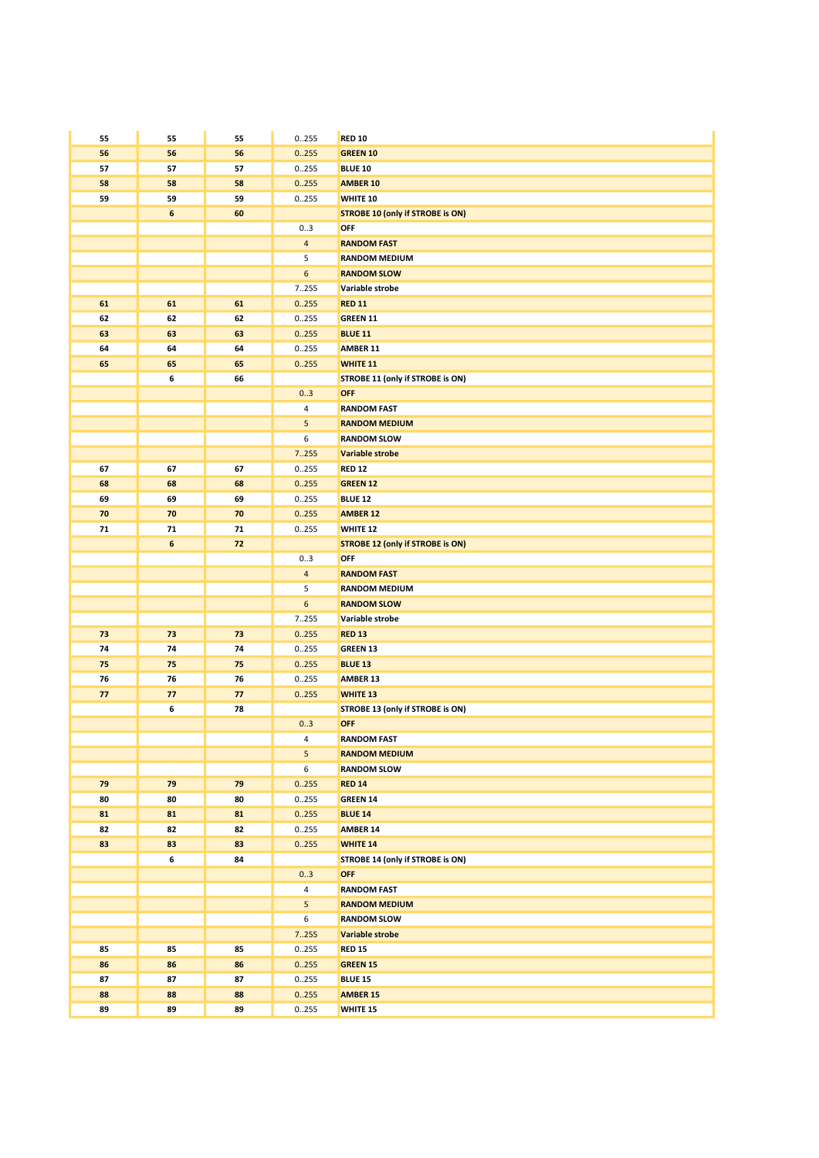| 55       | 55               | 55       | 0255                    | <b>RED 10</b>                           |
|----------|------------------|----------|-------------------------|-----------------------------------------|
| 56       | 56               | 56       | 0.255                   | <b>GREEN 10</b>                         |
| 57       | 57               | 57       | 0255                    | <b>BLUE 10</b>                          |
| 58       | 58               | 58       | 0.255                   | <b>AMBER 10</b>                         |
| 59       | 59               | 59       | 0255                    | WHITE 10                                |
|          | $\boldsymbol{6}$ | 60       |                         | <b>STROBE 10 (only if STROBE is ON)</b> |
|          |                  |          | 03                      | OFF                                     |
|          |                  |          | 4                       | <b>RANDOM FAST</b>                      |
|          |                  |          | 5                       | <b>RANDOM MEDIUM</b>                    |
|          |                  |          | 6                       | <b>RANDOM SLOW</b>                      |
|          |                  |          | 7255                    | Variable strobe                         |
| 61       | 61               | 61       | 0.255                   | <b>RED 11</b>                           |
| 62       | 62               | 62       | 0255                    | <b>GREEN 11</b>                         |
| 63<br>64 | 63<br>64         | 63<br>64 | 0.255<br>0255           | <b>BLUE 11</b><br>AMBER 11              |
| 65       | 65               | 65       | 0.255                   | <b>WHITE 11</b>                         |
|          | 6                | 66       |                         | STROBE 11 (only if STROBE is ON)        |
|          |                  |          | 03                      | OFF                                     |
|          |                  |          | $\overline{\mathbf{4}}$ | <b>RANDOM FAST</b>                      |
|          |                  |          | 5                       | <b>RANDOM MEDIUM</b>                    |
|          |                  |          | 6                       | <b>RANDOM SLOW</b>                      |
|          |                  |          | 7.255                   | <b>Variable strobe</b>                  |
| 67       | 67               | 67       | 0255                    | <b>RED 12</b>                           |
| 68       | 68               | 68       | 0.255                   | <b>GREEN 12</b>                         |
| 69       | 69               | 69       | 0255                    | <b>BLUE 12</b>                          |
| 70       | 70               | 70       | 0.255                   | <b>AMBER 12</b>                         |
| 71       | 71               | 71       | 0255                    | WHITE 12                                |
|          | $\boldsymbol{6}$ | 72       |                         | <b>STROBE 12 (only if STROBE is ON)</b> |
|          |                  |          | 03                      | OFF                                     |
|          |                  |          | $\overline{\mathbf{4}}$ | <b>RANDOM FAST</b>                      |
|          |                  |          | 5                       | <b>RANDOM MEDIUM</b>                    |
|          |                  |          | 6                       | <b>RANDOM SLOW</b>                      |
|          |                  |          | 7255                    | Variable strobe                         |
| 73       | 73               | 73       | 0.255                   | <b>RED 13</b>                           |
| 74<br>75 | 74<br>75         | 74<br>75 | 0255<br>0.255           | <b>GREEN 13</b><br><b>BLUE 13</b>       |
| 76       | 76               | 76       | 0255                    | AMBER 13                                |
| 77       | 77               | 77       | 0.255                   | <b>WHITE 13</b>                         |
|          | 6                | 78       |                         | STROBE 13 (only if STROBE is ON)        |
|          |                  |          | 03                      | OFF                                     |
|          |                  |          | 4                       | <b>RANDOM FAST</b>                      |
|          |                  |          | 5                       | <b>RANDOM MEDIUM</b>                    |
|          |                  |          | 6                       | <b>RANDOM SLOW</b>                      |
| 79       | 79               | 79       | 0.255                   | <b>RED 14</b>                           |
| 80       | 80               | 80       | 0.255                   | <b>GREEN 14</b>                         |
| 81       | 81               | 81       | 0.255                   | <b>BLUE 14</b>                          |
| 82       | 82               | 82       | 0.255                   | <b>AMBER 14</b>                         |
| 83       | 83               | 83       | 0.255                   | <b>WHITE 14</b>                         |
|          | 6                | 84       |                         | STROBE 14 (only if STROBE is ON)        |
|          |                  |          | 03                      | <b>OFF</b>                              |
|          |                  |          | $\overline{4}$          | <b>RANDOM FAST</b>                      |
|          |                  |          | 5                       | <b>RANDOM MEDIUM</b>                    |
|          |                  |          | 6                       | <b>RANDOM SLOW</b>                      |
|          | 85               | 85       | 7.255                   | Variable strobe<br><b>RED 15</b>        |
| 85       |                  | 86       | 0255                    |                                         |
| 86<br>87 | 86<br>87         | 87       | 0.255<br>0255           | <b>GREEN 15</b><br><b>BLUE 15</b>       |
| 88       | 88               | 88       | 0.255                   | <b>AMBER 15</b>                         |
| 89       | 89               | 89       | 0.255                   | WHITE 15                                |
|          |                  |          |                         |                                         |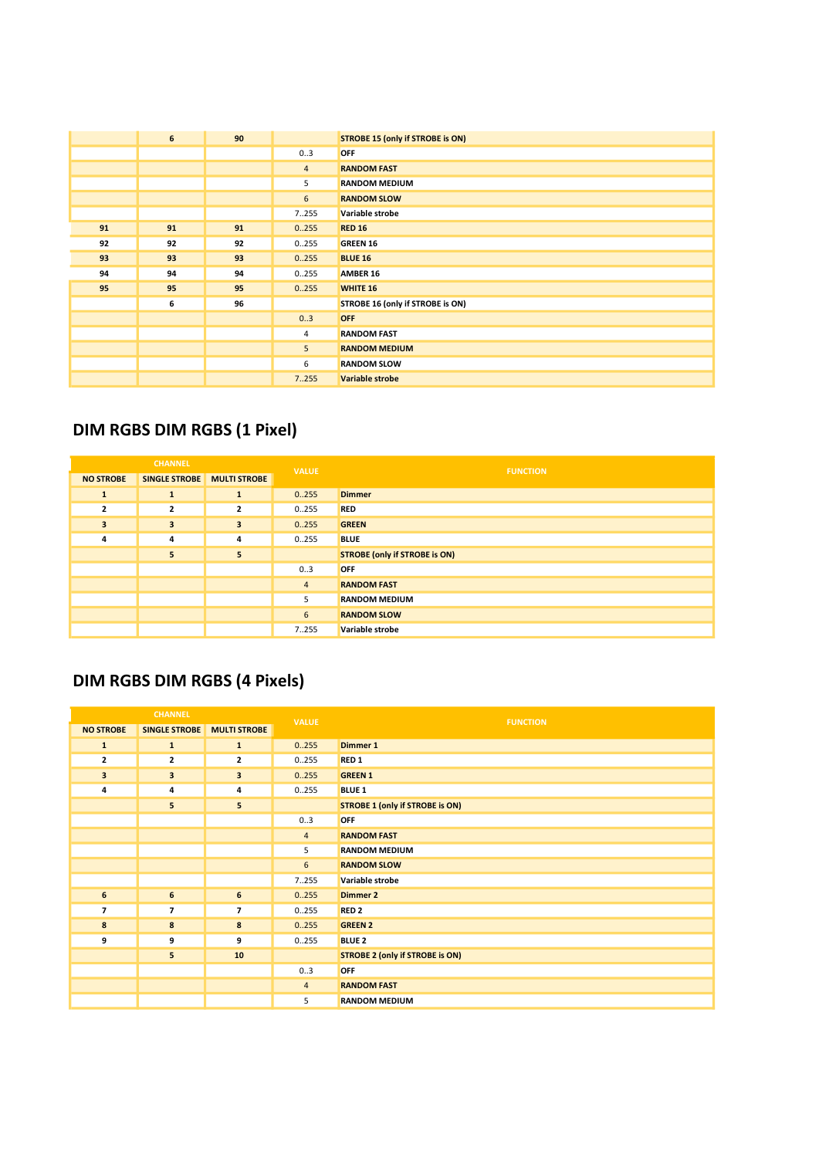|    | 6  | 90 |                | <b>STROBE 15 (only if STROBE is ON)</b> |
|----|----|----|----------------|-----------------------------------------|
|    |    |    | 03             | <b>OFF</b>                              |
|    |    |    | $\overline{4}$ | <b>RANDOM FAST</b>                      |
|    |    |    | 5              | <b>RANDOM MEDIUM</b>                    |
|    |    |    | 6              | <b>RANDOM SLOW</b>                      |
|    |    |    | 7255           | Variable strobe                         |
| 91 | 91 | 91 | 0.255          | <b>RED 16</b>                           |
| 92 | 92 | 92 | 0255           | <b>GREEN 16</b>                         |
| 93 | 93 | 93 | 0.255          | <b>BLUE 16</b>                          |
| 94 | 94 | 94 | 0.255          | <b>AMBER 16</b>                         |
| 95 | 95 | 95 | 0.255          | <b>WHITE 16</b>                         |
|    | 6  | 96 |                | STROBE 16 (only if STROBE is ON)        |
|    |    |    | 0.3            | <b>OFF</b>                              |
|    |    |    | 4              | <b>RANDOM FAST</b>                      |
|    |    |    | 5              | <b>RANDOM MEDIUM</b>                    |
|    |    |    | 6              | <b>RANDOM SLOW</b>                      |
|    |    |    | 7.255          | <b>Variable strobe</b>                  |

### DIM RGBS DIM RGBS (1 Pixel)

| <b>CHANNEL</b>   |                         | <b>VALUE</b>            | <b>FUNCTION</b> |                                      |
|------------------|-------------------------|-------------------------|-----------------|--------------------------------------|
| <b>NO STROBE</b> | SINGLE STROBE           | <b>MULTI STROBE</b>     |                 |                                      |
| 1                | $\mathbf{1}$            | 1                       | 0.255           | <b>Dimmer</b>                        |
| $\overline{2}$   | $\overline{2}$          | $\overline{\mathbf{2}}$ | 0.255           | <b>RED</b>                           |
| 3                | $\overline{\mathbf{3}}$ | $\overline{\mathbf{3}}$ | 0.255           | <b>GREEN</b>                         |
| 4                | 4                       | $\overline{4}$          | 0255            | <b>BLUE</b>                          |
|                  | 5                       | 5                       |                 | <b>STROBE (only if STROBE is ON)</b> |
|                  |                         |                         | 03              | <b>OFF</b>                           |
|                  |                         |                         | $\overline{4}$  | <b>RANDOM FAST</b>                   |
|                  |                         |                         | 5               | <b>RANDOM MEDIUM</b>                 |
|                  |                         |                         | 6               | <b>RANDOM SLOW</b>                   |
|                  |                         |                         | 7255            | Variable strobe                      |

## DIM RGBS DIM RGBS (4 Pixels)

| <b>CHANNEL</b>          |                      | <b>VALUE</b>            | <b>FUNCTION</b> |                                        |
|-------------------------|----------------------|-------------------------|-----------------|----------------------------------------|
| <b>NO STROBE</b>        | <b>SINGLE STROBE</b> | <b>MULTI STROBE</b>     |                 |                                        |
| $\mathbf{1}$            | $\mathbf{1}$         | $\mathbf{1}$            | 0.255           | <b>Dimmer 1</b>                        |
| $\overline{2}$          | 2                    | $\overline{\mathbf{2}}$ | 0.255           | RED <sub>1</sub>                       |
| $\overline{\mathbf{3}}$ | 3                    | $\mathbf{3}$            | 0.255           | <b>GREEN 1</b>                         |
| 4                       | 4                    | 4                       | 0.255           | <b>BLUE 1</b>                          |
|                         | 5                    | 5                       |                 | <b>STROBE 1 (only if STROBE is ON)</b> |
|                         |                      |                         | 03              | OFF                                    |
|                         |                      |                         | $\overline{4}$  | <b>RANDOM FAST</b>                     |
|                         |                      |                         | 5               | <b>RANDOM MEDIUM</b>                   |
|                         |                      |                         | $\sqrt{6}$      | <b>RANDOM SLOW</b>                     |
|                         |                      |                         | 7255            | Variable strobe                        |
| $\boldsymbol{6}$        | 6                    | $\bf 6$                 | 0.255           | <b>Dimmer 2</b>                        |
| $\overline{7}$          | $\overline{ }$       | $\overline{7}$          | 0.255           | RED <sub>2</sub>                       |
| 8                       | 8                    | 8                       | 0.255           | <b>GREEN 2</b>                         |
| 9                       | 9                    | 9                       | 0.255           | <b>BLUE 2</b>                          |
|                         | 5                    | 10                      |                 | <b>STROBE 2 (only if STROBE is ON)</b> |
|                         |                      |                         | 03              | OFF                                    |
|                         |                      |                         | $\overline{4}$  | <b>RANDOM FAST</b>                     |
|                         |                      |                         | 5               | <b>RANDOM MEDIUM</b>                   |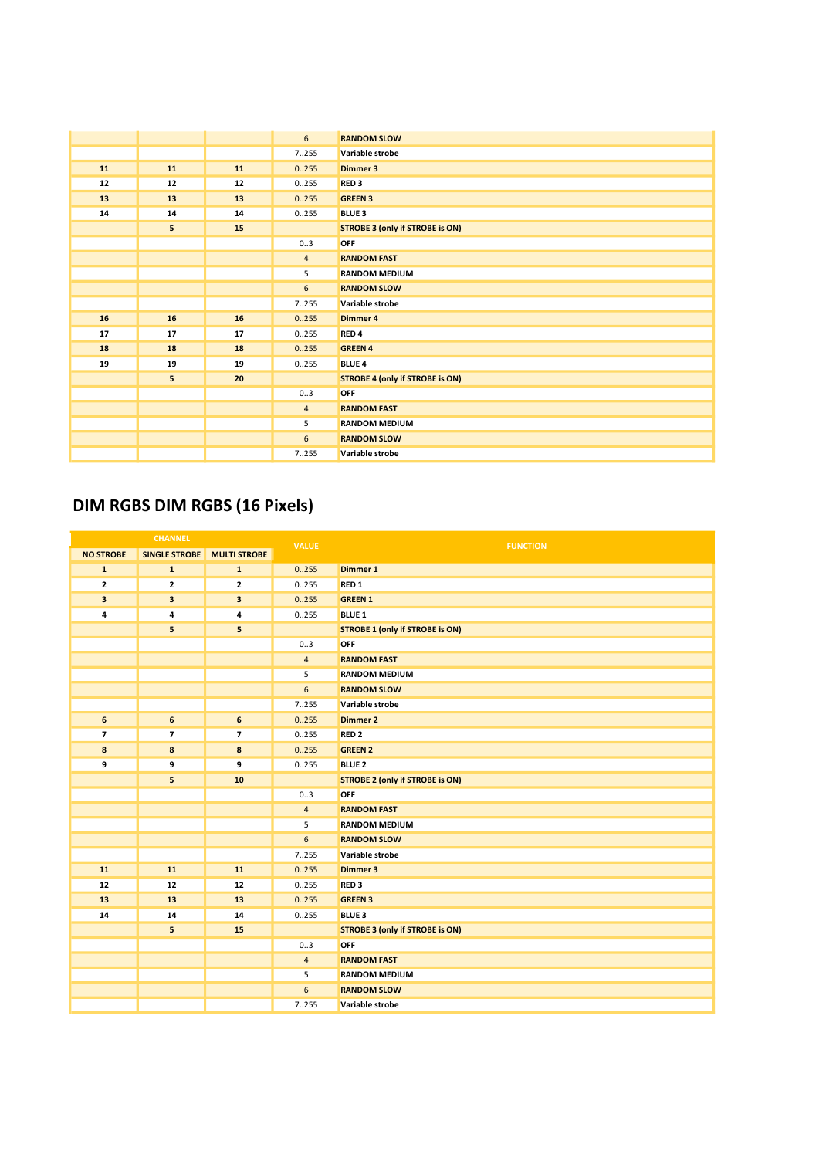|    |    |    | $6\overline{6}$ | <b>RANDOM SLOW</b>                     |
|----|----|----|-----------------|----------------------------------------|
|    |    |    | 7.255           | Variable strobe                        |
| 11 | 11 | 11 | 0.255           | Dimmer 3                               |
| 12 | 12 | 12 | 0.255           | RED <sub>3</sub>                       |
| 13 | 13 | 13 | 0.255           | <b>GREEN 3</b>                         |
| 14 | 14 | 14 | 0.255           | <b>BLUE 3</b>                          |
|    | 5  | 15 |                 | <b>STROBE 3 (only if STROBE is ON)</b> |
|    |    |    | 03              | OFF                                    |
|    |    |    | $\overline{4}$  | <b>RANDOM FAST</b>                     |
|    |    |    | 5               | <b>RANDOM MEDIUM</b>                   |
|    |    |    | 6               | <b>RANDOM SLOW</b>                     |
|    |    |    | 7.255           | Variable strobe                        |
| 16 | 16 | 16 | 0.255           | Dimmer 4                               |
| 17 | 17 | 17 | 0.255           | RED <sub>4</sub>                       |
| 18 | 18 | 18 | 0.255           | <b>GREEN 4</b>                         |
| 19 | 19 | 19 | 0.255           | <b>BLUE 4</b>                          |
|    | 5  | 20 |                 | <b>STROBE 4 (only if STROBE is ON)</b> |
|    |    |    | 03              | OFF                                    |
|    |    |    | $\overline{4}$  | <b>RANDOM FAST</b>                     |
|    |    |    | 5               | <b>RANDOM MEDIUM</b>                   |
|    |    |    | 6               | <b>RANDOM SLOW</b>                     |
|    |    |    | 7255            | Variable strobe                        |

### DIM RGBS DIM RGBS (16 Pixels)

| <b>CHANNEL</b>          |                          | <b>VALUE</b>             | <b>FUNCTION</b>  |                                        |
|-------------------------|--------------------------|--------------------------|------------------|----------------------------------------|
| <b>NO STROBE</b>        | <b>SINGLE STROBE</b>     | <b>MULTI STROBE</b>      |                  |                                        |
| $\mathbf{1}$            | $\mathbf{1}$             | ${\bf 1}$                | 0.255            | Dimmer 1                               |
| $\mathbf 2$             | 2                        | $\mathbf{2}$             | 0.255            | RED <sub>1</sub>                       |
| 3                       | 3                        | 3                        | 0.255            | <b>GREEN 1</b>                         |
| 4                       | 4                        | 4                        | 0.255            | <b>BLUE 1</b>                          |
|                         | 5                        | 5                        |                  | <b>STROBE 1 (only if STROBE is ON)</b> |
|                         |                          |                          | 0.3              | OFF                                    |
|                         |                          |                          | $\overline{4}$   | <b>RANDOM FAST</b>                     |
|                         |                          |                          | 5                | <b>RANDOM MEDIUM</b>                   |
|                         |                          |                          | $\boldsymbol{6}$ | <b>RANDOM SLOW</b>                     |
|                         |                          |                          | 7255             | Variable strobe                        |
| $\boldsymbol{6}$        | 6                        | 6                        | 0.255            | <b>Dimmer 2</b>                        |
| $\overline{\mathbf{z}}$ | $\overline{\phantom{a}}$ | $\overline{\phantom{a}}$ | 0.255            | RED <sub>2</sub>                       |
| 8                       | 8                        | 8                        | 0.255            | <b>GREEN 2</b>                         |
| 9                       | 9                        | 9                        | 0.255            | <b>BLUE 2</b>                          |
|                         | 5                        | 10                       |                  | <b>STROBE 2 (only if STROBE is ON)</b> |
|                         |                          |                          | 03               | OFF                                    |
|                         |                          |                          | $\overline{4}$   | <b>RANDOM FAST</b>                     |
|                         |                          |                          | 5                | <b>RANDOM MEDIUM</b>                   |
|                         |                          |                          | $6\phantom{1}$   | <b>RANDOM SLOW</b>                     |
|                         |                          |                          | 7.255            | Variable strobe                        |
| 11                      | 11                       | 11                       | 0.255            | Dimmer 3                               |
| 12                      | 12                       | 12                       | 0.255            | RED <sub>3</sub>                       |
| 13                      | 13                       | 13                       | 0.255            | <b>GREEN 3</b>                         |
| 14                      | 14                       | 14                       | 0.255            | <b>BLUE 3</b>                          |
|                         | 5                        | 15                       |                  | <b>STROBE 3 (only if STROBE is ON)</b> |
|                         |                          |                          | 0.3              | OFF                                    |
|                         |                          |                          | $\sqrt{4}$       | <b>RANDOM FAST</b>                     |
|                         |                          |                          | 5                | <b>RANDOM MEDIUM</b>                   |
|                         |                          |                          | 6                | <b>RANDOM SLOW</b>                     |
|                         |                          |                          | 7255             | Variable strobe                        |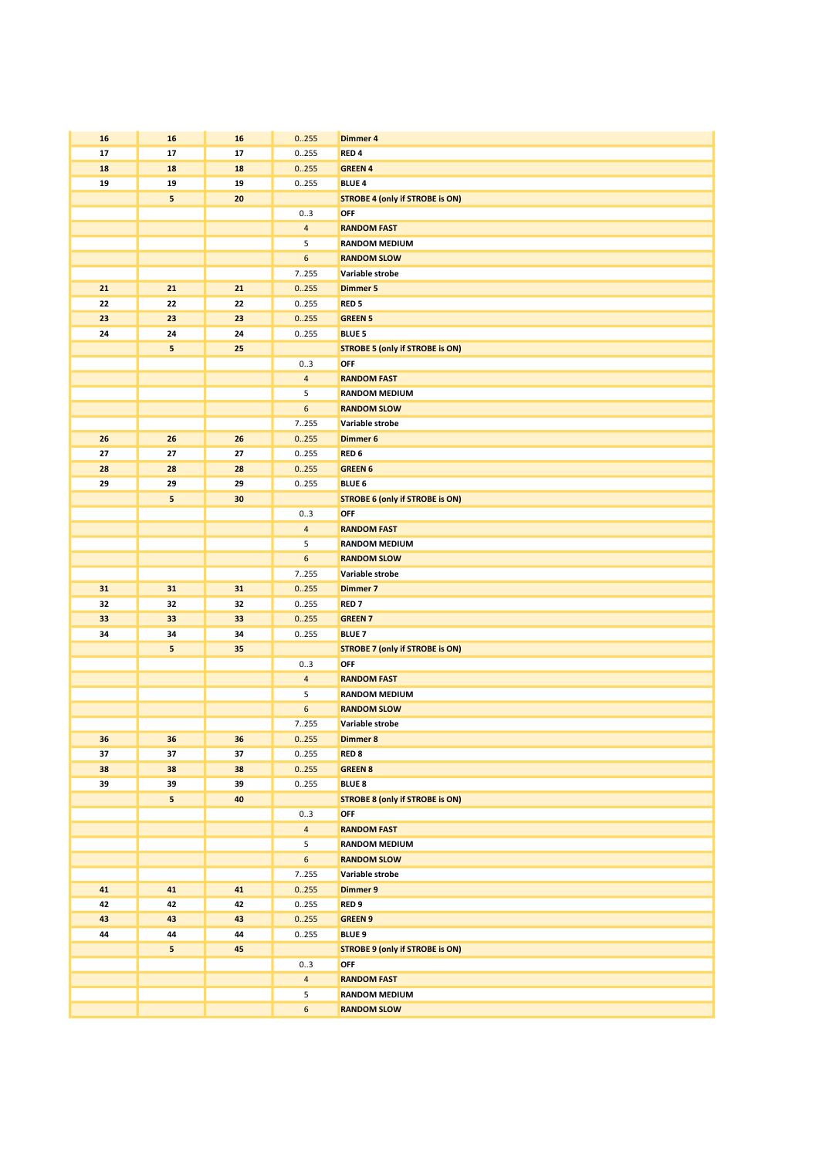| 16 | 16 | 16 | 0.255            | <b>Dimmer 4</b>                        |
|----|----|----|------------------|----------------------------------------|
| 17 | 17 | 17 | 0255             | RED <sub>4</sub>                       |
|    |    |    |                  |                                        |
| 18 | 18 | 18 | 0.255            | <b>GREEN 4</b>                         |
| 19 | 19 | 19 | 0.255            | <b>BLUE 4</b>                          |
|    | 5  | 20 |                  | <b>STROBE 4 (only if STROBE is ON)</b> |
|    |    |    | 03               | OFF                                    |
|    |    |    | $\overline{4}$   | <b>RANDOM FAST</b>                     |
|    |    |    | 5                | <b>RANDOM MEDIUM</b>                   |
|    |    |    | 6                | <b>RANDOM SLOW</b>                     |
|    |    |    | 7255             | Variable strobe                        |
| 21 | 21 | 21 | 0.255            | <b>Dimmer 5</b>                        |
| 22 | 22 | 22 | 0255             | RED <sub>5</sub>                       |
| 23 | 23 | 23 | 0.255            | <b>GREEN 5</b>                         |
| 24 | 24 | 24 | 0255             | <b>BLUE 5</b>                          |
|    | 5  | 25 |                  | <b>STROBE 5 (only if STROBE is ON)</b> |
|    |    |    | 03               | OFF                                    |
|    |    |    | $\overline{4}$   | <b>RANDOM FAST</b>                     |
|    |    |    | 5                | <b>RANDOM MEDIUM</b>                   |
|    |    |    | 6                | <b>RANDOM SLOW</b>                     |
|    |    |    | 7255             | Variable strobe                        |
|    |    |    |                  |                                        |
| 26 | 26 | 26 | 0.255            | Dimmer 6                               |
| 27 | 27 | 27 | 0255             | RED <sub>6</sub>                       |
| 28 | 28 | 28 | 0.255            | <b>GREEN 6</b>                         |
| 29 | 29 | 29 | 0255             | <b>BLUE 6</b>                          |
|    | 5  | 30 |                  | <b>STROBE 6 (only if STROBE is ON)</b> |
|    |    |    | 03               | OFF                                    |
|    |    |    | $\overline{4}$   | <b>RANDOM FAST</b>                     |
|    |    |    | 5                | <b>RANDOM MEDIUM</b>                   |
|    |    |    | 6                | <b>RANDOM SLOW</b>                     |
|    |    |    | 7255             | Variable strobe                        |
| 31 | 31 | 31 | 0.255            | <b>Dimmer 7</b>                        |
| 32 | 32 | 32 | 0255             | <b>RED7</b>                            |
| 33 | 33 | 33 | 0.255            | <b>GREEN 7</b>                         |
| 34 | 34 | 34 | 0255             | <b>BLUE 7</b>                          |
|    | 5  | 35 |                  | <b>STROBE 7 (only if STROBE is ON)</b> |
|    |    |    | 03               | OFF                                    |
|    |    |    | $\overline{4}$   | <b>RANDOM FAST</b>                     |
|    |    |    | 5                | <b>RANDOM MEDIUM</b>                   |
|    |    |    | 6                | <b>RANDOM SLOW</b>                     |
|    |    |    | 7255             | Variable strobe                        |
| 36 | 36 | 36 | 0.255            | Dimmer 8                               |
| 37 | 37 | 37 | 0.255            | RED <sub>8</sub>                       |
| 38 | 38 | 38 | 0.255            | <b>GREEN 8</b>                         |
| 39 | 39 | 39 | 0.255            | <b>BLUE 8</b>                          |
|    |    |    |                  |                                        |
|    | 5  | 40 |                  | <b>STROBE 8 (only if STROBE is ON)</b> |
|    |    |    | 03               | OFF                                    |
|    |    |    | $\overline{4}$   | <b>RANDOM FAST</b>                     |
|    |    |    | 5                | <b>RANDOM MEDIUM</b>                   |
|    |    |    | 6                | <b>RANDOM SLOW</b>                     |
|    |    |    | 7255             | Variable strobe                        |
| 41 | 41 | 41 | 0.255            | <b>Dimmer 9</b>                        |
| 42 | 42 | 42 | 0.255            | RED <sub>9</sub>                       |
| 43 | 43 | 43 | 0.255            | <b>GREEN 9</b>                         |
| 44 | 44 | 44 | 0.255            | <b>BLUE 9</b>                          |
|    | 5  | 45 |                  | <b>STROBE 9 (only if STROBE is ON)</b> |
|    |    |    | 03               | OFF                                    |
|    |    |    | $\overline{4}$   | <b>RANDOM FAST</b>                     |
|    |    |    | 5                | <b>RANDOM MEDIUM</b>                   |
|    |    |    | $\boldsymbol{6}$ | <b>RANDOM SLOW</b>                     |
|    |    |    |                  |                                        |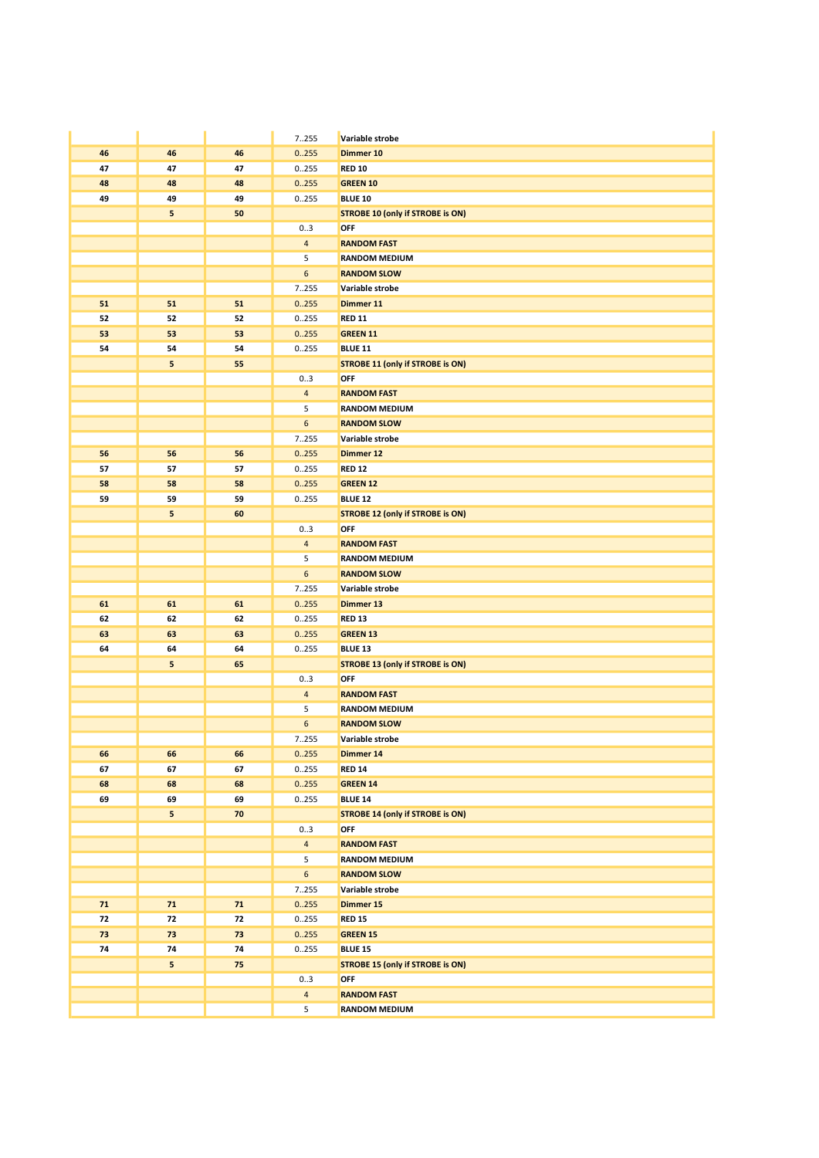|    |         |      | 7255           | Variable strobe                                |
|----|---------|------|----------------|------------------------------------------------|
| 46 | 46      | 46   | 0.255          | Dimmer 10                                      |
| 47 | 47      | 47   | 0255           | <b>RED 10</b>                                  |
| 48 | 48      | 48   | 0.255          | <b>GREEN 10</b>                                |
| 49 | 49      | 49   | 0255           | <b>BLUE 10</b>                                 |
|    | 5       | 50   |                | <b>STROBE 10 (only if STROBE is ON)</b>        |
|    |         |      | 03             | OFF                                            |
|    |         |      | $\overline{4}$ | <b>RANDOM FAST</b>                             |
|    |         |      | 5              | <b>RANDOM MEDIUM</b>                           |
|    |         |      | 6              | <b>RANDOM SLOW</b>                             |
|    |         |      | 7255           | Variable strobe                                |
| 51 | 51      | 51   | 0.255          | Dimmer 11                                      |
| 52 | 52      | 52   | 0255           | <b>RED 11</b>                                  |
| 53 | 53      | 53   | 0.255          | <b>GREEN 11</b>                                |
| 54 | 54<br>5 | 54   | 0255           | <b>BLUE 11</b>                                 |
|    |         | 55   | 03             | <b>STROBE 11 (only if STROBE is ON)</b><br>OFF |
|    |         |      | $\overline{4}$ | <b>RANDOM FAST</b>                             |
|    |         |      | 5              | <b>RANDOM MEDIUM</b>                           |
|    |         |      | 6              | <b>RANDOM SLOW</b>                             |
|    |         |      | 7255           | Variable strobe                                |
| 56 | 56      | 56   | 0.255          | Dimmer 12                                      |
| 57 | 57      | 57   | 0255           | <b>RED 12</b>                                  |
| 58 | 58      | 58   | 0.255          | <b>GREEN 12</b>                                |
| 59 | 59      | 59   | 0255           | <b>BLUE 12</b>                                 |
|    | 5       | 60   |                | <b>STROBE 12 (only if STROBE is ON)</b>        |
|    |         |      | 03             | OFF                                            |
|    |         |      | $\overline{4}$ | <b>RANDOM FAST</b>                             |
|    |         |      | 5              | <b>RANDOM MEDIUM</b>                           |
|    |         |      | 6              | <b>RANDOM SLOW</b>                             |
|    |         |      | 7255           | Variable strobe                                |
| 61 | 61      | 61   | 0.255          | Dimmer 13                                      |
| 62 | 62      | 62   | 0255           | <b>RED 13</b>                                  |
| 63 | 63      | 63   | 0.255          | <b>GREEN 13</b>                                |
| 64 | 64      | 64   | 0255           | <b>BLUE 13</b>                                 |
|    | 5       | 65   |                | <b>STROBE 13 (only if STROBE is ON)</b>        |
|    |         |      | 03             | OFF                                            |
|    |         |      | $\overline{4}$ | <b>RANDOM FAST</b>                             |
|    |         |      | 5              | <b>RANDOM MEDIUM</b>                           |
|    |         |      | 6              | <b>RANDOM SLOW</b>                             |
|    |         |      | 7.255          | Variable strobe                                |
| 66 | 66      | 66   | 0.255          | Dimmer 14                                      |
| 67 | 67      | 67   | 0255           | <b>RED 14</b>                                  |
| 68 | 68      | 68   | 0.255          | <b>GREEN 14</b>                                |
| 69 | 69      | 69   | 0.255          | <b>BLUE 14</b>                                 |
|    | 5       | 70   |                | <b>STROBE 14 (only if STROBE is ON)</b>        |
|    |         |      | 03             | OFF                                            |
|    |         |      | $\overline{4}$ | <b>RANDOM FAST</b>                             |
|    |         |      | 5              | <b>RANDOM MEDIUM</b>                           |
|    |         |      | 6              | <b>RANDOM SLOW</b>                             |
|    |         |      | 7255           | Variable strobe                                |
| 71 | 71      | $71$ | 0.255          | Dimmer 15                                      |
| 72 | 72      | 72   | 0.255          | <b>RED 15</b>                                  |
| 73 | 73      | 73   | 0.255          | <b>GREEN 15</b>                                |
| 74 | 74      | 74   | 0255           | <b>BLUE 15</b>                                 |
|    | 5       | 75   |                | <b>STROBE 15 (only if STROBE is ON)</b>        |
|    |         |      | 03             | OFF                                            |
|    |         |      | $\overline{4}$ | <b>RANDOM FAST</b>                             |
|    |         |      | 5              | <b>RANDOM MEDIUM</b>                           |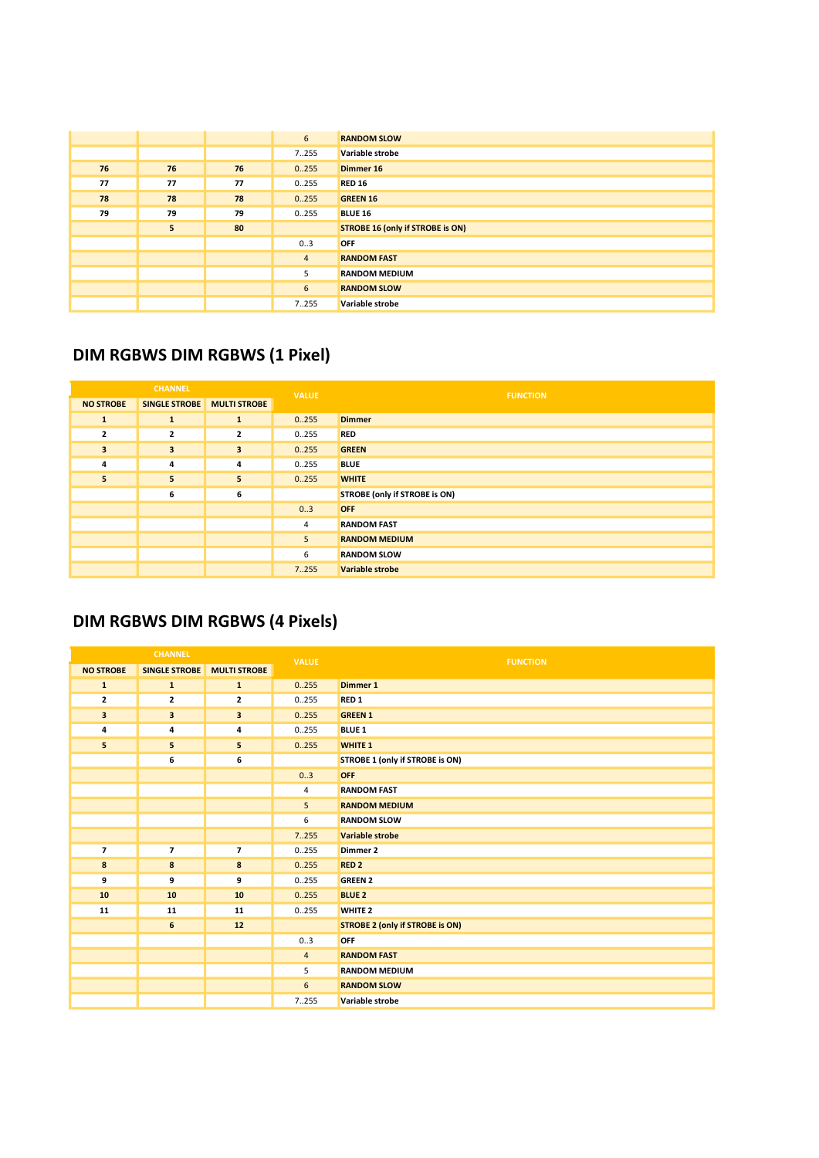|    |    |    | 6              | <b>RANDOM SLOW</b>                      |
|----|----|----|----------------|-----------------------------------------|
|    |    |    | 7255           | Variable strobe                         |
| 76 | 76 | 76 | 0.255          | Dimmer 16                               |
| 77 | 77 | 77 | 0255           | <b>RED 16</b>                           |
| 78 | 78 | 78 | 0.255          | <b>GREEN 16</b>                         |
| 79 | 79 | 79 | 0255           | <b>BLUE 16</b>                          |
|    | 5  | 80 |                | <b>STROBE 16 (only if STROBE is ON)</b> |
|    |    |    | 03             | <b>OFF</b>                              |
|    |    |    | $\overline{4}$ | <b>RANDOM FAST</b>                      |
|    |    |    | 5              | <b>RANDOM MEDIUM</b>                    |
|    |    |    | 6              | <b>RANDOM SLOW</b>                      |
|    |    |    | 7255           | Variable strobe                         |

### DIM RGBWS DIM RGBWS (1 Pixel)

| <b>CHANNEL</b>          |                         | <b>VALUE</b>        | <b>FUNCTION</b> |                               |
|-------------------------|-------------------------|---------------------|-----------------|-------------------------------|
| <b>NO STROBE</b>        | <b>SINGLE STROBE</b>    | <b>MULTI STROBE</b> |                 |                               |
| $\mathbf{1}$            | $\mathbf{1}$            | $\mathbf{1}$        | 0.255           | <b>Dimmer</b>                 |
| $\overline{2}$          | $\overline{2}$          | $\overline{2}$      | 0255            | <b>RED</b>                    |
| $\overline{\mathbf{3}}$ | $\overline{\mathbf{3}}$ | 3                   | 0.255           | <b>GREEN</b>                  |
| 4                       | 4                       | 4                   | 0255            | <b>BLUE</b>                   |
| 5                       | 5                       | 5                   | 0.255           | <b>WHITE</b>                  |
|                         | 6                       | 6                   |                 | STROBE (only if STROBE is ON) |
|                         |                         |                     | 0.3             | <b>OFF</b>                    |
|                         |                         |                     | 4               | <b>RANDOM FAST</b>            |
|                         |                         |                     | 5               | <b>RANDOM MEDIUM</b>          |
|                         |                         |                     | 6               | <b>RANDOM SLOW</b>            |
|                         |                         |                     | 7.255           | <b>Variable strobe</b>        |

### DIM RGBWS DIM RGBWS (4 Pixels)

|                  | <b>CHANNEL</b>          |                         | <b>VALUE</b>   | <b>FUNCTION</b>                        |
|------------------|-------------------------|-------------------------|----------------|----------------------------------------|
| <b>NO STROBE</b> | <b>SINGLE STROBE</b>    | <b>MULTI STROBE</b>     |                |                                        |
| $\mathbf{1}$     | $\mathbf{1}$            | ${\bf 1}$               | 0.255          | Dimmer 1                               |
| $\mathbf{z}$     | $\overline{\mathbf{2}}$ | $\overline{\mathbf{2}}$ | 0.255          | RED <sub>1</sub>                       |
| 3                | 3                       | 3                       | 0.255          | <b>GREEN 1</b>                         |
| 4                | 4                       | 4                       | 0.255          | <b>BLUE 1</b>                          |
| 5                | 5                       | 5                       | 0.255          | <b>WHITE 1</b>                         |
|                  | 6                       | 6                       |                | STROBE 1 (only if STROBE is ON)        |
|                  |                         |                         | 0.3            | <b>OFF</b>                             |
|                  |                         |                         | $\overline{4}$ | <b>RANDOM FAST</b>                     |
|                  |                         |                         | 5              | <b>RANDOM MEDIUM</b>                   |
|                  |                         |                         | 6              | <b>RANDOM SLOW</b>                     |
|                  |                         |                         | 7.255          | Variable strobe                        |
| $\overline{7}$   | $\overline{ }$          | $\overline{7}$          | 0.255          | Dimmer 2                               |
| 8                | 8                       | 8                       | 0.255          | RED <sub>2</sub>                       |
| 9                | 9                       | 9                       | 0.255          | <b>GREEN 2</b>                         |
| 10               | 10                      | 10                      | 0.255          | <b>BLUE 2</b>                          |
| 11               | 11                      | 11                      | 0.255          | <b>WHITE 2</b>                         |
|                  | 6                       | 12                      |                | <b>STROBE 2 (only if STROBE is ON)</b> |
|                  |                         |                         | 03             | OFF                                    |
|                  |                         |                         | $\overline{4}$ | <b>RANDOM FAST</b>                     |
|                  |                         |                         | 5              | <b>RANDOM MEDIUM</b>                   |
|                  |                         |                         | 6              | <b>RANDOM SLOW</b>                     |
|                  |                         |                         | 7255           | Variable strobe                        |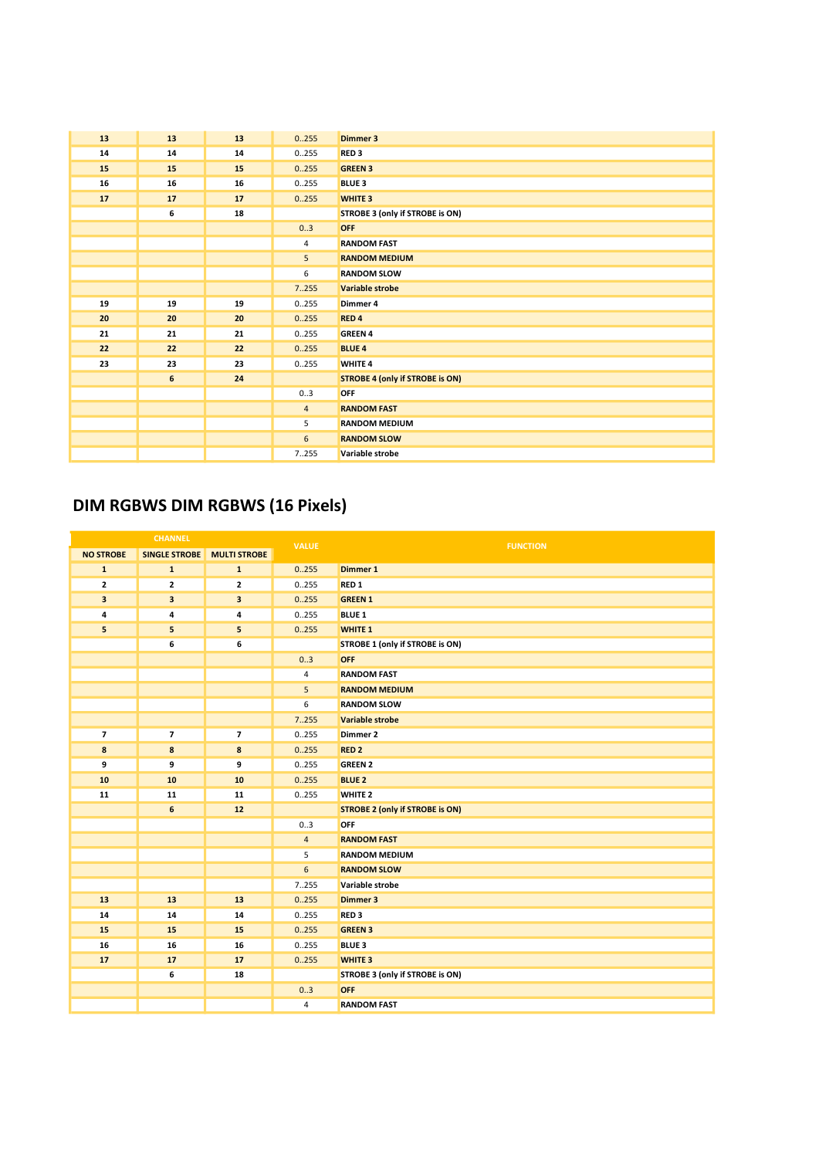| 13 | 13 | 13 | 0.255          | <b>Dimmer 3</b>                        |
|----|----|----|----------------|----------------------------------------|
| 14 | 14 | 14 | 0.255          | RED <sub>3</sub>                       |
| 15 | 15 | 15 | 0.255          | <b>GREEN 3</b>                         |
| 16 | 16 | 16 | 0.255          | <b>BLUE 3</b>                          |
| 17 | 17 | 17 | 0.255          | <b>WHITE 3</b>                         |
|    | 6  | 18 |                | STROBE 3 (only if STROBE is ON)        |
|    |    |    | 0.3            | <b>OFF</b>                             |
|    |    |    | 4              | <b>RANDOM FAST</b>                     |
|    |    |    | 5              | <b>RANDOM MEDIUM</b>                   |
|    |    |    | 6              | <b>RANDOM SLOW</b>                     |
|    |    |    | 7.255          | Variable strobe                        |
| 19 | 19 | 19 | 0.255          | Dimmer 4                               |
| 20 | 20 | 20 | 0.255          | RED <sub>4</sub>                       |
| 21 | 21 | 21 | 0.255          | <b>GREEN 4</b>                         |
| 22 | 22 | 22 | 0.255          | <b>BLUE 4</b>                          |
| 23 | 23 | 23 | 0.255          | WHITE 4                                |
|    | 6  | 24 |                | <b>STROBE 4 (only if STROBE is ON)</b> |
|    |    |    | 03             | <b>OFF</b>                             |
|    |    |    | $\overline{4}$ | <b>RANDOM FAST</b>                     |
|    |    |    | 5              | <b>RANDOM MEDIUM</b>                   |
|    |    |    | 6              | <b>RANDOM SLOW</b>                     |
|    |    |    | 7255           | Variable strobe                        |

### DIM RGBWS DIM RGBWS (16 Pixels)

| <b>CHANNEL</b>          |                          | <b>VALUE</b>             | <b>FUNCTION</b> |                                        |
|-------------------------|--------------------------|--------------------------|-----------------|----------------------------------------|
| <b>NO STROBE</b>        | <b>SINGLE STROBE</b>     | <b>MULTI STROBE</b>      |                 |                                        |
| $\mathbf{1}$            | $\mathbf{1}$             | $\mathbf{1}$             | 0.255           | <b>Dimmer 1</b>                        |
| $\overline{2}$          | $\overline{\mathbf{2}}$  | $\mathbf{2}$             | 0.255           | RED <sub>1</sub>                       |
| $\overline{\mathbf{3}}$ | 3                        | 3                        | 0.255           | <b>GREEN 1</b>                         |
| 4                       | 4                        | 4                        | 0.255           | <b>BLUE 1</b>                          |
| 5                       | 5                        | 5                        | 0.255           | <b>WHITE 1</b>                         |
|                         | 6                        | 6                        |                 | STROBE 1 (only if STROBE is ON)        |
|                         |                          |                          | 0.3             | OFF                                    |
|                         |                          |                          | $\overline{4}$  | <b>RANDOM FAST</b>                     |
|                         |                          |                          | 5               | <b>RANDOM MEDIUM</b>                   |
|                         |                          |                          | 6               | <b>RANDOM SLOW</b>                     |
|                         |                          |                          | 7.255           | Variable strobe                        |
| $\overline{7}$          | $\overline{\phantom{a}}$ | $\overline{\phantom{a}}$ | 0.255           | Dimmer 2                               |
| 8                       | 8                        | 8                        | 0.255           | <b>RED 2</b>                           |
| 9                       | 9                        | 9                        | 0.255           | <b>GREEN 2</b>                         |
| 10                      | 10                       | 10                       | 0.255           | <b>BLUE 2</b>                          |
| 11                      | 11                       | 11                       | 0.255           | <b>WHITE 2</b>                         |
|                         | 6                        | $12$                     |                 | <b>STROBE 2 (only if STROBE is ON)</b> |
|                         |                          |                          | 0.3             | <b>OFF</b>                             |
|                         |                          |                          | $\overline{4}$  | <b>RANDOM FAST</b>                     |
|                         |                          |                          | 5               | <b>RANDOM MEDIUM</b>                   |
|                         |                          |                          | $6\phantom{1}$  | <b>RANDOM SLOW</b>                     |
|                         |                          |                          | 7255            | Variable strobe                        |
| 13                      | 13                       | 13                       | 0.255           | <b>Dimmer 3</b>                        |
| 14                      | 14                       | 14                       | 0.255           | RED <sub>3</sub>                       |
| 15                      | 15                       | 15                       | 0.255           | <b>GREEN 3</b>                         |
| 16                      | 16                       | 16                       | 0.255           | <b>BLUE 3</b>                          |
| 17                      | 17                       | 17                       | 0.255           | <b>WHITE 3</b>                         |
|                         | 6                        | 18                       |                 | STROBE 3 (only if STROBE is ON)        |
|                         |                          |                          | 0.3             | OFF                                    |
|                         |                          |                          | 4               | <b>RANDOM FAST</b>                     |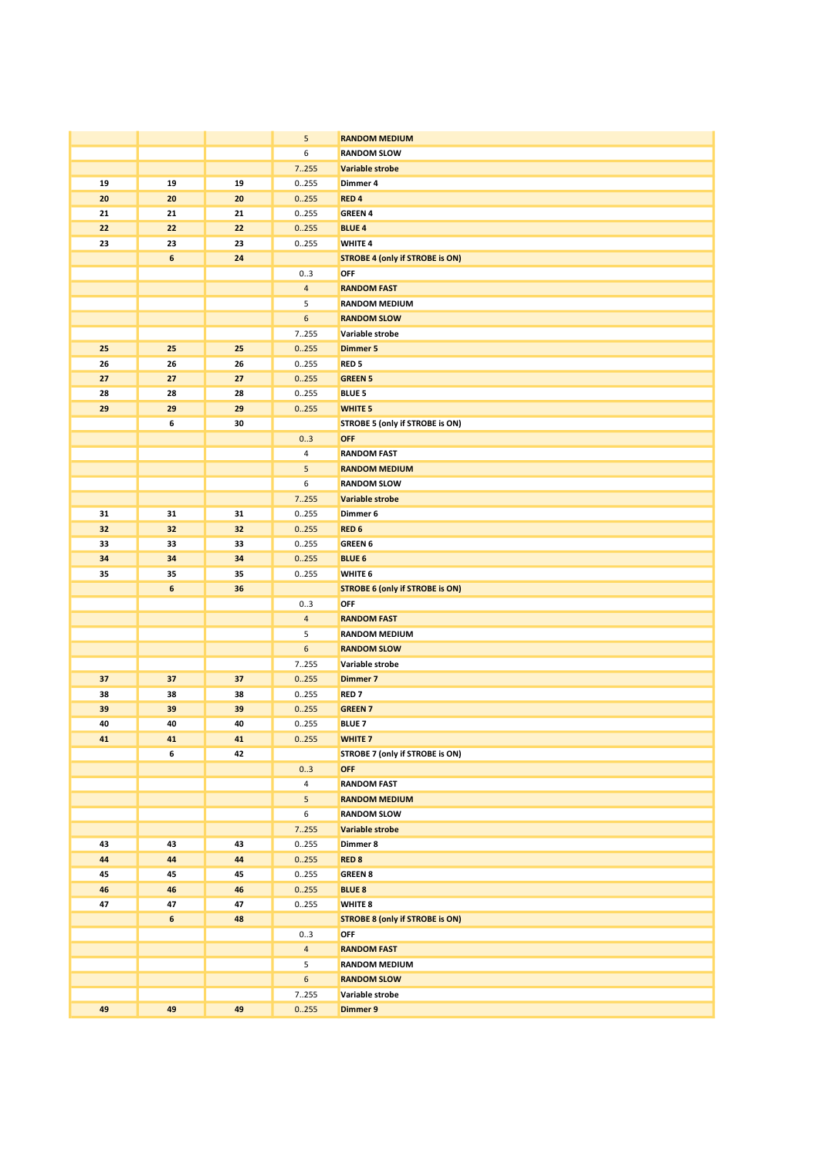|    |                  |    | 5              | <b>RANDOM MEDIUM</b>                   |
|----|------------------|----|----------------|----------------------------------------|
|    |                  |    | 6              | <b>RANDOM SLOW</b>                     |
|    |                  |    | 7255           | Variable strobe                        |
| 19 | 19               | 19 | 0255           | Dimmer 4                               |
| 20 | 20               | 20 | 0.255          | RED <sub>4</sub>                       |
| 21 | 21               | 21 | 0255           | <b>GREEN 4</b>                         |
| 22 | 22               | 22 | 0.255          | <b>BLUE 4</b>                          |
| 23 | 23               | 23 | 0255           | <b>WHITE 4</b>                         |
|    | $\boldsymbol{6}$ | 24 |                | <b>STROBE 4 (only if STROBE is ON)</b> |
|    |                  |    | 03             | OFF                                    |
|    |                  |    | $\overline{4}$ | <b>RANDOM FAST</b>                     |
|    |                  |    | 5              | <b>RANDOM MEDIUM</b>                   |
|    |                  |    | 6              | <b>RANDOM SLOW</b>                     |
|    |                  |    | 7255           | Variable strobe                        |
| 25 | 25               | 25 | 0.255          | <b>Dimmer 5</b>                        |
| 26 | 26               | 26 | 0255           | RED <sub>5</sub>                       |
| 27 | 27               | 27 | 0.255          | <b>GREEN 5</b>                         |
| 28 | 28               | 28 | 0255           | <b>BLUE 5</b>                          |
| 29 | 29               | 29 | 0.255          | <b>WHITE 5</b>                         |
|    | 6                | 30 |                | STROBE 5 (only if STROBE is ON)        |
|    |                  |    | 03             | <b>OFF</b>                             |
|    |                  |    | 4              | <b>RANDOM FAST</b>                     |
|    |                  |    | 5              | <b>RANDOM MEDIUM</b>                   |
|    |                  |    | 6              | <b>RANDOM SLOW</b>                     |
|    |                  |    | 7255           | Variable strobe                        |
| 31 | 31               | 31 | 0255           | Dimmer 6                               |
| 32 | 32               | 32 | 0.255          | RED <sub>6</sub>                       |
| 33 | 33               | 33 | 0255           | <b>GREEN 6</b>                         |
| 34 | 34               | 34 | 0.255          | <b>BLUE 6</b>                          |
| 35 | 35               | 35 | 0255           | WHITE 6                                |
|    | 6                | 36 |                | <b>STROBE 6 (only if STROBE is ON)</b> |
|    |                  |    | 03             | OFF                                    |
|    |                  |    | $\overline{4}$ | <b>RANDOM FAST</b>                     |
|    |                  |    | 5              | <b>RANDOM MEDIUM</b>                   |
|    |                  |    | 6              | <b>RANDOM SLOW</b>                     |
|    |                  |    | 7.255          | Variable strobe                        |
| 37 | 37               | 37 | 0.255          | Dimmer 7                               |
| 38 | 38               | 38 | 0255           | RED <sub>7</sub>                       |
| 39 | 39               | 39 | 0.255          | <b>GREEN 7</b>                         |
| 40 | 40               | 40 | 0255           | <b>BLUE 7</b>                          |
| 41 | 41               | 41 | 0.255          | <b>WHITE 7</b>                         |
|    | 6                | 42 |                | STROBE 7 (only if STROBE is ON)        |
|    |                  |    | 03             | <b>OFF</b>                             |
|    |                  |    | 4              | <b>RANDOM FAST</b>                     |
|    |                  |    | 5              | <b>RANDOM MEDIUM</b>                   |
|    |                  |    | 6              | <b>RANDOM SLOW</b>                     |
|    |                  |    | 7.255          | Variable strobe                        |
| 43 | 43               | 43 | 0.255          | Dimmer 8                               |
| 44 | 44               | 44 | 0.255          | <b>RED 8</b>                           |
| 45 | 45               | 45 | 0255           | <b>GREEN 8</b>                         |
| 46 | 46               | 46 | 0.255          | <b>BLUE 8</b>                          |
| 47 | 47               | 47 | 0255           | WHITE 8                                |
|    | $\boldsymbol{6}$ | 48 |                | <b>STROBE 8 (only if STROBE is ON)</b> |
|    |                  |    | 03             | OFF                                    |
|    |                  |    | $\overline{4}$ | <b>RANDOM FAST</b>                     |
|    |                  |    | 5              | <b>RANDOM MEDIUM</b>                   |
|    |                  |    | 6              | <b>RANDOM SLOW</b>                     |
|    |                  |    | 7255           | Variable strobe                        |
| 49 | 49               | 49 | 0.255          | <b>Dimmer 9</b>                        |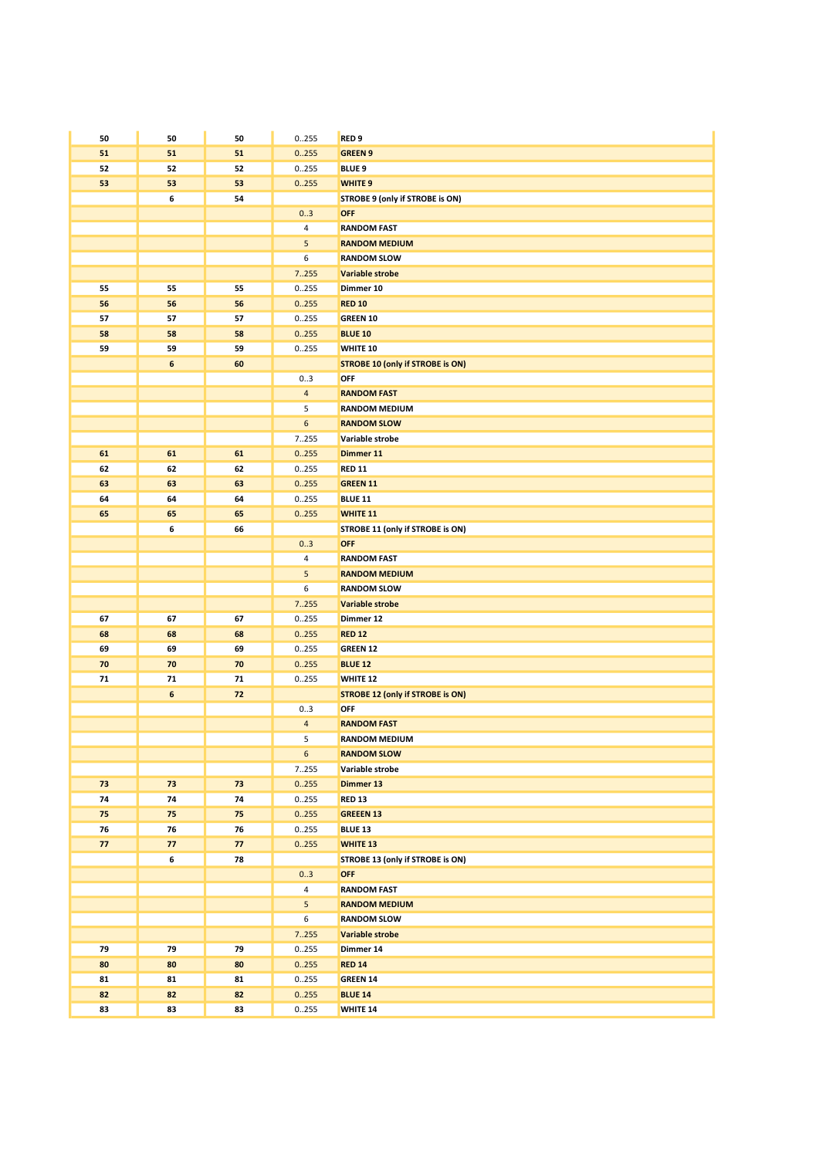| 50         | 50               | 50         | 0255           | RED <sub>9</sub>                        |
|------------|------------------|------------|----------------|-----------------------------------------|
| 51         | 51               | 51         | 0.255          | <b>GREEN 9</b>                          |
| 52         | 52               | 52         | 0.255          | <b>BLUE 9</b>                           |
| 53         | 53               | 53         | 0.255          | <b>WHITE 9</b>                          |
|            | 6                | 54         |                | STROBE 9 (only if STROBE is ON)         |
|            |                  |            | 0.3            | <b>OFF</b>                              |
|            |                  |            | 4              | <b>RANDOM FAST</b>                      |
|            |                  |            | 5              | <b>RANDOM MEDIUM</b>                    |
|            |                  |            | 6              | <b>RANDOM SLOW</b>                      |
|            |                  |            | 7.255          | Variable strobe                         |
| 55         | 55               | 55         | 0.255          | Dimmer 10                               |
| 56         | 56               | 56         | 0.255          | <b>RED 10</b>                           |
| 57         | 57               | 57         | 0255           | <b>GREEN 10</b>                         |
| 58         | 58               | 58         | 0.255          | <b>BLUE 10</b>                          |
| 59         | 59               | 59         | 0.255          | WHITE 10                                |
|            | $\boldsymbol{6}$ | 60         |                | <b>STROBE 10 (only if STROBE is ON)</b> |
|            |                  |            | 03             | OFF                                     |
|            |                  |            | $\overline{4}$ | <b>RANDOM FAST</b>                      |
|            |                  |            | 5              | <b>RANDOM MEDIUM</b>                    |
|            |                  |            | 6              | <b>RANDOM SLOW</b>                      |
|            |                  |            | 7255           | Variable strobe                         |
| 61         | 61               | 61         | 0.255          | Dimmer 11                               |
| 62         | 62               | 62         | 0255           | <b>RED 11</b>                           |
| 63         | 63               | 63         | 0.255          | <b>GREEN 11</b>                         |
| 64         | 64               | 64         | 0255           | <b>BLUE 11</b>                          |
| 65         | 65               | 65         | 0.255          | <b>WHITE 11</b>                         |
|            | 6                | 66         |                | STROBE 11 (only if STROBE is ON)        |
|            |                  |            | 03             | <b>OFF</b>                              |
|            |                  |            | 4              | <b>RANDOM FAST</b>                      |
|            |                  |            | 5              | <b>RANDOM MEDIUM</b>                    |
|            |                  |            | 6              | <b>RANDOM SLOW</b>                      |
|            |                  |            | 7.255          | Variable strobe                         |
| 67         | 67               | 67         | 0255           | Dimmer 12                               |
| 68         | 68               | 68         | 0.255          | <b>RED 12</b>                           |
| 69         | 69               | 69         | 0255           | <b>GREEN 12</b>                         |
| 70         | 70               | 70         | 0.255          | <b>BLUE 12</b>                          |
| ${\bf 71}$ | 71               | 71         | 0255           | WHITE 12                                |
|            | $\boldsymbol{6}$ | 72         |                | <b>STROBE 12 (only if STROBE is ON)</b> |
|            |                  |            | 03             | OFF                                     |
|            |                  |            | $\overline{a}$ | <b>RANDOM FAST</b>                      |
|            |                  |            | 5              | <b>RANDOM MEDIUM</b>                    |
|            |                  |            | $\,$ 6 $\,$    | <b>RANDOM SLOW</b>                      |
|            |                  |            | 7255           | Variable strobe                         |
| 73         | 73               | 73         | 0.255          | Dimmer 13                               |
| 74         | 74               | 74         | 0.255          | <b>RED 13</b>                           |
| 75         | 75               | 75         | 0.255          | <b>GREEEN 13</b>                        |
| 76         | 76               | ${\bf 76}$ | 0255           | <b>BLUE 13</b>                          |
| 77         | 77               | 77         | 0.255          | <b>WHITE 13</b>                         |
|            | 6                | 78         |                | STROBE 13 (only if STROBE is ON)        |
|            |                  |            | 03             | <b>OFF</b>                              |
|            |                  |            | $\overline{4}$ | <b>RANDOM FAST</b>                      |
|            |                  |            | 5 <sub>5</sub> | <b>RANDOM MEDIUM</b>                    |
|            |                  |            | 6              | <b>RANDOM SLOW</b>                      |
|            |                  |            | 7.255          | Variable strobe                         |
| 79         | 79               | 79         | 0255           | Dimmer 14                               |
| 80         | 80               | 80         | 0.255          | <b>RED 14</b>                           |
| 81         | 81               | 81         | 0.255          | <b>GREEN 14</b>                         |
| 82         | 82               | 82         | 0255           | <b>BLUE 14</b>                          |
| 83         | 83               | 83         | 0255           | <b>WHITE 14</b>                         |
|            |                  |            |                |                                         |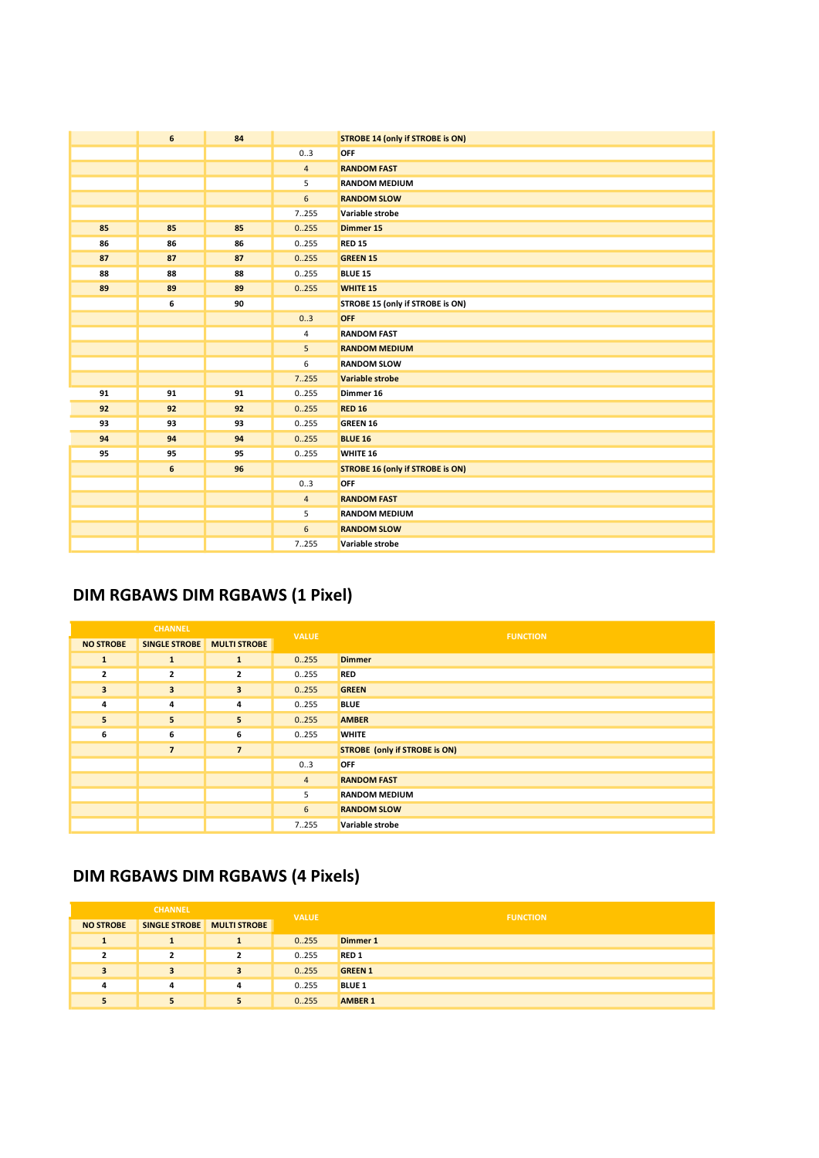|    | 6  | 84 |                | <b>STROBE 14 (only if STROBE is ON)</b> |
|----|----|----|----------------|-----------------------------------------|
|    |    |    | 03             | OFF                                     |
|    |    |    | $\overline{4}$ | <b>RANDOM FAST</b>                      |
|    |    |    | 5              | <b>RANDOM MEDIUM</b>                    |
|    |    |    | $6\phantom{a}$ | <b>RANDOM SLOW</b>                      |
|    |    |    | 7255           | Variable strobe                         |
| 85 | 85 | 85 | 0.255          | Dimmer 15                               |
| 86 | 86 | 86 | 0.255          | <b>RED 15</b>                           |
| 87 | 87 | 87 | 0.255          | <b>GREEN 15</b>                         |
| 88 | 88 | 88 | 0.255          | <b>BLUE 15</b>                          |
| 89 | 89 | 89 | 0.255          | <b>WHITE 15</b>                         |
|    | 6  | 90 |                | STROBE 15 (only if STROBE is ON)        |
|    |    |    | 0.3            | OFF                                     |
|    |    |    | 4              | <b>RANDOM FAST</b>                      |
|    |    |    | 5              | <b>RANDOM MEDIUM</b>                    |
|    |    |    | 6              | <b>RANDOM SLOW</b>                      |
|    |    |    | 7.255          | Variable strobe                         |
| 91 | 91 | 91 | 0.255          | Dimmer 16                               |
| 92 | 92 | 92 | 0.255          | <b>RED 16</b>                           |
| 93 | 93 | 93 | 0.255          | <b>GREEN 16</b>                         |
| 94 | 94 | 94 | 0.255          | <b>BLUE 16</b>                          |
| 95 | 95 | 95 | 0.255          | WHITE 16                                |
|    | 6  | 96 |                | <b>STROBE 16 (only if STROBE is ON)</b> |
|    |    |    | 03             | OFF                                     |
|    |    |    | $\overline{4}$ | <b>RANDOM FAST</b>                      |
|    |    |    | 5              | <b>RANDOM MEDIUM</b>                    |
|    |    |    | 6              | <b>RANDOM SLOW</b>                      |
|    |    |    | 7.255          | Variable strobe                         |

## DIM RGBAWS DIM RGBAWS (1 Pixel)

| <b>CHANNEL</b>          |                                   | <b>VALUE</b>            | <b>FUNCTION</b> |                                      |
|-------------------------|-----------------------------------|-------------------------|-----------------|--------------------------------------|
| <b>NO STROBE</b>        | <b>SINGLE STROBE</b> MULTI STROBE |                         |                 |                                      |
| $\mathbf{1}$            | $\mathbf{1}$                      | 1                       | 0.255           | <b>Dimmer</b>                        |
| $\overline{2}$          | $\overline{2}$                    | $\overline{\mathbf{2}}$ | 0255            | <b>RED</b>                           |
| $\overline{\mathbf{3}}$ | $\overline{\mathbf{3}}$           | 3                       | 0.255           | <b>GREEN</b>                         |
| 4                       | 4                                 | 4                       | 0255            | <b>BLUE</b>                          |
| 5                       | 5                                 | 5                       | 0.255           | <b>AMBER</b>                         |
| 6                       | 6                                 | 6                       | 0255            | <b>WHITE</b>                         |
|                         | $\overline{7}$                    | $\overline{7}$          |                 | <b>STROBE</b> (only if STROBE is ON) |
|                         |                                   |                         | 03              | <b>OFF</b>                           |
|                         |                                   |                         | $\overline{4}$  | <b>RANDOM FAST</b>                   |
|                         |                                   |                         | 5               | <b>RANDOM MEDIUM</b>                 |
|                         |                                   |                         | 6               | <b>RANDOM SLOW</b>                   |
|                         |                                   |                         | 7255            | Variable strobe                      |

## DIM RGBAWS DIM RGBAWS (4 Pixels)

| <b>CHANNEL</b>     |                            | <b>VALUE</b>            | <b>FUNCTION</b> |                |
|--------------------|----------------------------|-------------------------|-----------------|----------------|
| <b>NO STROBE</b>   | SINGLE STROBE MULTI STROBE |                         |                 |                |
| $\mathbf{1}$<br>л. | $\mathbf{1}$               | $\mathbf{1}$            | 0.255           | Dimmer 1       |
| $\mathbf{r}$       | $\overline{2}$             | $\overline{2}$          | 0255            | <b>RED1</b>    |
| 3                  | 3                          | $\overline{\mathbf{3}}$ | 0.255           | <b>GREEN 1</b> |
| 4                  | 4                          | 4                       | 0255            | <b>BLUE 1</b>  |
|                    | 5                          | 5                       | 0.255           | <b>AMBER 1</b> |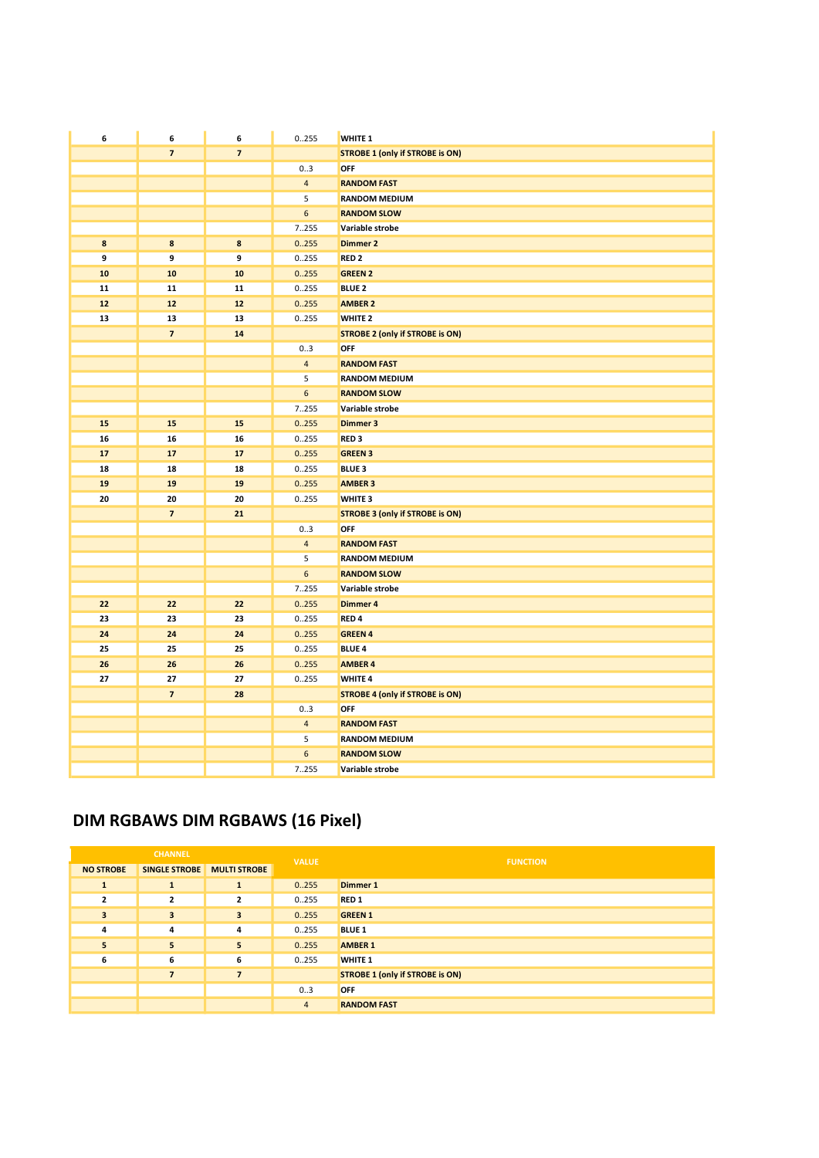| 6          | 6                        | 6              | 0.255          | <b>WHITE 1</b>                         |
|------------|--------------------------|----------------|----------------|----------------------------------------|
|            | $\overline{7}$           | $\overline{7}$ |                | <b>STROBE 1 (only if STROBE is ON)</b> |
|            |                          |                | 03             | OFF                                    |
|            |                          |                | $\overline{4}$ | <b>RANDOM FAST</b>                     |
|            |                          |                | 5              | <b>RANDOM MEDIUM</b>                   |
|            |                          |                | 6              | <b>RANDOM SLOW</b>                     |
|            |                          |                | 7.255          | Variable strobe                        |
| 8          | $\bf8$                   | 8              | 0.255          | <b>Dimmer 2</b>                        |
| 9          | 9                        | 9              | 0.255          | RED <sub>2</sub>                       |
| ${\bf 10}$ | 10                       | 10             | 0.255          | <b>GREEN 2</b>                         |
| 11         | 11                       | 11             | 0.255          | <b>BLUE 2</b>                          |
| $12\,$     | ${\bf 12}$               | ${\bf 12}$     | 0.255          | <b>AMBER 2</b>                         |
| 13         | 13                       | 13             | 0.255          | WHITE <sub>2</sub>                     |
|            | $\overline{7}$           | 14             |                | <b>STROBE 2 (only if STROBE is ON)</b> |
|            |                          |                | 03             | OFF                                    |
|            |                          |                | $\overline{4}$ | <b>RANDOM FAST</b>                     |
|            |                          |                | 5              | <b>RANDOM MEDIUM</b>                   |
|            |                          |                | 6              | <b>RANDOM SLOW</b>                     |
|            |                          |                | 7255           | Variable strobe                        |
| 15         | 15                       | 15             | 0.255          | <b>Dimmer 3</b>                        |
| 16         | 16                       | 16             | 0.255          | RED <sub>3</sub>                       |
| 17         | 17                       | 17             | 0.255          | <b>GREEN 3</b>                         |
| 18         | 18                       | 18             | 0.255          | <b>BLUE 3</b>                          |
| 19         | 19                       | 19             | 0.255          | <b>AMBER 3</b>                         |
| 20         | 20                       | 20             | 0.255          | WHITE <sub>3</sub>                     |
|            | $\overline{\mathbf{z}}$  | 21             |                | <b>STROBE 3 (only if STROBE is ON)</b> |
|            |                          |                | 0.3            | OFF                                    |
|            |                          |                | $\overline{4}$ | <b>RANDOM FAST</b>                     |
|            |                          |                | 5              | <b>RANDOM MEDIUM</b>                   |
|            |                          |                | 6              | <b>RANDOM SLOW</b>                     |
|            |                          |                | 7.255          | Variable strobe                        |
| 22         | 22                       | 22             | 0.255          | <b>Dimmer 4</b>                        |
| 23         | 23                       | 23             | 0.255          | RED <sub>4</sub>                       |
| 24         | 24                       | 24             | 0.255          | <b>GREEN 4</b>                         |
| 25         | 25                       | 25             | 0.255          | <b>BLUE 4</b>                          |
| 26         | 26                       | 26             | 0.255          | <b>AMBER 4</b>                         |
| 27         | 27                       | 27             | 0255           | <b>WHITE 4</b>                         |
|            | $\overline{\phantom{a}}$ | 28             |                | <b>STROBE 4 (only if STROBE is ON)</b> |
|            |                          |                | 03             | OFF                                    |
|            |                          |                | $\overline{4}$ | <b>RANDOM FAST</b>                     |
|            |                          |                | 5              | <b>RANDOM MEDIUM</b>                   |
|            |                          |                | 6              | <b>RANDOM SLOW</b>                     |
|            |                          |                | 7255           | Variable strobe                        |

### DIM RGBAWS DIM RGBAWS (16 Pixel)

| <b>CHANNEL</b>          |                          | <b>VALUE</b>             | <b>FUNCTION</b> |                                        |
|-------------------------|--------------------------|--------------------------|-----------------|----------------------------------------|
| <b>NO STROBE</b>        | <b>SINGLE STROBE</b>     | <b>MULTI STROBE</b>      |                 |                                        |
| $\mathbf{1}$            | $\mathbf{1}$             | $\mathbf{1}$             | 0.255           | <b>Dimmer 1</b>                        |
| $\overline{2}$          | $\overline{2}$           | $\overline{\mathbf{2}}$  | 0.255           | <b>RED1</b>                            |
| $\overline{\mathbf{3}}$ | 3                        | 3                        | 0.255           | <b>GREEN 1</b>                         |
| 4                       | 4                        | 4                        | 0.255           | <b>BLUE 1</b>                          |
| 5                       | 5                        | 5                        | 0.255           | <b>AMBER 1</b>                         |
| 6                       | 6                        | 6                        | 0255            | <b>WHITE 1</b>                         |
|                         | $\overline{\phantom{a}}$ | $\overline{\phantom{a}}$ |                 | <b>STROBE 1 (only if STROBE is ON)</b> |
|                         |                          |                          | 03              | <b>OFF</b>                             |
|                         |                          |                          | $\overline{4}$  | <b>RANDOM FAST</b>                     |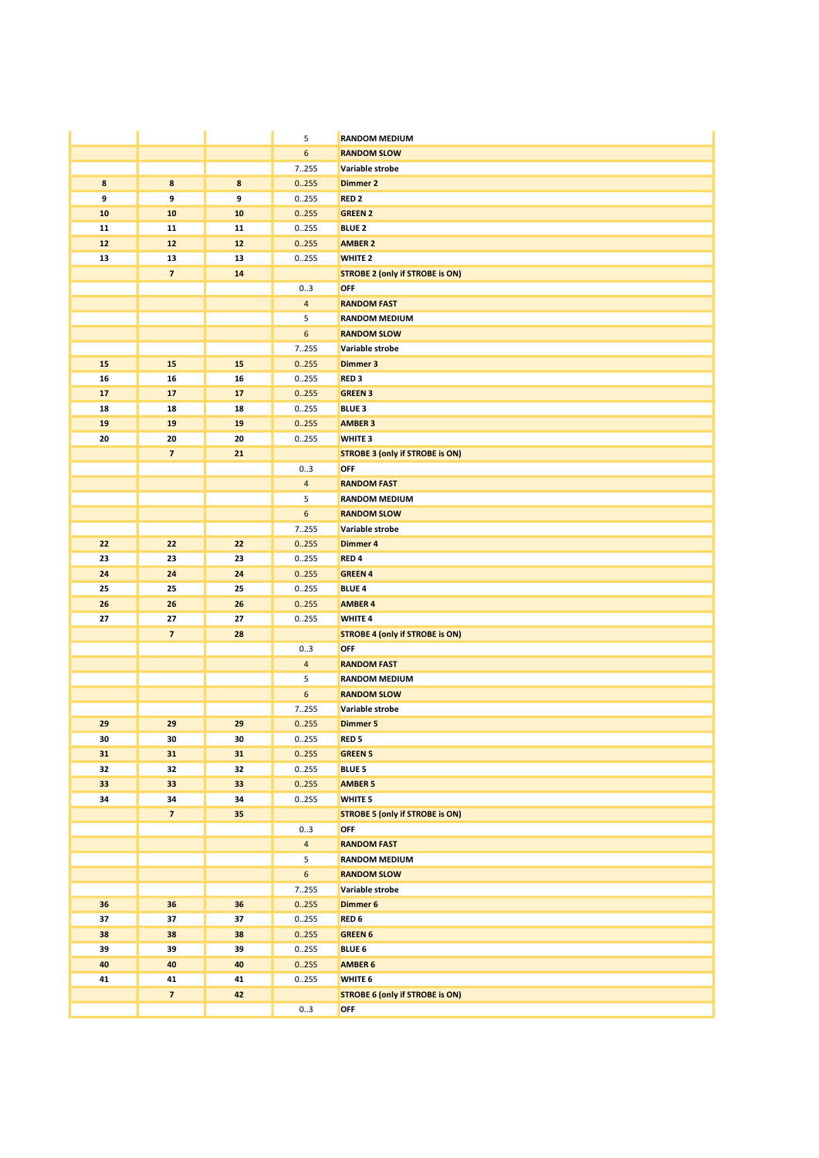|    |                          |        | 5                | <b>RANDOM MEDIUM</b>                   |
|----|--------------------------|--------|------------------|----------------------------------------|
|    |                          |        | $\boldsymbol{6}$ | <b>RANDOM SLOW</b>                     |
|    |                          |        | 7.255            | Variable strobe                        |
| 8  | 8                        | $\bf8$ | 0.255            | <b>Dimmer 2</b>                        |
| 9  | 9                        | 9      | 0255             | RED <sub>2</sub>                       |
| 10 | 10                       | 10     | 0.255            | <b>GREEN 2</b>                         |
| 11 | 11                       | 11     | 0255             | <b>BLUE 2</b>                          |
| 12 | $12$                     | $12$   | 0.255            | <b>AMBER 2</b>                         |
| 13 | 13                       | 13     | 0255             | WHITE <sub>2</sub>                     |
|    | $\overline{\mathbf{z}}$  | 14     |                  | <b>STROBE 2 (only if STROBE is ON)</b> |
|    |                          |        | 03               | OFF                                    |
|    |                          |        | $\overline{4}$   | <b>RANDOM FAST</b>                     |
|    |                          |        | 5                | <b>RANDOM MEDIUM</b>                   |
|    |                          |        | 6                | <b>RANDOM SLOW</b>                     |
|    |                          |        | 7255             | Variable strobe                        |
| 15 | 15                       | 15     | 0.255            | <b>Dimmer 3</b>                        |
| 16 | 16                       | 16     | 0255             | RED <sub>3</sub>                       |
| 17 | 17                       | 17     | 0.255            | <b>GREEN 3</b>                         |
| 18 | 18                       | 18     | 0255             | <b>BLUE 3</b>                          |
| 19 | 19                       | 19     | 0.255            | <b>AMBER 3</b>                         |
| 20 | 20                       | 20     | 0255             | <b>WHITE 3</b>                         |
|    | $\overline{\phantom{a}}$ | 21     |                  | <b>STROBE 3 (only if STROBE is ON)</b> |
|    |                          |        | 03               | OFF                                    |
|    |                          |        | $\overline{4}$   | <b>RANDOM FAST</b>                     |
|    |                          |        | 5                | <b>RANDOM MEDIUM</b>                   |
|    |                          |        | 6                | <b>RANDOM SLOW</b>                     |
|    |                          |        | 7.255            | Variable strobe                        |
| 22 | 22                       | 22     | 0.255            | <b>Dimmer 4</b>                        |
| 23 | 23                       | 23     | 0255             | RED <sub>4</sub>                       |
| 24 | 24                       | 24     | 0.255            | <b>GREEN 4</b>                         |
| 25 | 25                       | 25     | 0255             | <b>BLUE 4</b>                          |
| 26 | 26                       | 26     | 0.255            | <b>AMBER 4</b>                         |
| 27 | 27                       | 27     | 0.255            | <b>WHITE 4</b>                         |
|    | $\overline{\mathbf{z}}$  | 28     |                  | <b>STROBE 4 (only if STROBE is ON)</b> |
|    |                          |        | 03               | OFF                                    |
|    |                          |        | $\overline{4}$   | <b>RANDOM FAST</b>                     |
|    |                          |        | 5                | <b>RANDOM MEDIUM</b>                   |
|    |                          |        | 6                | <b>RANDOM SLOW</b>                     |
|    |                          |        | 7255             | Variable strobe                        |
| 29 | 29                       | 29     | 0.255            | <b>Dimmer 5</b>                        |
| 30 | 30                       | 30     | 0.255            | RED <sub>5</sub>                       |
| 31 | 31                       | 31     | 0.255            | <b>GREEN 5</b>                         |
| 32 | 32                       | 32     | 0.255            | <b>BLUE 5</b>                          |
| 33 | 33                       | 33     | 0.255            | <b>AMBER 5</b>                         |
| 34 | 34                       | 34     | 0.255            | WHITE <sub>5</sub>                     |
|    | $\overline{7}$           | 35     |                  | <b>STROBE 5 (only if STROBE is ON)</b> |
|    |                          |        | 03               | OFF                                    |
|    |                          |        | $\overline{4}$   | <b>RANDOM FAST</b>                     |
|    |                          |        | 5                | <b>RANDOM MEDIUM</b>                   |
|    |                          |        | 6                | <b>RANDOM SLOW</b>                     |
|    |                          |        | 7255             | Variable strobe                        |
| 36 | 36                       | 36     | 0.255            | Dimmer 6                               |
| 37 | 37                       | 37     | 0.255            | RED <sub>6</sub>                       |
| 38 | 38                       | 38     | 0.255            | <b>GREEN 6</b>                         |
| 39 | 39                       | 39     | 0.255            | <b>BLUE 6</b>                          |
| 40 | 40                       | 40     | 0.255            | <b>AMBER 6</b>                         |
| 41 | 41                       | 41     | 0255             | WHITE 6                                |
|    | $\overline{\mathbf{z}}$  | 42     |                  | <b>STROBE 6 (only if STROBE is ON)</b> |
|    |                          |        | 03               | OFF                                    |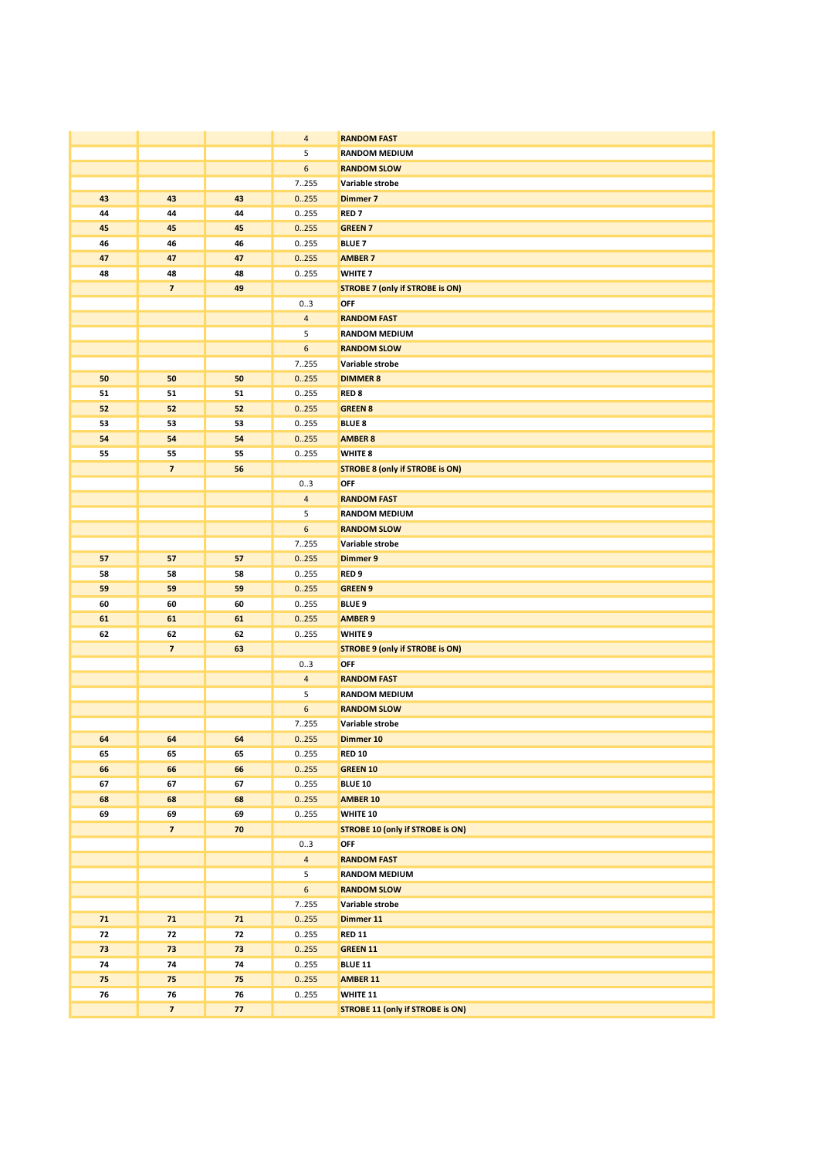|          |                               |          | $\overline{4}$ | <b>RANDOM FAST</b>                            |
|----------|-------------------------------|----------|----------------|-----------------------------------------------|
|          |                               |          | 5              | <b>RANDOM MEDIUM</b>                          |
|          |                               |          | 6              | <b>RANDOM SLOW</b>                            |
|          |                               |          | 7255           | Variable strobe                               |
| 43       | 43                            | 43       | 0.255          | <b>Dimmer 7</b>                               |
| 44       | 44                            | 44       | 0255           | <b>RED7</b>                                   |
| 45       | 45                            | 45       | 0.255          | <b>GREEN 7</b>                                |
| 46       | 46                            | 46       | 0255           | <b>BLUE 7</b>                                 |
| 47       | 47                            | 47       | 0.255          | <b>AMBER 7</b>                                |
|          |                               |          |                |                                               |
| 48       | 48<br>$\overline{\mathbf{z}}$ | 48       | 0255           | WHITE <sub>7</sub>                            |
|          |                               | 49       |                | <b>STROBE 7 (only if STROBE is ON)</b>        |
|          |                               |          | 03             | OFF                                           |
|          |                               |          | $\overline{4}$ | <b>RANDOM FAST</b>                            |
|          |                               |          | 5              | <b>RANDOM MEDIUM</b>                          |
|          |                               |          | 6              | <b>RANDOM SLOW</b>                            |
|          |                               |          | 7.255          | Variable strobe                               |
| 50       | 50                            | 50       | 0.255          | <b>DIMMER 8</b>                               |
| 51       | 51                            | 51       | 0255           | RED <sub>8</sub>                              |
| 52       | 52                            | 52       | 0.255          | <b>GREEN 8</b>                                |
| 53       | 53                            | 53       | 0255           | <b>BLUE 8</b>                                 |
| 54       | 54                            | 54       | 0.255          | <b>AMBER 8</b>                                |
| 55       | 55                            | 55       | 0255           | WHITE 8                                       |
|          | $\overline{\phantom{a}}$      | 56       |                | <b>STROBE 8 (only if STROBE is ON)</b>        |
|          |                               |          | 03             | OFF                                           |
|          |                               |          | $\overline{4}$ | <b>RANDOM FAST</b>                            |
|          |                               |          | 5              | <b>RANDOM MEDIUM</b>                          |
|          |                               |          | 6              | <b>RANDOM SLOW</b>                            |
|          |                               |          | 7255           | Variable strobe                               |
| 57       | 57                            | 57       | 0.255          | Dimmer 9                                      |
| 58       | 58                            | 58       | 0255           | RED <sub>9</sub>                              |
| 59       | 59                            | 59       | 0.255          | <b>GREEN 9</b>                                |
| 60       | 60                            | 60       | 0255           | <b>BLUE 9</b>                                 |
| 61       | 61                            | 61       | 0.255          | <b>AMBER 9</b>                                |
| 62       | 62                            | 62       | 0.255          | WHITE <sub>9</sub>                            |
|          | $\overline{\mathbf{z}}$       | 63       |                | <b>STROBE 9 (only if STROBE is ON)</b><br>OFF |
|          |                               |          | 03             |                                               |
|          |                               |          | $\overline{4}$ | <b>RANDOM FAST</b>                            |
|          |                               |          | 5              | <b>RANDOM MEDIUM</b>                          |
|          |                               |          | 6              | <b>RANDOM SLOW</b><br>Variable strobe         |
|          |                               |          | 7255           |                                               |
| 64<br>65 | 64<br>65                      | 64<br>65 | 0.255<br>0.255 | Dimmer 10<br><b>RED 10</b>                    |
| 66       | 66                            | 66       | 0.255          | <b>GREEN 10</b>                               |
| 67       | 67                            | 67       | 0.255          | <b>BLUE 10</b>                                |
| 68       | 68                            | 68       | 0.255          | <b>AMBER 10</b>                               |
| 69       | 69                            | 69       | 0.255          | WHITE 10                                      |
|          | $\overline{ }$                | 70       |                | <b>STROBE 10 (only if STROBE is ON)</b>       |
|          |                               |          | 03             | OFF                                           |
|          |                               |          | $\overline{4}$ | <b>RANDOM FAST</b>                            |
|          |                               |          | 5              | <b>RANDOM MEDIUM</b>                          |
|          |                               |          | 6              | <b>RANDOM SLOW</b>                            |
|          |                               |          | 7.255          | Variable strobe                               |
| 71       | $71$                          | $71$     | 0.255          | Dimmer 11                                     |
| 72       | 72                            | 72       | 0255           | <b>RED 11</b>                                 |
| 73       | 73                            | 73       | 0.255          | <b>GREEN 11</b>                               |
| 74       | 74                            | 74       | 0.255          | <b>BLUE 11</b>                                |
| 75       | 75                            | 75       | 0.255          | <b>AMBER 11</b>                               |
| 76       | 76                            | 76       | 0.255          | WHITE 11                                      |
|          | $\overline{ }$                | 77       |                | <b>STROBE 11 (only if STROBE is ON)</b>       |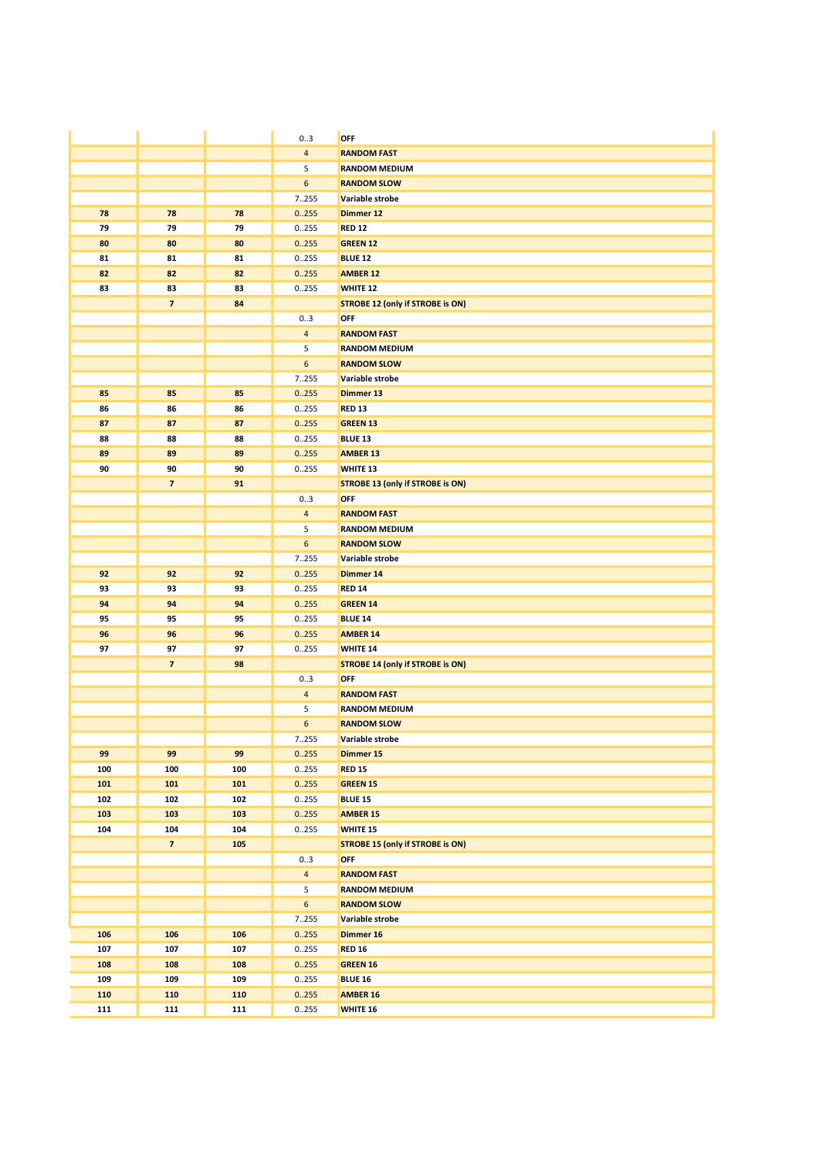|            |                         |            | 03               | OFF                                     |
|------------|-------------------------|------------|------------------|-----------------------------------------|
|            |                         |            | $\overline{4}$   | <b>RANDOM FAST</b>                      |
|            |                         |            | 5                | <b>RANDOM MEDIUM</b>                    |
|            |                         |            | $\boldsymbol{6}$ | <b>RANDOM SLOW</b>                      |
|            |                         |            | 7255             | Variable strobe                         |
| 78         | 78                      | 78         | 0.255            | Dimmer 12                               |
| 79         | 79                      | 79         | 0255             | <b>RED 12</b>                           |
| 80         | 80                      | 80         | 0.255            | <b>GREEN 12</b>                         |
| 81         | 81                      | 81         | 0.255            | <b>BLUE 12</b>                          |
| 82         | 82                      | 82         | 0.255            | <b>AMBER 12</b>                         |
| 83         | 83                      | 83         | 0.255            | WHITE 12                                |
|            | $\overline{\mathbf{z}}$ | 84         |                  | <b>STROBE 12 (only if STROBE is ON)</b> |
|            |                         |            | 03               | <b>OFF</b>                              |
|            |                         |            | $\overline{4}$   | <b>RANDOM FAST</b>                      |
|            |                         |            | 5                | <b>RANDOM MEDIUM</b>                    |
|            |                         |            | $\boldsymbol{6}$ | <b>RANDOM SLOW</b>                      |
|            |                         |            | 7255             | Variable strobe                         |
| 85         | 85                      | 85         | 0.255            | Dimmer 13                               |
| 86         | 86                      | 86         | 0.255            | <b>RED 13</b>                           |
| 87         | 87                      | 87         | 0.255            | <b>GREEN 13</b>                         |
| 88         | 88                      | 88         | 0255             | <b>BLUE 13</b>                          |
| 89         | 89                      | 89         | 0.255            | <b>AMBER 13</b>                         |
| 90         | 90                      | 90         | 0255             | <b>WHITE 13</b>                         |
|            | $\overline{7}$          | 91         |                  | <b>STROBE 13 (only if STROBE is ON)</b> |
|            |                         |            | 03               | OFF                                     |
|            |                         |            | $\overline{4}$   | <b>RANDOM FAST</b>                      |
|            |                         |            | 5                | <b>RANDOM MEDIUM</b>                    |
|            |                         |            | $\boldsymbol{6}$ | <b>RANDOM SLOW</b>                      |
|            |                         |            | 7.255            | Variable strobe                         |
| 92         | 92                      | 92         | 0.255            | Dimmer 14                               |
| 93         | 93                      | 93         | 0255             | <b>RED 14</b>                           |
| 94         | 94                      | 94         | 0.255            | <b>GREEN 14</b>                         |
| 95         | 95                      | 95         | 0.255            | <b>BLUE 14</b>                          |
| 96         | 96                      | 96         | 0.255            | <b>AMBER 14</b>                         |
| 97         | 97                      | 97         | 0255             | WHITE 14                                |
|            | $\overline{\mathbf{z}}$ | 98         |                  | <b>STROBE 14 (only if STROBE is ON)</b> |
|            |                         |            | 03               | OFF                                     |
|            |                         |            | $\overline{4}$   | <b>RANDOM FAST</b>                      |
|            |                         |            | 5                | <b>RANDOM MEDIUM</b>                    |
|            |                         |            | $\boldsymbol{6}$ | <b>RANDOM SLOW</b>                      |
|            |                         |            | 7.255            | Variable strobe                         |
| 99         | 99                      | 99         | 0.255            | Dimmer 15                               |
| 100        | 100                     | 100        | 0.255            | <b>RED 15</b>                           |
| 101<br>102 | 101                     | 101        | 0.255            | <b>GREEN 15</b>                         |
| 103        | 102<br>103              | 102<br>103 | 0255<br>0.255    | <b>BLUE 15</b><br><b>AMBER 15</b>       |
| 104        | 104                     | 104        | 0.255            | <b>WHITE 15</b>                         |
|            | $\overline{ }$          | 105        |                  | <b>STROBE 15 (only if STROBE is ON)</b> |
|            |                         |            | 03               | OFF                                     |
|            |                         |            | $\overline{4}$   | <b>RANDOM FAST</b>                      |
|            |                         |            | 5                | <b>RANDOM MEDIUM</b>                    |
|            |                         |            | $\boldsymbol{6}$ | <b>RANDOM SLOW</b>                      |
|            |                         |            | 7255             | Variable strobe                         |
| 106        | 106                     | 106        | 0.255            | Dimmer 16                               |
| 107        | 107                     | 107        | 0255             | <b>RED 16</b>                           |
| 108        | 108                     | 108        | 0.255            | <b>GREEN 16</b>                         |
| 109        | 109                     | 109        | 0.255            | <b>BLUE 16</b>                          |
| 110        | 110                     | 110        | 0.255            | <b>AMBER 16</b>                         |
| 111        | 111                     | 111        | 0255             | WHITE 16                                |
|            |                         |            |                  |                                         |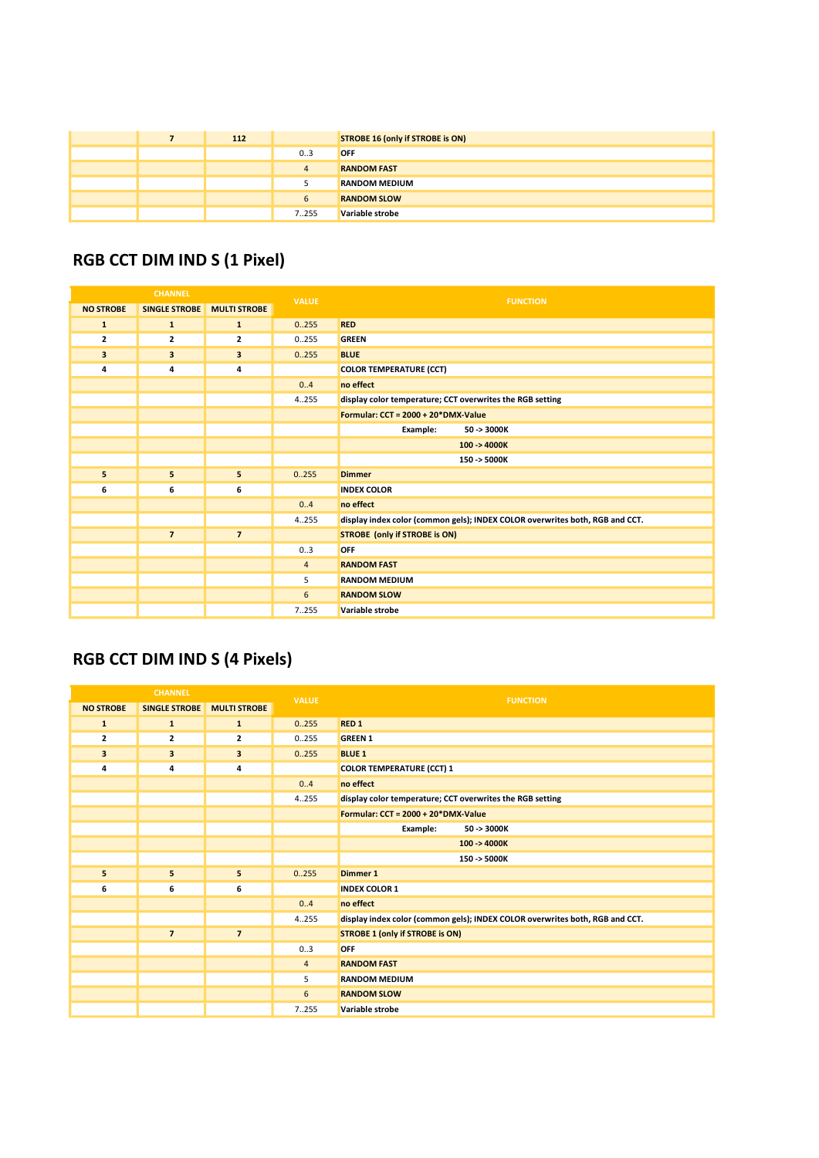|  | 112 |                | STROBE 16 (only if STROBE is ON) |
|--|-----|----------------|----------------------------------|
|  |     | 03             | <b>OFF</b>                       |
|  |     | $\overline{a}$ | <b>RANDOM FAST</b>               |
|  |     |                | <b>RANDOM MEDIUM</b>             |
|  |     |                | <b>RANDOM SLOW</b>               |
|  |     | 7.255          | Variable strobe                  |

## RGB CCT DIM IND S (1 Pixel)

| <b>CHANNEL</b>   |                      | <b>VALUE</b>            | <b>FUNCTION</b> |                                                                              |
|------------------|----------------------|-------------------------|-----------------|------------------------------------------------------------------------------|
| <b>NO STROBE</b> | <b>SINGLE STROBE</b> | <b>MULTI STROBE</b>     |                 |                                                                              |
| $\mathbf{1}$     | $\mathbf{1}$         | $\mathbf{1}$            | 0.255           | <b>RED</b>                                                                   |
| $\mathbf{z}$     | 2                    | $\overline{\mathbf{2}}$ | 0.255           | <b>GREEN</b>                                                                 |
| 3                | 3                    | $\overline{\mathbf{3}}$ | 0.255           | <b>BLUE</b>                                                                  |
| 4                | 4                    | 4                       |                 | <b>COLOR TEMPERATURE (CCT)</b>                                               |
|                  |                      |                         | 0.4             | no effect                                                                    |
|                  |                      |                         | 4.255           | display color temperature; CCT overwrites the RGB setting                    |
|                  |                      |                         |                 | Formular: CCT = 2000 + 20*DMX-Value                                          |
|                  |                      |                         |                 | Example:<br>50 -> 3000K                                                      |
|                  |                      |                         |                 | $100 - 4000K$                                                                |
|                  |                      |                         |                 | 150 -> 5000K                                                                 |
| 5                | 5                    | 5                       | 0.255           | <b>Dimmer</b>                                                                |
| 6                | 6                    | 6                       |                 | <b>INDEX COLOR</b>                                                           |
|                  |                      |                         | 0.4             | no effect                                                                    |
|                  |                      |                         | 4.255           | display index color (common gels); INDEX COLOR overwrites both, RGB and CCT. |
|                  | $\overline{7}$       | $\overline{7}$          |                 | <b>STROBE (only if STROBE is ON)</b>                                         |
|                  |                      |                         | 03              | OFF                                                                          |
|                  |                      |                         | $\overline{4}$  | <b>RANDOM FAST</b>                                                           |
|                  |                      |                         | 5               | <b>RANDOM MEDIUM</b>                                                         |
|                  |                      |                         | 6               | <b>RANDOM SLOW</b>                                                           |
|                  |                      |                         | 7.255           | Variable strobe                                                              |

# RGB CCT DIM IND S (4 Pixels)

| <b>CHANNEL</b>   |                      | <b>VALUE</b>        | <b>FUNCTION</b> |                                                                              |
|------------------|----------------------|---------------------|-----------------|------------------------------------------------------------------------------|
| <b>NO STROBE</b> | <b>SINGLE STROBE</b> | <b>MULTI STROBE</b> |                 |                                                                              |
| $\mathbf{1}$     | $\mathbf{1}$         | $\mathbf{1}$        | 0.255           | <b>RED 1</b>                                                                 |
| $\overline{2}$   | $\overline{2}$       | 2                   | 0.255           | <b>GREEN 1</b>                                                               |
| 3                | 3                    | 3                   | 0.255           | <b>BLUE 1</b>                                                                |
| 4                | 4                    | 4                   |                 | <b>COLOR TEMPERATURE (CCT) 1</b>                                             |
|                  |                      |                     | 0.4             | no effect                                                                    |
|                  |                      |                     | 4.255           | display color temperature; CCT overwrites the RGB setting                    |
|                  |                      |                     |                 | Formular: CCT = 2000 + 20*DMX-Value                                          |
|                  |                      |                     |                 | Example:<br>50 -> 3000K                                                      |
|                  |                      |                     |                 | $100 - 4000K$                                                                |
|                  |                      |                     |                 | 150 -> 5000K                                                                 |
| 5                | 5                    | 5                   | 0.255           | Dimmer 1                                                                     |
| 6                | 6                    | 6                   |                 | <b>INDEX COLOR 1</b>                                                         |
|                  |                      |                     | 0.4             | no effect                                                                    |
|                  |                      |                     | 4.255           | display index color (common gels); INDEX COLOR overwrites both, RGB and CCT. |
|                  | $\overline{7}$       | $\overline{7}$      |                 | <b>STROBE 1 (only if STROBE is ON)</b>                                       |
|                  |                      |                     | 03              | <b>OFF</b>                                                                   |
|                  |                      |                     | $\overline{4}$  | <b>RANDOM FAST</b>                                                           |
|                  |                      |                     | 5               | <b>RANDOM MEDIUM</b>                                                         |
|                  |                      |                     | 6               | <b>RANDOM SLOW</b>                                                           |
|                  |                      |                     | 7.255           | Variable strobe                                                              |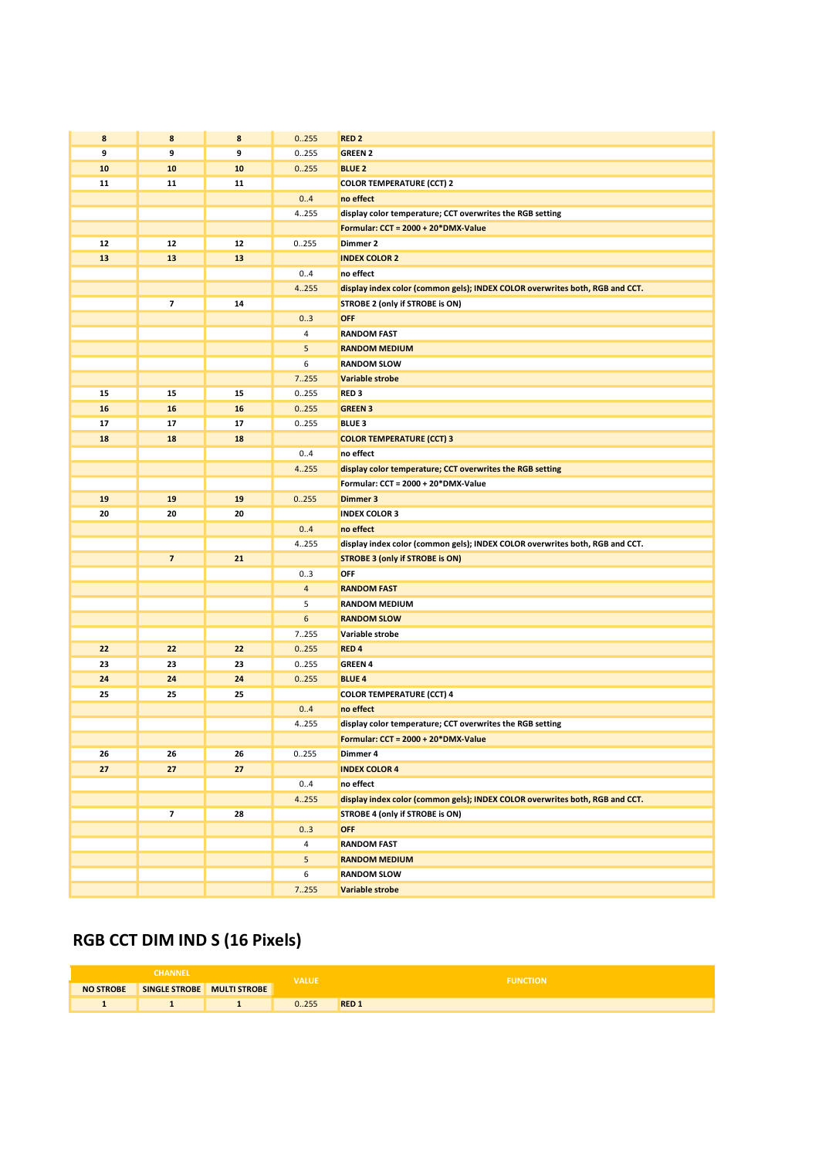| 8  | 8                       | 8  | 0.255          | RED <sub>2</sub>                                                             |
|----|-------------------------|----|----------------|------------------------------------------------------------------------------|
| 9  | 9                       | 9  | 0255           | <b>GREEN 2</b>                                                               |
| 10 | 10                      | 10 | 0.255          | <b>BLUE 2</b>                                                                |
| 11 | 11                      | 11 |                | <b>COLOR TEMPERATURE (CCT) 2</b>                                             |
|    |                         |    | 0.4            | no effect                                                                    |
|    |                         |    | 4.255          | display color temperature; CCT overwrites the RGB setting                    |
|    |                         |    |                | Formular: CCT = 2000 + 20*DMX-Value                                          |
| 12 | 12                      | 12 | 0.255          | Dimmer 2                                                                     |
| 13 | 13                      | 13 |                | <b>INDEX COLOR 2</b>                                                         |
|    |                         |    | 0.4            | no effect                                                                    |
|    |                         |    | 4.255          | display index color (common gels); INDEX COLOR overwrites both, RGB and CCT. |
|    | 7                       | 14 |                | STROBE 2 (only if STROBE is ON)                                              |
|    |                         |    | 03             | <b>OFF</b>                                                                   |
|    |                         |    | 4              | <b>RANDOM FAST</b>                                                           |
|    |                         |    | 5              | <b>RANDOM MEDIUM</b>                                                         |
|    |                         |    | 6              | <b>RANDOM SLOW</b>                                                           |
|    |                         |    | 7.255          | Variable strobe                                                              |
| 15 | 15                      | 15 | 0255           | RED <sub>3</sub>                                                             |
| 16 | 16                      | 16 | 0.255          | <b>GREEN 3</b>                                                               |
| 17 | 17                      | 17 | 0.255          | <b>BLUE 3</b>                                                                |
| 18 | 18                      | 18 |                | <b>COLOR TEMPERATURE (CCT) 3</b>                                             |
|    |                         |    | 0.4            | no effect                                                                    |
|    |                         |    | 4.255          | display color temperature; CCT overwrites the RGB setting                    |
|    |                         |    |                | Formular: CCT = 2000 + 20*DMX-Value                                          |
| 19 | 19                      | 19 | 0.255          | Dimmer 3                                                                     |
| 20 | 20                      | 20 |                | <b>INDEX COLOR 3</b>                                                         |
|    |                         |    | 04             | no effect                                                                    |
|    |                         |    | 4.255          | display index color (common gels); INDEX COLOR overwrites both, RGB and CCT. |
|    | $\overline{ }$          | 21 |                | <b>STROBE 3 (only if STROBE is ON)</b>                                       |
|    |                         |    | 03             | OFF                                                                          |
|    |                         |    | $\overline{4}$ | <b>RANDOM FAST</b>                                                           |
|    |                         |    | 5              | <b>RANDOM MEDIUM</b>                                                         |
|    |                         |    | 6              | <b>RANDOM SLOW</b>                                                           |
|    |                         |    | 7.255          | Variable strobe                                                              |
| 22 | 22                      | 22 | 0.255          | RED <sub>4</sub>                                                             |
| 23 | 23                      | 23 | 0255           | <b>GREEN 4</b>                                                               |
| 24 | 24                      | 24 | 0.255          | <b>BLUE 4</b>                                                                |
| 25 | 25                      | 25 |                | <b>COLOR TEMPERATURE (CCT) 4</b>                                             |
|    |                         |    | 0.4            | no effect                                                                    |
|    |                         |    | 4.255          | display color temperature; CCT overwrites the RGB setting                    |
|    |                         |    |                | Formular: CCT = 2000 + 20*DMX-Value                                          |
| 26 | 26                      | 26 | 0255           | Dimmer 4                                                                     |
| 27 | 27                      | 27 |                | <b>INDEX COLOR 4</b>                                                         |
|    |                         |    | 0.4            | no effect                                                                    |
|    |                         |    | 4.255          | display index color (common gels); INDEX COLOR overwrites both, RGB and CCT. |
|    | $\overline{\mathbf{z}}$ | 28 |                | STROBE 4 (only if STROBE is ON)                                              |
|    |                         |    | 03             | <b>OFF</b>                                                                   |
|    |                         |    | 4              | <b>RANDOM FAST</b>                                                           |
|    |                         |    | 5              | <b>RANDOM MEDIUM</b>                                                         |
|    |                         |    | 6              | <b>RANDOM SLOW</b>                                                           |
|    |                         |    | 7.255          | Variable strobe                                                              |

# RGB CCT DIM IND S (16 Pixels)

| <b>CHANNEL</b>   |               |                     | <b>VALUE</b> | <b>FUNCTION</b>        |
|------------------|---------------|---------------------|--------------|------------------------|
| <b>NO STROBE</b> | SINGLE STROBE | <b>MULTI STROBE</b> |              |                        |
|                  |               |                     | 255          | <b>RED<sub>1</sub></b> |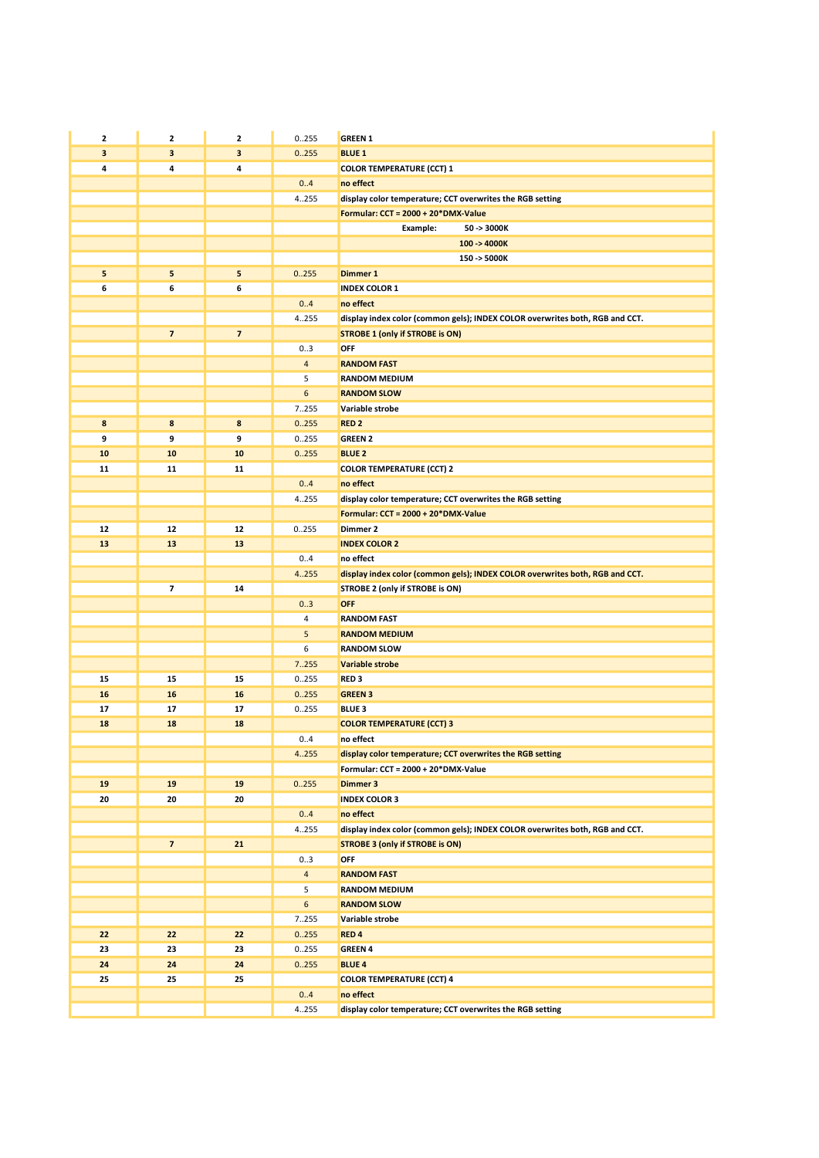| 2          | $\mathbf{2}$             | 2                       | 0.255          | <b>GREEN 1</b>                                                               |
|------------|--------------------------|-------------------------|----------------|------------------------------------------------------------------------------|
| 3          | 3                        | 3                       | 0.255          | <b>BLUE 1</b>                                                                |
| 4          | 4                        | 4                       |                | <b>COLOR TEMPERATURE (CCT) 1</b>                                             |
|            |                          |                         | 0.4            | no effect                                                                    |
|            |                          |                         | 4.255          | display color temperature; CCT overwrites the RGB setting                    |
|            |                          |                         |                | Formular: CCT = 2000 + 20*DMX-Value                                          |
|            |                          |                         |                | 50 -> 3000K<br>Example:                                                      |
|            |                          |                         |                | $100 - 4000K$                                                                |
|            |                          |                         |                | 150 -> 5000K                                                                 |
| 5          | 5                        | 5                       | 0.255          | Dimmer 1                                                                     |
| 6          | 6                        | 6                       |                | <b>INDEX COLOR 1</b>                                                         |
|            |                          |                         | 0.4            | no effect                                                                    |
|            |                          |                         | 4255           | display index color (common gels); INDEX COLOR overwrites both, RGB and CCT. |
|            | $\overline{\phantom{a}}$ | $\overline{\mathbf{z}}$ |                | <b>STROBE 1 (only if STROBE is ON)</b>                                       |
|            |                          |                         | 03             | OFF                                                                          |
|            |                          |                         | $\overline{4}$ | <b>RANDOM FAST</b>                                                           |
|            |                          |                         | 5              | <b>RANDOM MEDIUM</b>                                                         |
|            |                          |                         | 6              | <b>RANDOM SLOW</b>                                                           |
|            |                          |                         | 7.255          | Variable strobe                                                              |
| 8          | 8                        | 8                       | 0.255          | <b>RED 2</b>                                                                 |
| 9          | 9                        | 9                       | 0.255          | <b>GREEN 2</b>                                                               |
| 10         | 10                       | 10                      | 0.255          | <b>BLUE 2</b>                                                                |
| 11         | 11                       | 11                      |                | <b>COLOR TEMPERATURE (CCT) 2</b>                                             |
|            |                          |                         | 0.4            | no effect                                                                    |
|            |                          |                         | 4.255          | display color temperature; CCT overwrites the RGB setting                    |
|            |                          |                         |                | Formular: CCT = 2000 + 20*DMX-Value                                          |
| 12         | 12                       | 12                      | 0.255          | Dimmer 2                                                                     |
| 13         | 13                       | 13                      |                | <b>INDEX COLOR 2</b>                                                         |
|            |                          |                         | 0.4            | no effect                                                                    |
|            |                          |                         | 4.255          | display index color (common gels); INDEX COLOR overwrites both, RGB and CCT. |
|            | 7                        | 14                      |                | STROBE 2 (only if STROBE is ON)                                              |
|            |                          |                         | 03             | OFF                                                                          |
|            |                          |                         | 4              | <b>RANDOM FAST</b>                                                           |
|            |                          |                         | 5              | <b>RANDOM MEDIUM</b>                                                         |
|            |                          |                         | 6              | <b>RANDOM SLOW</b>                                                           |
|            |                          |                         | 7.255          | <b>Variable strobe</b>                                                       |
| 15         | 15                       | 15                      | 0255           | RED <sub>3</sub>                                                             |
| 16         | 16                       | 16                      | 0.255          | <b>GREEN 3</b>                                                               |
| 17         | 17                       | 17                      | 0255           | <b>BLUE 3</b>                                                                |
| 18         | 18                       | 18                      |                | <b>COLOR TEMPERATURE (CCT) 3</b>                                             |
|            |                          |                         | 0.4            | no effect                                                                    |
|            |                          |                         | 4.255          | display color temperature; CCT overwrites the RGB setting                    |
|            |                          |                         |                | Formular: CCT = 2000 + 20*DMX-Value                                          |
| 19         | 19                       | 19                      | 0.255          | <b>Dimmer 3</b>                                                              |
| 20         | 20                       | 20                      |                | <b>INDEX COLOR 3</b>                                                         |
|            |                          |                         | 0.4            | no effect                                                                    |
|            |                          |                         | 4.255          | display index color (common gels); INDEX COLOR overwrites both, RGB and CCT. |
|            | $\overline{ }$           | 21                      |                | <b>STROBE 3 (only if STROBE is ON)</b>                                       |
|            |                          |                         | 03             | OFF                                                                          |
|            |                          |                         | $\overline{4}$ | <b>RANDOM FAST</b>                                                           |
|            |                          |                         | 5              | <b>RANDOM MEDIUM</b>                                                         |
|            |                          |                         | 6              | <b>RANDOM SLOW</b>                                                           |
|            |                          |                         | 7255           | Variable strobe                                                              |
| 22         | 22                       | 22                      | 0.255          | RED <sub>4</sub>                                                             |
| 23         | 23                       | 23                      | 0255           | <b>GREEN 4</b>                                                               |
| ${\bf 24}$ | 24                       | 24                      | 0.255          | <b>BLUE 4</b>                                                                |
| 25         | 25                       | 25                      |                | <b>COLOR TEMPERATURE (CCT) 4</b>                                             |
|            |                          |                         | 0.4            | no effect                                                                    |
|            |                          |                         | 4.255          | display color temperature; CCT overwrites the RGB setting                    |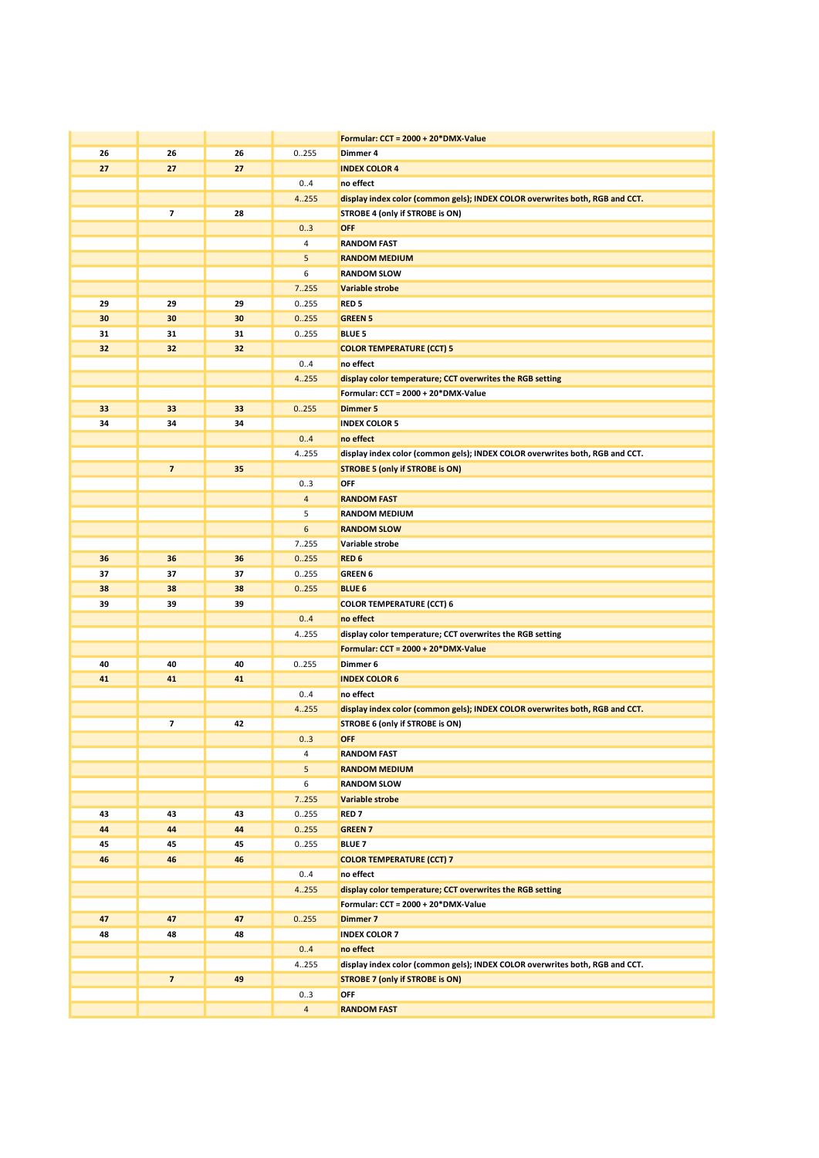|    |                         |    |                | Formular: CCT = 2000 + 20*DMX-Value                                          |
|----|-------------------------|----|----------------|------------------------------------------------------------------------------|
| 26 | 26                      | 26 | 0.255          | Dimmer 4                                                                     |
| 27 | 27                      | 27 |                | <b>INDEX COLOR 4</b>                                                         |
|    |                         |    | 0.4            | no effect                                                                    |
|    |                         |    | 4.255          | display index color (common gels); INDEX COLOR overwrites both, RGB and CCT. |
|    | 7                       | 28 |                | STROBE 4 (only if STROBE is ON)                                              |
|    |                         |    | 03             | <b>OFF</b>                                                                   |
|    |                         |    | 4              | <b>RANDOM FAST</b>                                                           |
|    |                         |    | 5              | <b>RANDOM MEDIUM</b>                                                         |
|    |                         |    | 6              | <b>RANDOM SLOW</b>                                                           |
|    |                         |    | 7.255          | Variable strobe                                                              |
| 29 |                         | 29 | 0.255          | RED <sub>5</sub>                                                             |
| 30 | 29                      |    |                |                                                                              |
|    | 30                      | 30 | 0.255          | <b>GREEN 5</b>                                                               |
| 31 | 31                      | 31 | 0.255          | <b>BLUE 5</b>                                                                |
| 32 | 32                      | 32 |                | <b>COLOR TEMPERATURE (CCT) 5</b>                                             |
|    |                         |    | 0.4            | no effect                                                                    |
|    |                         |    | 4.255          | display color temperature; CCT overwrites the RGB setting                    |
|    |                         |    |                | Formular: CCT = 2000 + 20*DMX-Value                                          |
| 33 | 33                      | 33 | 0.255          | <b>Dimmer 5</b>                                                              |
| 34 | 34                      | 34 |                | <b>INDEX COLOR 5</b>                                                         |
|    |                         |    | 0.4            | no effect                                                                    |
|    |                         |    | 4255           | display index color (common gels); INDEX COLOR overwrites both, RGB and CCT. |
|    | $\overline{\mathbf{z}}$ | 35 |                | <b>STROBE 5 (only if STROBE is ON)</b>                                       |
|    |                         |    | 03             | <b>OFF</b>                                                                   |
|    |                         |    | $\overline{4}$ | <b>RANDOM FAST</b>                                                           |
|    |                         |    | 5              | <b>RANDOM MEDIUM</b>                                                         |
|    |                         |    | 6              | <b>RANDOM SLOW</b>                                                           |
|    |                         |    | 7255           | Variable strobe                                                              |
| 36 | 36                      | 36 | 0.255          | RED <sub>6</sub>                                                             |
| 37 | 37                      | 37 | 0.255          | <b>GREEN 6</b>                                                               |
| 38 | 38                      | 38 | 0.255          | <b>BLUE 6</b>                                                                |
| 39 | 39                      | 39 |                | <b>COLOR TEMPERATURE (CCT) 6</b>                                             |
|    |                         |    | 0.4            | no effect                                                                    |
|    |                         |    | 4255           | display color temperature; CCT overwrites the RGB setting                    |
|    |                         |    |                | Formular: CCT = 2000 + 20*DMX-Value                                          |
| 40 | 40                      | 40 | 0.255          | Dimmer 6                                                                     |
| 41 | 41                      | 41 |                | <b>INDEX COLOR 6</b>                                                         |
|    |                         |    | 04             | no effect                                                                    |
|    |                         |    | 4.255          | display index color (common gels); INDEX COLOR overwrites both, RGB and CCT. |
|    | 7                       | 42 |                | STROBE 6 (only if STROBE is ON)                                              |
|    |                         |    | 0.3            | <b>OFF</b>                                                                   |
|    |                         |    | 4              | <b>RANDOM FAST</b>                                                           |
|    |                         |    | 5              | <b>RANDOM MEDIUM</b>                                                         |
|    |                         |    | 6              | <b>RANDOM SLOW</b>                                                           |
|    |                         |    | 7.255          | Variable strobe                                                              |
| 43 | 43                      | 43 | 0255           | <b>RED 7</b>                                                                 |
| 44 | 44                      | 44 | 0.255          | <b>GREEN 7</b>                                                               |
| 45 | 45                      | 45 | 0.255          | <b>BLUE 7</b>                                                                |
| 46 | 46                      | 46 |                | <b>COLOR TEMPERATURE (CCT) 7</b>                                             |
|    |                         |    | 0.4            | no effect                                                                    |
|    |                         |    | 4.255          | display color temperature; CCT overwrites the RGB setting                    |
|    |                         |    |                | Formular: CCT = 2000 + 20*DMX-Value                                          |
| 47 | 47                      | 47 | 0.255          | Dimmer 7                                                                     |
| 48 | 48                      | 48 |                | <b>INDEX COLOR 7</b>                                                         |
|    |                         |    | 0.4            | no effect                                                                    |
|    |                         |    |                |                                                                              |
|    |                         |    | 4.255          | display index color (common gels); INDEX COLOR overwrites both, RGB and CCT. |
|    | $\overline{ }$          | 49 |                | <b>STROBE 7 (only if STROBE is ON)</b>                                       |
|    |                         |    | 03             | OFF                                                                          |
|    |                         |    | $\overline{4}$ | <b>RANDOM FAST</b>                                                           |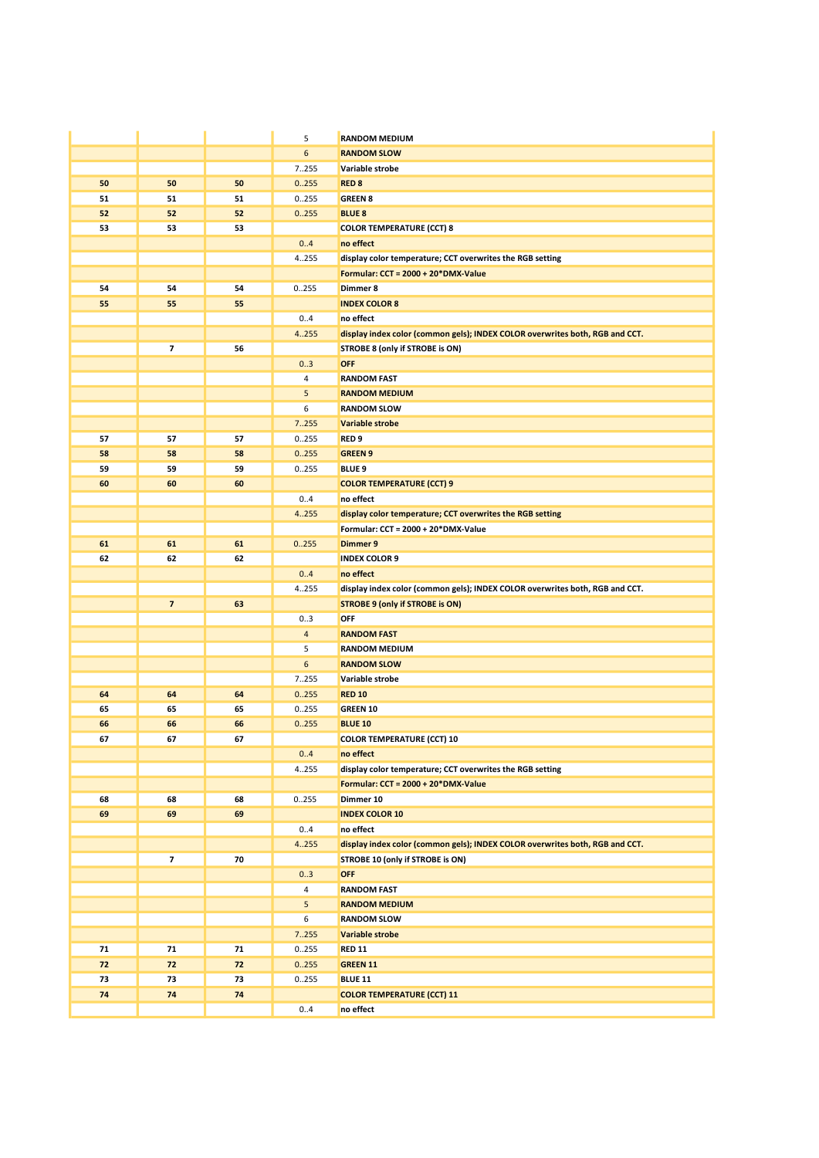|    |                          |    | 5              | <b>RANDOM MEDIUM</b>                                                         |
|----|--------------------------|----|----------------|------------------------------------------------------------------------------|
|    |                          |    | 6              | <b>RANDOM SLOW</b>                                                           |
|    |                          |    | 7255           | Variable strobe                                                              |
| 50 | 50                       | 50 | 0.255          | RED <sub>8</sub>                                                             |
| 51 | 51                       | 51 | 0.255          | <b>GREEN 8</b>                                                               |
| 52 | 52                       | 52 | 0.255          | <b>BLUE 8</b>                                                                |
| 53 | 53                       | 53 |                | <b>COLOR TEMPERATURE (CCT) 8</b>                                             |
|    |                          |    | 0.4            | no effect                                                                    |
|    |                          |    | 4.255          | display color temperature; CCT overwrites the RGB setting                    |
|    |                          |    |                | Formular: CCT = 2000 + 20*DMX-Value                                          |
| 54 | 54                       | 54 | 0.255          | Dimmer 8                                                                     |
| 55 | 55                       | 55 |                | <b>INDEX COLOR 8</b>                                                         |
|    |                          |    | 0.4            | no effect                                                                    |
|    |                          |    | 4.255          | display index color (common gels); INDEX COLOR overwrites both, RGB and CCT. |
|    | $\overline{\phantom{a}}$ | 56 |                | STROBE 8 (only if STROBE is ON)                                              |
|    |                          |    | 03             | OFF                                                                          |
|    |                          |    | 4              | <b>RANDOM FAST</b>                                                           |
|    |                          |    | 5              | <b>RANDOM MEDIUM</b>                                                         |
|    |                          |    | 6              | <b>RANDOM SLOW</b>                                                           |
|    |                          |    | 7.255          | Variable strobe                                                              |
| 57 | 57                       | 57 | 0255           | RED <sub>9</sub>                                                             |
| 58 | 58                       | 58 | 0.255          | <b>GREEN 9</b>                                                               |
| 59 | 59                       | 59 | 0255           | <b>BLUE 9</b>                                                                |
| 60 | 60                       | 60 |                | <b>COLOR TEMPERATURE (CCT) 9</b>                                             |
|    |                          |    | 0.4            | no effect                                                                    |
|    |                          |    | 4.255          | display color temperature; CCT overwrites the RGB setting                    |
|    |                          |    |                | Formular: CCT = 2000 + 20*DMX-Value                                          |
| 61 | 61                       | 61 | 0.255          | Dimmer 9                                                                     |
| 62 | 62                       | 62 |                | <b>INDEX COLOR 9</b>                                                         |
|    |                          |    | 0.4            | no effect                                                                    |
|    | $\overline{\mathbf{z}}$  | 63 | 4.255          | display index color (common gels); INDEX COLOR overwrites both, RGB and CCT. |
|    |                          |    | 03             | <b>STROBE 9 (only if STROBE is ON)</b><br>OFF                                |
|    |                          |    | $\overline{4}$ | <b>RANDOM FAST</b>                                                           |
|    |                          |    | 5              | <b>RANDOM MEDIUM</b>                                                         |
|    |                          |    | 6              | <b>RANDOM SLOW</b>                                                           |
|    |                          |    | 7255           | Variable strobe                                                              |
| 64 | 64                       | 64 | 0.255          | <b>RED 10</b>                                                                |
| 65 | 65                       | 65 | 0255           | GREEN 10                                                                     |
| 66 | 66                       | 66 | 0.255          | <b>BLUE 10</b>                                                               |
| 67 | 67                       | 67 |                | <b>COLOR TEMPERATURE (CCT) 10</b>                                            |
|    |                          |    | 0.4            | no effect                                                                    |
|    |                          |    | 4.255          | display color temperature; CCT overwrites the RGB setting                    |
|    |                          |    |                | Formular: CCT = 2000 + 20*DMX-Value                                          |
| 68 | 68                       | 68 | 0255           | Dimmer 10                                                                    |
| 69 | 69                       | 69 |                | <b>INDEX COLOR 10</b>                                                        |
|    |                          |    | 0.4            | no effect                                                                    |
|    |                          |    | 4.255          | display index color (common gels); INDEX COLOR overwrites both, RGB and CCT. |
|    | 7                        | 70 |                | STROBE 10 (only if STROBE is ON)                                             |
|    |                          |    | 03             | <b>OFF</b>                                                                   |
|    |                          |    | $\overline{4}$ | <b>RANDOM FAST</b>                                                           |
|    |                          |    | 5              | <b>RANDOM MEDIUM</b>                                                         |
|    |                          |    | 6              | <b>RANDOM SLOW</b>                                                           |
|    |                          |    | 7.255          | <b>Variable strobe</b>                                                       |
| 71 | 71                       | 71 | 0255           | <b>RED 11</b>                                                                |
| 72 | 72                       | 72 | 0.255          | <b>GREEN 11</b>                                                              |
| 73 | 73                       | 73 | 0255           | <b>BLUE 11</b>                                                               |
| 74 | 74                       | 74 |                | <b>COLOR TEMPERATURE (CCT) 11</b>                                            |
|    |                          |    | 0.4            | no effect                                                                    |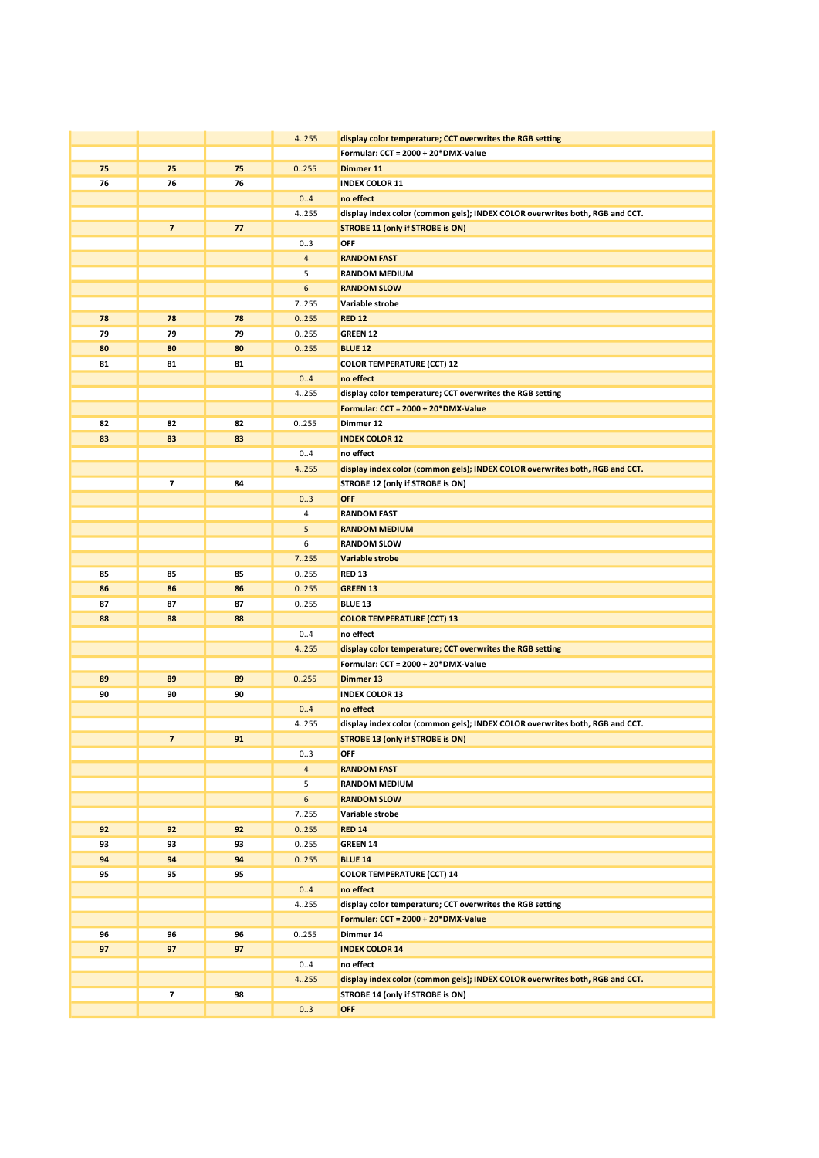|    |                         |    | 4.255                   | display color temperature; CCT overwrites the RGB setting                    |
|----|-------------------------|----|-------------------------|------------------------------------------------------------------------------|
|    |                         |    |                         | Formular: CCT = 2000 + 20*DMX-Value                                          |
| 75 | 75                      | 75 | 0.255                   | Dimmer 11                                                                    |
| 76 | 76                      | 76 |                         | <b>INDEX COLOR 11</b>                                                        |
|    |                         |    | 0.4                     | no effect                                                                    |
|    |                         |    | 4.255                   | display index color (common gels); INDEX COLOR overwrites both, RGB and CCT. |
|    | $\overline{7}$          | 77 |                         | <b>STROBE 11 (only if STROBE is ON)</b>                                      |
|    |                         |    | 03                      | OFF                                                                          |
|    |                         |    | $\overline{4}$          | <b>RANDOM FAST</b>                                                           |
|    |                         |    | 5                       | RANDOM MEDIUM                                                                |
|    |                         |    | 6                       | <b>RANDOM SLOW</b>                                                           |
|    |                         |    | 7.255                   | Variable strobe                                                              |
| 78 | 78                      | 78 | 0.255                   | <b>RED 12</b>                                                                |
| 79 | 79                      | 79 | 0.255                   | <b>GREEN 12</b>                                                              |
| 80 | 80                      | 80 | 0.255                   | <b>BLUE 12</b>                                                               |
| 81 | 81                      | 81 |                         | <b>COLOR TEMPERATURE (CCT) 12</b>                                            |
|    |                         |    | 0.4                     | no effect                                                                    |
|    |                         |    | 4255                    | display color temperature; CCT overwrites the RGB setting                    |
|    |                         |    |                         | Formular: CCT = 2000 + 20*DMX-Value                                          |
| 82 | 82                      | 82 | 0.255                   | Dimmer 12                                                                    |
| 83 | 83                      | 83 |                         | <b>INDEX COLOR 12</b>                                                        |
|    |                         |    | 0.4                     | no effect                                                                    |
|    |                         |    | 4.255                   | display index color (common gels); INDEX COLOR overwrites both, RGB and CCT. |
|    | 7                       | 84 |                         | STROBE 12 (only if STROBE is ON)                                             |
|    |                         |    | 0.3                     | <b>OFF</b>                                                                   |
|    |                         |    | 4                       | <b>RANDOM FAST</b>                                                           |
|    |                         |    | 5                       | <b>RANDOM MEDIUM</b>                                                         |
|    |                         |    | 6                       | <b>RANDOM SLOW</b>                                                           |
|    |                         |    | 7.255                   | <b>Variable strobe</b>                                                       |
| 85 | 85                      | 85 | 0255                    | <b>RED 13</b>                                                                |
| 86 | 86                      | 86 | 0.255                   | <b>GREEN 13</b>                                                              |
| 87 | 87                      | 87 | 0255                    | <b>BLUE 13</b>                                                               |
| 88 | 88                      | 88 |                         | <b>COLOR TEMPERATURE (CCT) 13</b>                                            |
|    |                         |    | 0.4                     | no effect                                                                    |
|    |                         |    | 4.255                   | display color temperature; CCT overwrites the RGB setting                    |
|    |                         |    |                         | Formular: CCT = 2000 + 20*DMX-Value                                          |
| 89 | 89                      | 89 | 0.255                   | Dimmer 13                                                                    |
| 90 | 90                      | 90 |                         | <b>INDEX COLOR 13</b>                                                        |
|    |                         |    | 0.4                     | no effect                                                                    |
|    |                         |    | 4.255                   | display index color (common gels); INDEX COLOR overwrites both, RGB and CCT. |
|    | $\overline{\mathbf{z}}$ | 91 |                         | <b>STROBE 13 (only if STROBE is ON)</b>                                      |
|    |                         |    | 03                      | OFF                                                                          |
|    |                         |    | $\overline{\mathbf{4}}$ | <b>RANDOM FAST</b>                                                           |
|    |                         |    | 5                       | <b>RANDOM MEDIUM</b>                                                         |
|    |                         |    | 6                       | <b>RANDOM SLOW</b>                                                           |
|    |                         |    | 7.255                   | Variable strobe                                                              |
| 92 | 92                      | 92 | 0.255                   | <b>RED 14</b>                                                                |
| 93 | 93                      | 93 | 0255                    | <b>GREEN 14</b>                                                              |
| 94 | 94                      | 94 | 0.255                   | <b>BLUE 14</b>                                                               |
| 95 | 95                      | 95 |                         | <b>COLOR TEMPERATURE (CCT) 14</b>                                            |
|    |                         |    | 0.4                     | no effect                                                                    |
|    |                         |    | 4.255                   | display color temperature; CCT overwrites the RGB setting                    |
|    |                         |    |                         | Formular: CCT = 2000 + 20*DMX-Value                                          |
| 96 | 96                      | 96 | 0.255                   | Dimmer 14                                                                    |
| 97 | 97                      | 97 |                         | <b>INDEX COLOR 14</b>                                                        |
|    |                         |    | 04                      | no effect                                                                    |
|    |                         |    | 4.255                   | display index color (common gels); INDEX COLOR overwrites both, RGB and CCT. |
|    | 7                       | 98 |                         | STROBE 14 (only if STROBE is ON)                                             |
|    |                         |    | 03                      | <b>OFF</b>                                                                   |